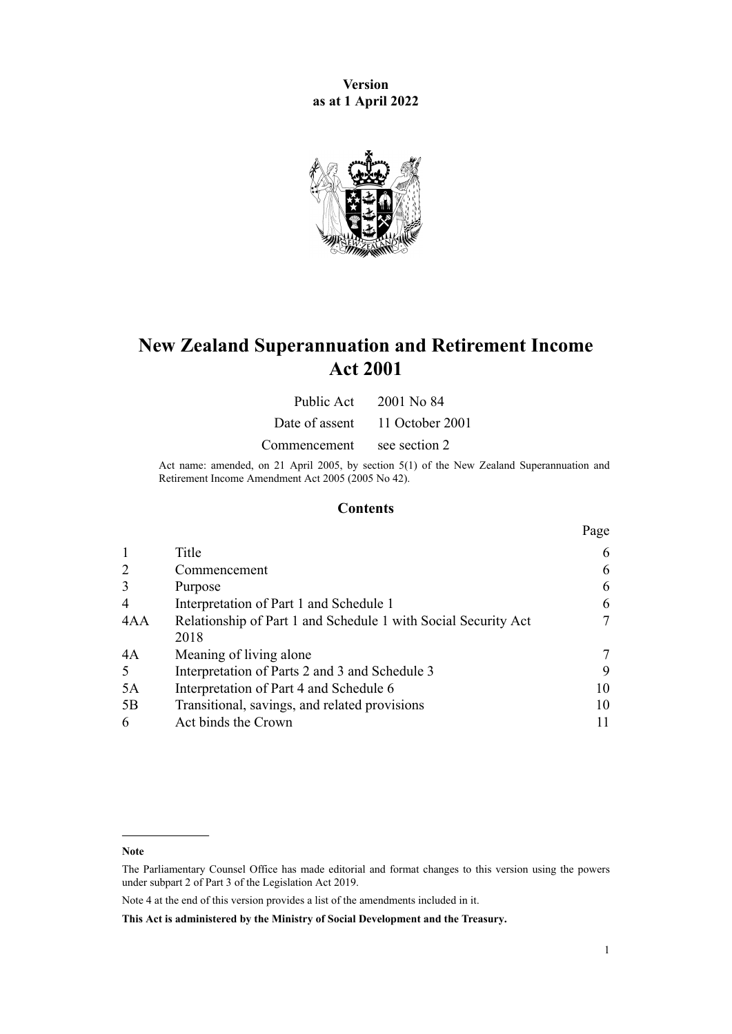**Version as at 1 April 2022**



# **New Zealand Superannuation and Retirement Income Act 2001**

Public Act 2001 No 84

Date of assent 11 October 2001

Commencement see section 2

Act name: amended, on 21 April 2005, by [section 5\(1\)](http://legislation.govt.nz/pdflink.aspx?id=DLM346469) of the New Zealand Superannuation and Retirement Income Amendment Act 2005 (2005 No 42).

# **Contents**

|                                                                | Page |
|----------------------------------------------------------------|------|
| Title                                                          | 6    |
| Commencement                                                   | 6    |
| Purpose                                                        | 6    |
| Interpretation of Part 1 and Schedule 1                        | 6    |
| Relationship of Part 1 and Schedule 1 with Social Security Act | 7    |
| 2018                                                           |      |
| Meaning of living alone                                        |      |
| Interpretation of Parts 2 and 3 and Schedule 3                 | 9    |
| Interpretation of Part 4 and Schedule 6                        | 10   |
| Transitional, savings, and related provisions                  | 10   |
| Act binds the Crown                                            |      |
|                                                                |      |

**Note**

The Parliamentary Counsel Office has made editorial and format changes to this version using the powers under [subpart 2](http://legislation.govt.nz/pdflink.aspx?id=DLM7298371) of Part 3 of the Legislation Act 2019.

Note 4 at the end of this version provides a list of the amendments included in it.

**This Act is administered by the Ministry of Social Development and the Treasury.**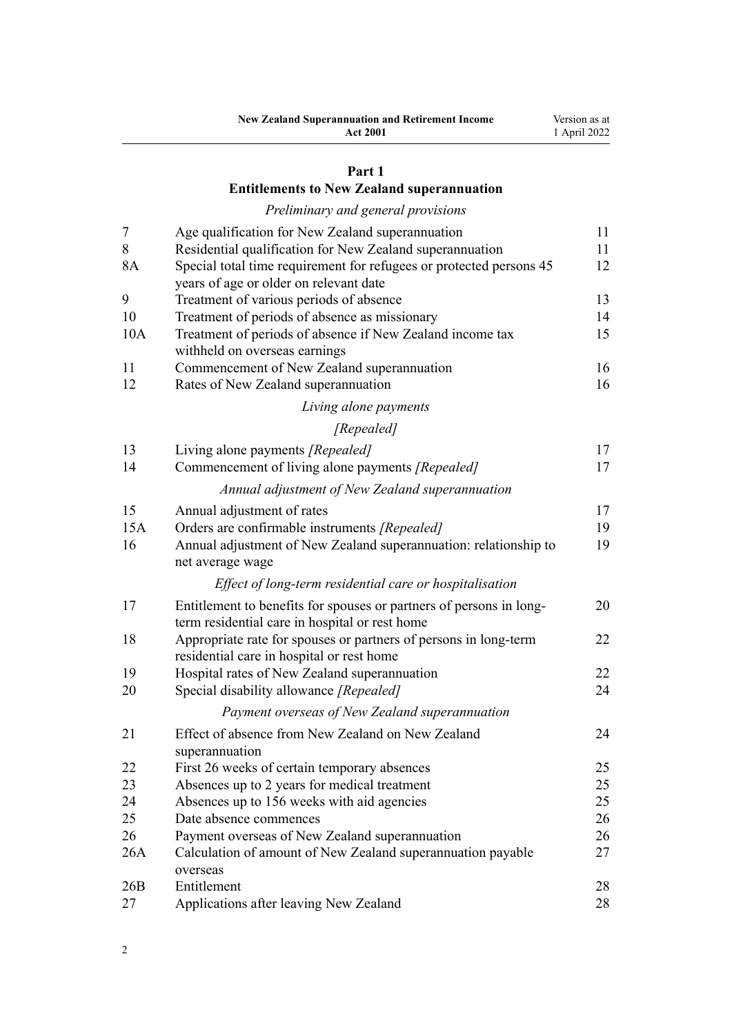| <b>New Zealand Superannuation and Retirement Income</b> | Version as at |
|---------------------------------------------------------|---------------|
| <b>Act 2001</b>                                         | 1 April 2022  |

## **[Part 1](#page-10-0)**

# **[Entitlements to New Zealand superannuation](#page-10-0)**

# *[Preliminary and general provisions](#page-10-0)*

| 7   | Age qualification for New Zealand superannuation                    | 11 |
|-----|---------------------------------------------------------------------|----|
| 8   | Residential qualification for New Zealand superannuation            | 11 |
| 8A  | Special total time requirement for refugees or protected persons 45 | 12 |
|     | years of age or older on relevant date                              |    |
| 9   | Treatment of various periods of absence                             | 13 |
| 10  | Treatment of periods of absence as missionary                       | 14 |
| 10A | Treatment of periods of absence if New Zealand income tax           | 15 |
|     | withheld on overseas earnings                                       |    |
| 11  | Commencement of New Zealand superannuation                          | 16 |
| 12  | Rates of New Zealand superannuation                                 | 16 |
|     | Living alone payments                                               |    |
|     | [Repealed]                                                          |    |
| 13  | Living alone payments [Repealed]                                    | 17 |
| 14  | Commencement of living alone payments [Repealed]                    | 17 |
|     | Annual adjustment of New Zealand superannuation                     |    |
| 15  | Annual adjustment of rates                                          | 17 |
| 15A | Orders are confirmable instruments [Repealed]                       | 19 |
| 16  | Annual adjustment of New Zealand superannuation: relationship to    | 19 |
|     | net average wage                                                    |    |
|     | Effect of long-term residential care or hospitalisation             |    |
| 17  | Entitlement to benefits for spouses or partners of persons in long- | 20 |
|     | term residential care in hospital or rest home                      |    |
| 18  | Appropriate rate for spouses or partners of persons in long-term    | 22 |
|     | residential care in hospital or rest home                           |    |
| 19  | Hospital rates of New Zealand superannuation                        | 22 |
| 20  | Special disability allowance [Repealed]                             | 24 |
|     | Payment overseas of New Zealand superannuation                      |    |
| 21  | Effect of absence from New Zealand on New Zealand                   | 24 |
|     | superannuation                                                      |    |
| 22  | First 26 weeks of certain temporary absences                        | 25 |
| 23  | Absences up to 2 years for medical treatment                        | 25 |
| 24  | Absences up to 156 weeks with aid agencies                          | 25 |
| 25  | Date absence commences                                              | 26 |
| 26  | Payment overseas of New Zealand superannuation                      | 26 |
| 26A | Calculation of amount of New Zealand superannuation payable         | 27 |
|     | overseas                                                            |    |
| 26B | Entitlement                                                         | 28 |
| 27  | Applications after leaving New Zealand                              | 28 |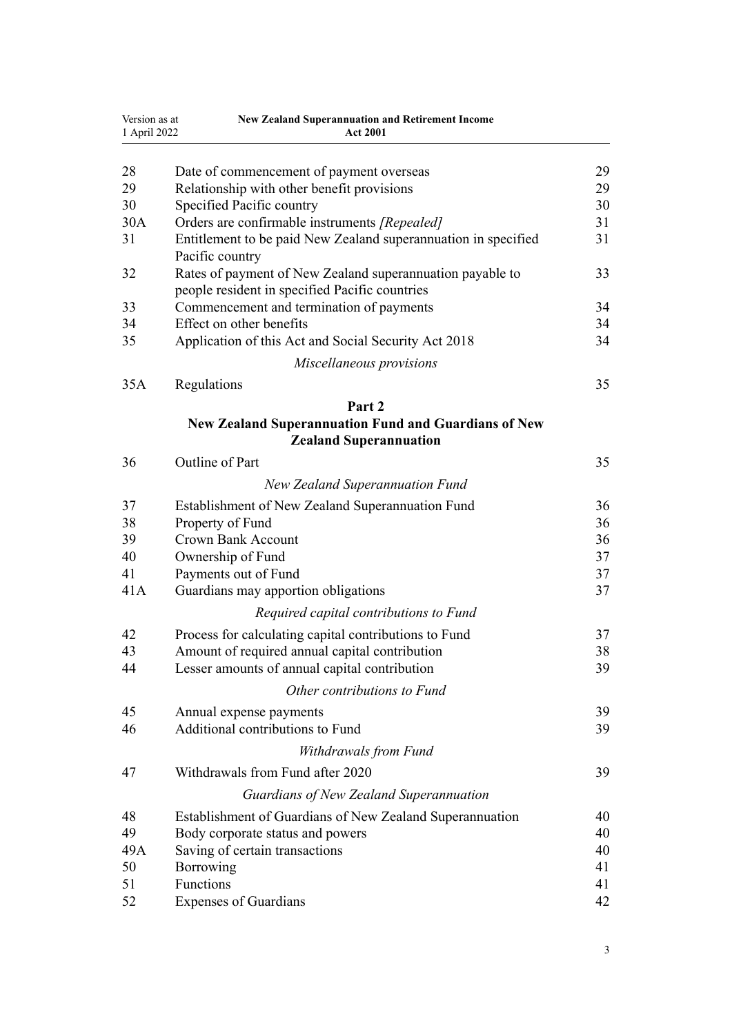| Version as at<br>1 April 2022 | <b>New Zealand Superannuation and Retirement Income</b><br><b>Act 2001</b>                                  |    |
|-------------------------------|-------------------------------------------------------------------------------------------------------------|----|
|                               |                                                                                                             |    |
| 28                            | Date of commencement of payment overseas                                                                    | 29 |
| 29                            | Relationship with other benefit provisions                                                                  | 29 |
| 30                            | Specified Pacific country                                                                                   | 30 |
| 30A                           | Orders are confirmable instruments [Repealed]                                                               | 31 |
| 31                            | Entitlement to be paid New Zealand superannuation in specified<br>Pacific country                           | 31 |
| 32                            | Rates of payment of New Zealand superannuation payable to<br>people resident in specified Pacific countries | 33 |
| 33                            | Commencement and termination of payments                                                                    | 34 |
| 34                            | Effect on other benefits                                                                                    | 34 |
| 35                            | Application of this Act and Social Security Act 2018                                                        | 34 |
|                               | Miscellaneous provisions                                                                                    |    |
|                               |                                                                                                             |    |
| 35A                           | Regulations                                                                                                 | 35 |
|                               | Part 2                                                                                                      |    |
|                               | <b>New Zealand Superannuation Fund and Guardians of New</b>                                                 |    |
|                               | <b>Zealand Superannuation</b>                                                                               |    |
| 36                            | Outline of Part                                                                                             | 35 |
|                               | <b>New Zealand Superannuation Fund</b>                                                                      |    |
| 37                            | Establishment of New Zealand Superannuation Fund                                                            | 36 |
| 38                            | Property of Fund                                                                                            | 36 |
| 39                            | <b>Crown Bank Account</b>                                                                                   | 36 |
| 40                            | Ownership of Fund                                                                                           | 37 |
| 41                            | Payments out of Fund                                                                                        | 37 |
| 41A                           | Guardians may apportion obligations                                                                         | 37 |
|                               | Required capital contributions to Fund                                                                      |    |
| 42                            | Process for calculating capital contributions to Fund                                                       | 37 |
| 43                            | Amount of required annual capital contribution                                                              | 38 |
| 44                            | Lesser amounts of annual capital contribution                                                               | 39 |
|                               | Other contributions to Fund                                                                                 |    |
| 45                            | Annual expense payments                                                                                     | 39 |
| 46                            | Additional contributions to Fund                                                                            | 39 |
|                               | Withdrawals from Fund                                                                                       |    |
| 47                            | Withdrawals from Fund after 2020                                                                            | 39 |
|                               | Guardians of New Zealand Superannuation                                                                     |    |
| 48                            | Establishment of Guardians of New Zealand Superannuation                                                    | 40 |
| 49                            | Body corporate status and powers                                                                            | 40 |
| 49A                           | Saving of certain transactions                                                                              | 40 |
| 50                            | Borrowing                                                                                                   | 41 |
| 51                            | Functions                                                                                                   | 41 |
| 52                            | <b>Expenses of Guardians</b>                                                                                | 42 |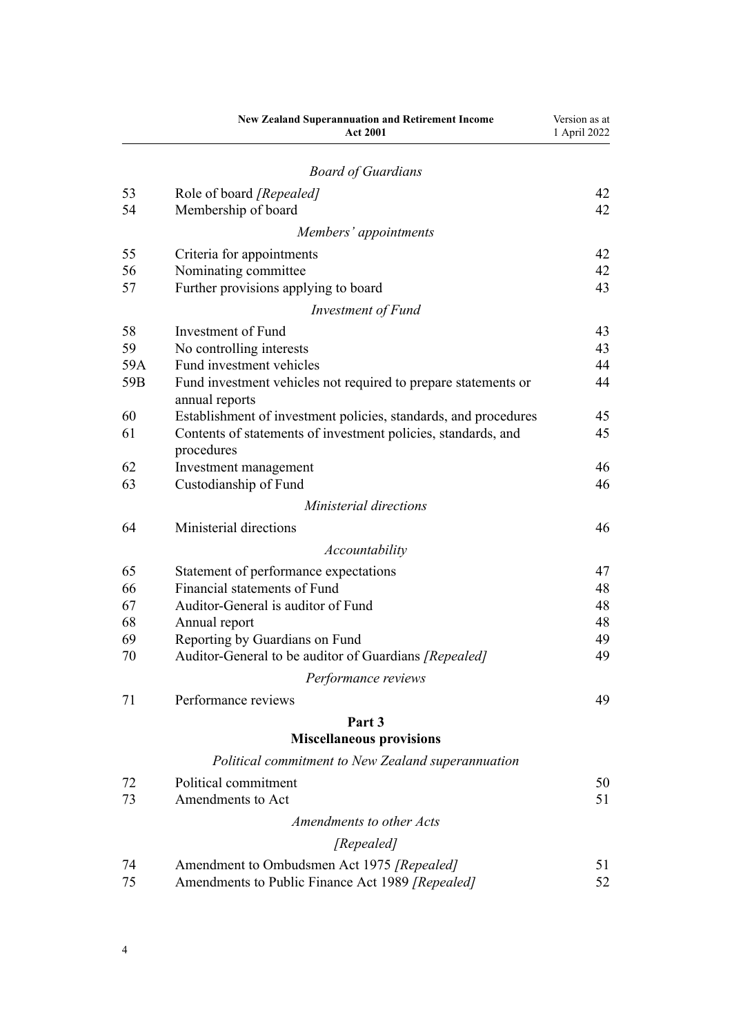|     | <b>New Zealand Superannuation and Retirement Income</b><br><b>Act 2001</b>       | Version as at<br>1 April 2022 |
|-----|----------------------------------------------------------------------------------|-------------------------------|
|     | <b>Board of Guardians</b>                                                        |                               |
| 53  | Role of board [Repealed]                                                         | 42                            |
| 54  | Membership of board                                                              | 42                            |
|     | Members' appointments                                                            |                               |
| 55  | Criteria for appointments                                                        | 42                            |
| 56  | Nominating committee                                                             | 42                            |
| 57  | Further provisions applying to board                                             | 43                            |
|     | Investment of Fund                                                               |                               |
| 58  | Investment of Fund                                                               | 43                            |
| 59  | No controlling interests                                                         | 43                            |
| 59A | Fund investment vehicles                                                         | 44                            |
| 59B | Fund investment vehicles not required to prepare statements or<br>annual reports | 44                            |
| 60  | Establishment of investment policies, standards, and procedures                  | 45                            |
| 61  | Contents of statements of investment policies, standards, and<br>procedures      | 45                            |
| 62  | Investment management                                                            | 46                            |
| 63  | Custodianship of Fund                                                            | 46                            |
|     | Ministerial directions                                                           |                               |
| 64  | Ministerial directions                                                           | 46                            |
|     | Accountability                                                                   |                               |
| 65  | Statement of performance expectations                                            | 47                            |
| 66  | Financial statements of Fund                                                     | 48                            |
| 67  | Auditor-General is auditor of Fund                                               | 48                            |
| 68  | Annual report                                                                    | 48                            |
| 69  | Reporting by Guardians on Fund                                                   | 49                            |
| 70  | Auditor-General to be auditor of Guardians [Repealed]                            | 49                            |
|     | Performance reviews                                                              |                               |
| 71  | Performance reviews                                                              | 49                            |
|     | Part 3                                                                           |                               |
|     | <b>Miscellaneous provisions</b>                                                  |                               |
|     | Political commitment to New Zealand superannuation                               |                               |
| 72  | Political commitment                                                             | 50                            |
| 73  | Amendments to Act                                                                | 51                            |
|     | Amendments to other Acts                                                         |                               |
|     | [Repealed]                                                                       |                               |
| 74  | Amendment to Ombudsmen Act 1975 [Repealed]                                       | 51                            |
| 75  | Amendments to Public Finance Act 1989 [Repealed]                                 | 52                            |
|     |                                                                                  |                               |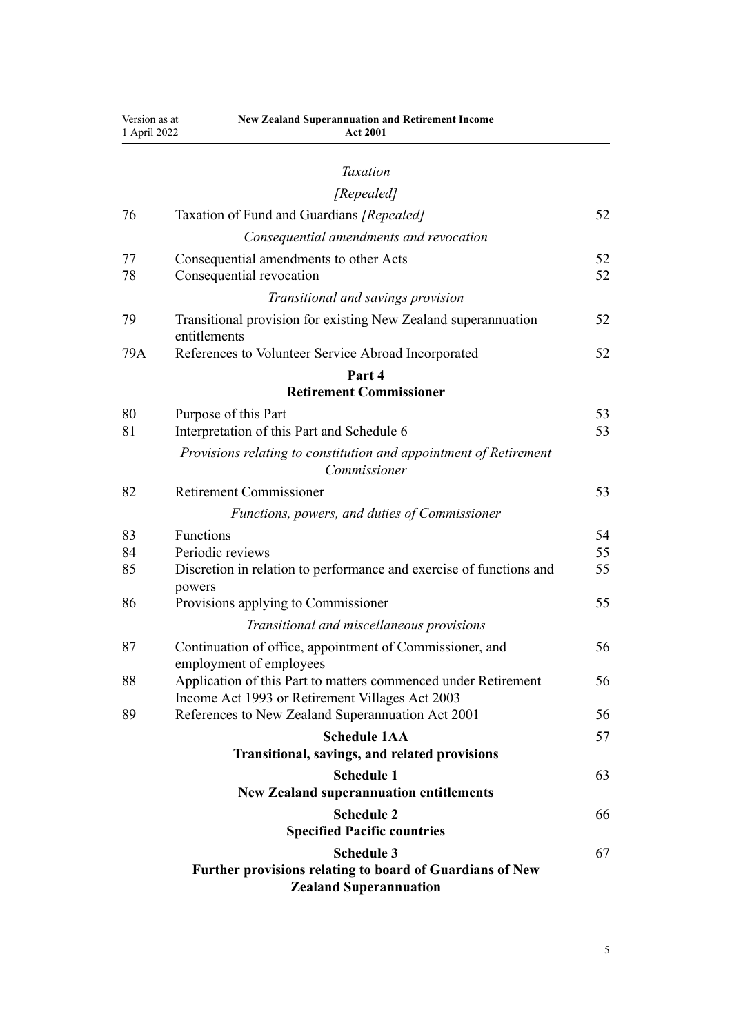| Version as at<br>1 April 2022 | <b>New Zealand Superannuation and Retirement Income</b><br><b>Act 2001</b>                                        |          |
|-------------------------------|-------------------------------------------------------------------------------------------------------------------|----------|
|                               |                                                                                                                   |          |
|                               | <b>Taxation</b>                                                                                                   |          |
|                               | [Repealed]                                                                                                        |          |
| 76                            | Taxation of Fund and Guardians [Repealed]                                                                         | 52       |
|                               | Consequential amendments and revocation                                                                           |          |
| 77<br>78                      | Consequential amendments to other Acts<br>Consequential revocation                                                | 52<br>52 |
|                               |                                                                                                                   |          |
|                               | Transitional and savings provision                                                                                |          |
| 79                            | Transitional provision for existing New Zealand superannuation<br>entitlements                                    | 52       |
| 79A                           | References to Volunteer Service Abroad Incorporated                                                               | 52       |
|                               | Part 4                                                                                                            |          |
|                               | <b>Retirement Commissioner</b>                                                                                    |          |
| 80                            | Purpose of this Part                                                                                              | 53       |
| 81                            | Interpretation of this Part and Schedule 6                                                                        | 53       |
|                               | Provisions relating to constitution and appointment of Retirement<br>Commissioner                                 |          |
| 82                            | <b>Retirement Commissioner</b>                                                                                    | 53       |
|                               | Functions, powers, and duties of Commissioner                                                                     |          |
| 83                            | Functions                                                                                                         | 54       |
| 84                            | Periodic reviews                                                                                                  | 55       |
| 85                            | Discretion in relation to performance and exercise of functions and<br>powers                                     | 55       |
| 86                            | Provisions applying to Commissioner                                                                               | 55       |
|                               | Transitional and miscellaneous provisions                                                                         |          |
| 87                            | Continuation of office, appointment of Commissioner, and<br>employment of employees                               | 56       |
| 88                            | Application of this Part to matters commenced under Retirement<br>Income Act 1993 or Retirement Villages Act 2003 | 56       |
| 89                            | References to New Zealand Superannuation Act 2001                                                                 | 56       |
|                               | <b>Schedule 1AA</b>                                                                                               | 57       |
|                               | Transitional, savings, and related provisions                                                                     |          |
|                               | <b>Schedule 1</b>                                                                                                 | 63       |
|                               | <b>New Zealand superannuation entitlements</b>                                                                    |          |
|                               | <b>Schedule 2</b><br><b>Specified Pacific countries</b>                                                           | 66       |
|                               | <b>Schedule 3</b>                                                                                                 | 67       |
|                               | Further provisions relating to board of Guardians of New<br><b>Zealand Superannuation</b>                         |          |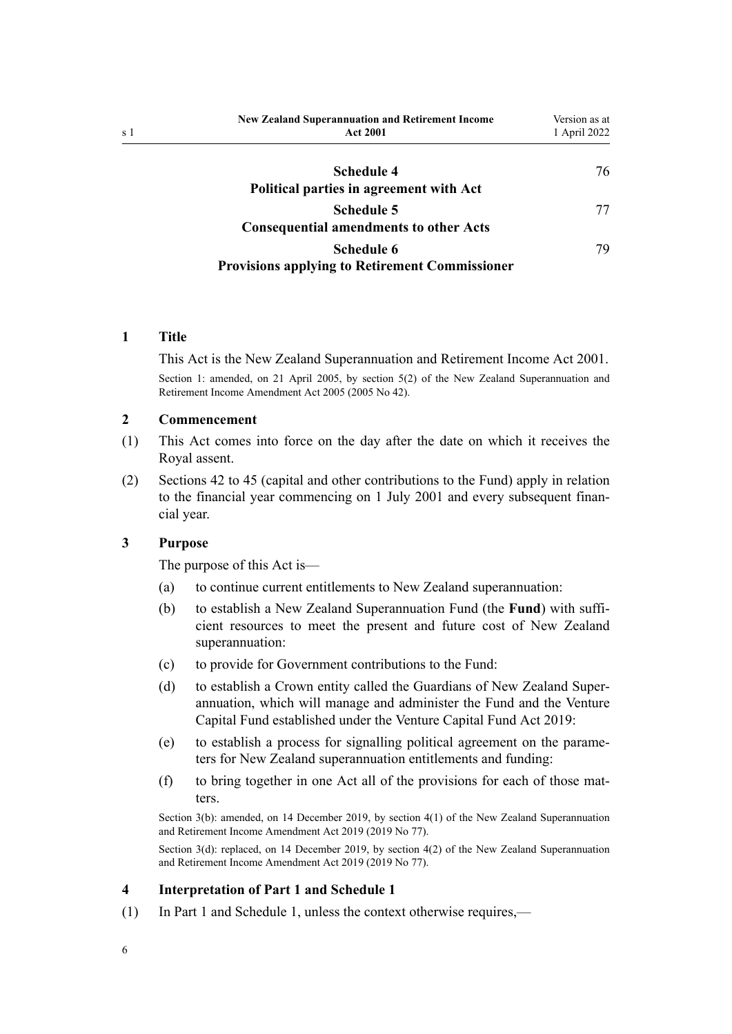<span id="page-5-0"></span>

| <b>New Zealand Superannuation and Retirement Income</b><br><b>Act 2001</b> | Version as at<br>1 April 2022 |
|----------------------------------------------------------------------------|-------------------------------|
| <b>Schedule 4</b><br>Political parties in agreement with Act               | 76                            |
| <b>Schedule 5</b><br><b>Consequential amendments to other Acts</b>         | 77                            |
| Schedule 6<br><b>Provisions applying to Retirement Commissioner</b>        | 79                            |

## **1 Title**

This Act is the New Zealand Superannuation and Retirement Income Act 2001. Section 1: amended, on 21 April 2005, by [section 5\(2\)](http://legislation.govt.nz/pdflink.aspx?id=DLM346469) of the New Zealand Superannuation and Retirement Income Amendment Act 2005 (2005 No 42).

#### **2 Commencement**

- (1) This Act comes into force on the day after the date on which it receives the Royal assent.
- (2) [Sections 42 to 45](#page-36-0) (capital and other contributions to the Fund) apply in relation to the financial year commencing on 1 July 2001 and every subsequent finan‐ cial year.

## **3 Purpose**

The purpose of this Act is—

- (a) to continue current entitlements to New Zealand superannuation:
- (b) to establish a New Zealand Superannuation Fund (the **Fund**) with suffi‐ cient resources to meet the present and future cost of New Zealand superannuation:
- (c) to provide for Government contributions to the Fund:
- (d) to establish a Crown entity called the Guardians of New Zealand Superannuation, which will manage and administer the Fund and the Venture Capital Fund established under the [Venture Capital Fund Act 2019:](http://legislation.govt.nz/pdflink.aspx?id=LMS210767)
- (e) to establish a process for signalling political agreement on the parame‐ ters for New Zealand superannuation entitlements and funding:
- (f) to bring together in one Act all of the provisions for each of those mat‐ ters.

Section 3(b): amended, on 14 December 2019, by [section 4\(1\)](http://legislation.govt.nz/pdflink.aspx?id=LMS294687) of the New Zealand Superannuation and Retirement Income Amendment Act 2019 (2019 No 77).

Section 3(d): replaced, on 14 December 2019, by [section 4\(2\)](http://legislation.govt.nz/pdflink.aspx?id=LMS294687) of the New Zealand Superannuation and Retirement Income Amendment Act 2019 (2019 No 77).

### **4 Interpretation of Part 1 and Schedule 1**

(1) In [Part 1](#page-10-0) and [Schedule 1,](#page-62-0) unless the context otherwise requires,—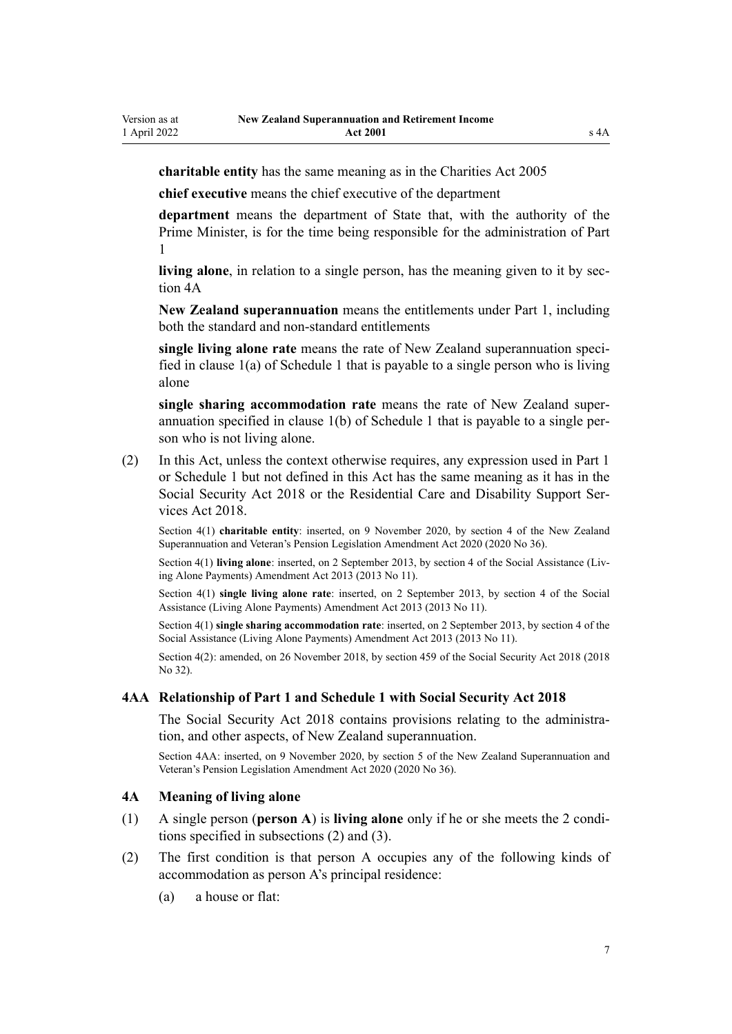<span id="page-6-0"></span>**charitable entity** has the same meaning as in the [Charities Act 2005](http://legislation.govt.nz/pdflink.aspx?id=DLM344367)

**chief executive** means the chief executive of the department

**department** means the department of State that, with the authority of the Prime Minister, is for the time being responsible for the administration of [Part](#page-10-0) [1](#page-10-0)

**living alone**, in relation to a single person, has the meaning given to it by section 4A

**New Zealand superannuation** means the entitlements under [Part 1](#page-10-0), including both the standard and non-standard entitlements

**single living alone rate** means the rate of New Zealand superannuation speci‐ fied in clause 1(a) of [Schedule 1](#page-62-0) that is payable to a single person who is living alone

**single sharing accommodation rate** means the rate of New Zealand super‐ annuation specified in clause 1(b) of [Schedule 1](#page-62-0) that is payable to a single per‐ son who is not living alone.

(2) In this Act, unless the context otherwise requires, any expression used in [Part 1](#page-10-0) or [Schedule 1](#page-62-0) but not defined in this Act has the same meaning as it has in the [Social Security Act 2018](http://legislation.govt.nz/pdflink.aspx?id=DLM6783102) or the [Residential Care and Disability Support Ser‐](http://legislation.govt.nz/pdflink.aspx?id=LMS41457) [vices Act 2018](http://legislation.govt.nz/pdflink.aspx?id=LMS41457).

Section 4(1) **charitable entity**: inserted, on 9 November 2020, by [section 4](http://legislation.govt.nz/pdflink.aspx?id=LMS242777) of the New Zealand Superannuation and Veteran's Pension Legislation Amendment Act 2020 (2020 No 36).

Section 4(1) **living alone**: inserted, on 2 September 2013, by [section 4](http://legislation.govt.nz/pdflink.aspx?id=DLM3365217) of the Social Assistance (Living Alone Payments) Amendment Act 2013 (2013 No 11).

Section 4(1) **single living alone rate**: inserted, on 2 September 2013, by [section 4](http://legislation.govt.nz/pdflink.aspx?id=DLM3365217) of the Social Assistance (Living Alone Payments) Amendment Act 2013 (2013 No 11).

Section 4(1) **single sharing accommodation rate**: inserted, on 2 September 2013, by [section 4](http://legislation.govt.nz/pdflink.aspx?id=DLM3365217) of the Social Assistance (Living Alone Payments) Amendment Act 2013 (2013 No 11).

Section 4(2): amended, on 26 November 2018, by [section 459](http://legislation.govt.nz/pdflink.aspx?id=DLM6784038) of the Social Security Act 2018 (2018 No 32).

### **4AA Relationship of Part 1 and Schedule 1 with Social Security Act 2018**

The [Social Security Act 2018](http://legislation.govt.nz/pdflink.aspx?id=DLM6783102) contains provisions relating to the administration, and other aspects, of New Zealand superannuation.

Section 4AA: inserted, on 9 November 2020, by [section 5](http://legislation.govt.nz/pdflink.aspx?id=LMS301411) of the New Zealand Superannuation and Veteran's Pension Legislation Amendment Act 2020 (2020 No 36).

#### **4A Meaning of living alone**

- (1) A single person (**person A**) is **living alone** only if he or she meets the 2 condi‐ tions specified in subsections (2) and (3).
- (2) The first condition is that person A occupies any of the following kinds of accommodation as person A's principal residence:
	- (a) a house or flat: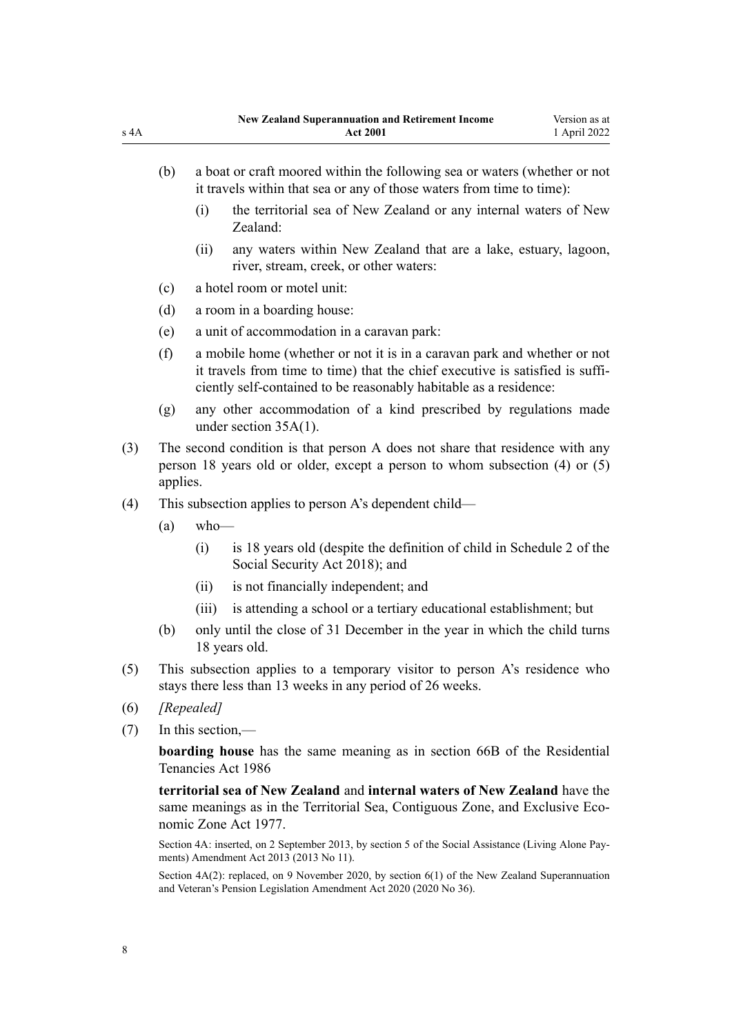- (b) a boat or craft moored within the following sea or waters (whether or not it travels within that sea or any of those waters from time to time):
	- (i) the territorial sea of New Zealand or any internal waters of New Zealand:
	- (ii) any waters within New Zealand that are a lake, estuary, lagoon, river, stream, creek, or other waters:
- (c) a hotel room or motel unit:
- (d) a room in a boarding house:
- (e) a unit of accommodation in a caravan park:
- (f) a mobile home (whether or not it is in a caravan park and whether or not it travels from time to time) that the chief executive is satisfied is suffi‐ ciently self-contained to be reasonably habitable as a residence:
- (g) any other accommodation of a kind prescribed by regulations made under [section 35A\(1\).](#page-34-0)
- (3) The second condition is that person A does not share that residence with any person 18 years old or older, except a person to whom subsection (4) or (5) applies.
- (4) This subsection applies to person A's dependent child—
	- $(a)$  who—
		- (i) is 18 years old (despite the definition of child in [Schedule 2](http://legislation.govt.nz/pdflink.aspx?id=DLM6784375) of the Social Security Act 2018); and
		- (ii) is not financially independent; and
		- (iii) is attending a school or a tertiary educational establishment; but
	- (b) only until the close of 31 December in the year in which the child turns 18 years old.
- (5) This subsection applies to a temporary visitor to person A's residence who stays there less than 13 weeks in any period of 26 weeks.
- (6) *[Repealed]*
- (7) In this section,—

**boarding house** has the same meaning as in [section 66B](http://legislation.govt.nz/pdflink.aspx?id=DLM3280887) of the Residential Tenancies Act 1986

**territorial sea of New Zealand** and **internal waters of New Zealand** have the same meanings as in the Territorial Sea, Contiguous Zone, and Exclusive Eco[nomic Zone Act 1977.](http://legislation.govt.nz/pdflink.aspx?id=DLM442578)

Section 4A: inserted, on 2 September 2013, by [section 5](http://legislation.govt.nz/pdflink.aspx?id=DLM3365224) of the Social Assistance (Living Alone Pay‐ ments) Amendment Act 2013 (2013 No 11).

Section  $4A(2)$ : replaced, on 9 November 2020, by section  $6(1)$  of the New Zealand Superannuation and Veteran's Pension Legislation Amendment Act 2020 (2020 No 36).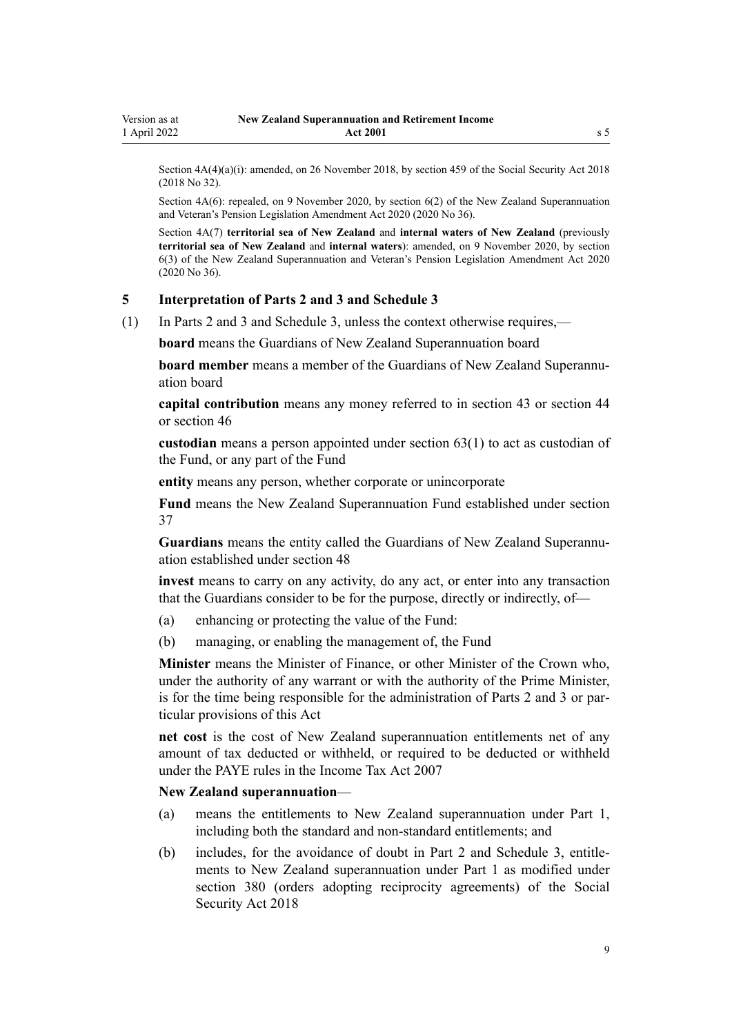<span id="page-8-0"></span>Section  $4A(4)(a)(i)$ : amended, on 26 November 2018, by [section 459](http://legislation.govt.nz/pdflink.aspx?id=DLM6784038) of the Social Security Act 2018 (2018 No 32).

Section 4A(6): repealed, on 9 November 2020, by [section 6\(2\)](http://legislation.govt.nz/pdflink.aspx?id=LMS242778) of the New Zealand Superannuation and Veteran's Pension Legislation Amendment Act 2020 (2020 No 36).

Section 4A(7) **territorial sea of New Zealand** and **internal waters of New Zealand** (previously **territorial sea of New Zealand** and **internal waters**): amended, on 9 November 2020, by [section](http://legislation.govt.nz/pdflink.aspx?id=LMS242778) [6\(3\)](http://legislation.govt.nz/pdflink.aspx?id=LMS242778) of the New Zealand Superannuation and Veteran's Pension Legislation Amendment Act 2020 (2020 No 36).

#### **5 Interpretation of Parts 2 and 3 and Schedule 3**

(1) In [Parts 2](#page-34-0) and [3](#page-49-0) and [Schedule 3,](#page-66-0) unless the context otherwise requires,—

**board** means the Guardians of New Zealand Superannuation board

**board member** means a member of the Guardians of New Zealand Superannuation board

**capital contribution** means any money referred to in [section 43](#page-37-0) or [section 44](#page-38-0) or [section 46](#page-38-0)

**custodian** means a person appointed under [section 63\(1\)](#page-45-0) to act as custodian of the Fund, or any part of the Fund

**entity** means any person, whether corporate or unincorporate

**Fund** means the New Zealand Superannuation Fund established under [section](#page-35-0) [37](#page-35-0)

**Guardians** means the entity called the Guardians of New Zealand Superannu‐ ation established under [section 48](#page-39-0)

**invest** means to carry on any activity, do any act, or enter into any transaction that the Guardians consider to be for the purpose, directly or indirectly, of—

- (a) enhancing or protecting the value of the Fund:
- (b) managing, or enabling the management of, the Fund

**Minister** means the Minister of Finance, or other Minister of the Crown who, under the authority of any warrant or with the authority of the Prime Minister, is for the time being responsible for the administration of [Parts 2](#page-34-0) and [3](#page-49-0) or particular provisions of this Act

**net cost** is the cost of New Zealand superannuation entitlements net of any amount of tax deducted or withheld, or required to be deducted or withheld under the PAYE rules in the [Income Tax Act 2007](http://legislation.govt.nz/pdflink.aspx?id=DLM1512300)

#### **New Zealand superannuation**—

- (a) means the entitlements to New Zealand superannuation under [Part 1](#page-10-0), including both the standard and non-standard entitlements; and
- (b) includes, for the avoidance of doubt in [Part 2](#page-34-0) and [Schedule 3](#page-66-0), entitle‐ ments to New Zealand superannuation under [Part 1](#page-10-0) as modified under [section 380](http://legislation.govt.nz/pdflink.aspx?id=DLM6783894) (orders adopting reciprocity agreements) of the Social Security Act 2018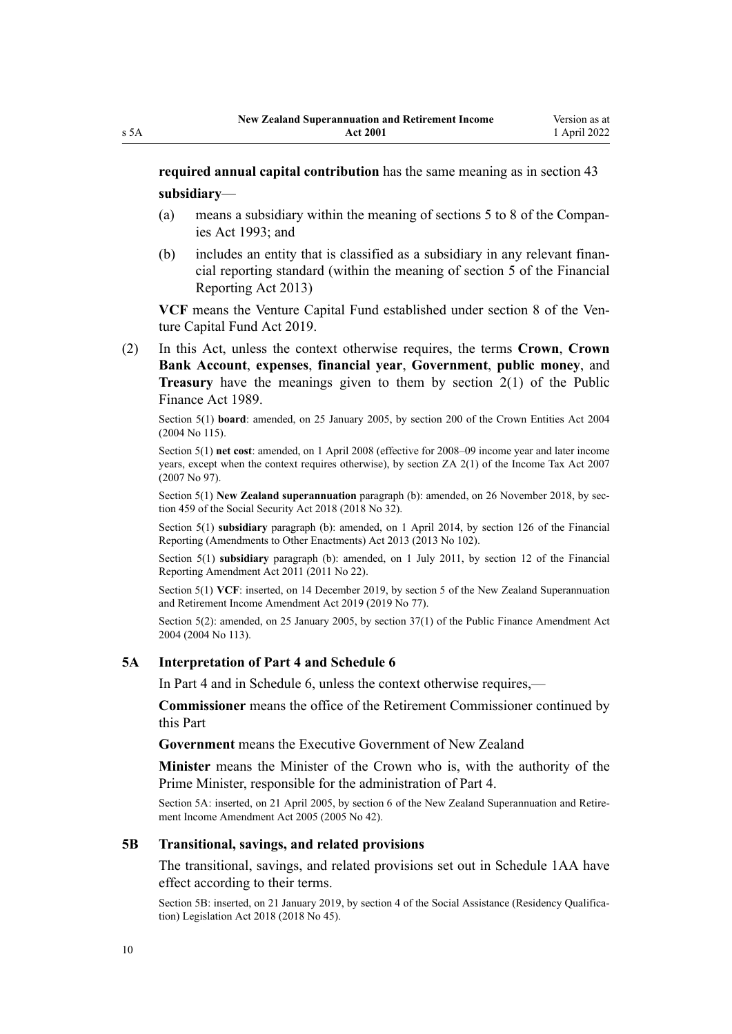<span id="page-9-0"></span>**required annual capital contribution** has the same meaning as in [section 43](#page-37-0) **subsidiary**—

- (a) means a subsidiary within the meaning of [sections 5 to 8](http://legislation.govt.nz/pdflink.aspx?id=DLM319999) of the Compan‐ ies Act 1993; and
- (b) includes an entity that is classified as a subsidiary in any relevant finan‐ cial reporting standard (within the meaning of [section 5](http://legislation.govt.nz/pdflink.aspx?id=DLM4632837) of the Financial Reporting Act 2013)

VCF means the Venture Capital Fund established under [section 8](http://legislation.govt.nz/pdflink.aspx?id=LMS210800) of the Venture Capital Fund Act 2019.

(2) In this Act, unless the context otherwise requires, the terms **Crown**, **Crown Bank Account**, **expenses**, **financial year**, **Government**, **public money**, and **Treasury** have the meanings given to them by [section 2\(1\)](http://legislation.govt.nz/pdflink.aspx?id=DLM160819) of the Public Finance Act 1989.

Section 5(1) **board**: amended, on 25 January 2005, by [section 200](http://legislation.govt.nz/pdflink.aspx?id=DLM331111) of the Crown Entities Act 2004 (2004 No 115).

Section 5(1) **net cost**: amended, on 1 April 2008 (effective for 2008–09 income year and later income years, except when the context requires otherwise), by [section ZA 2\(1\)](http://legislation.govt.nz/pdflink.aspx?id=DLM1523176) of the Income Tax Act 2007 (2007 No 97).

Section 5(1) **New Zealand superannuation** paragraph (b): amended, on 26 November 2018, by sec[tion 459](http://legislation.govt.nz/pdflink.aspx?id=DLM6784038) of the Social Security Act 2018 (2018 No 32).

Section 5(1) **subsidiary** paragraph (b): amended, on 1 April 2014, by [section 126](http://legislation.govt.nz/pdflink.aspx?id=DLM5740665) of the Financial Reporting (Amendments to Other Enactments) Act 2013 (2013 No 102).

Section 5(1) **subsidiary** paragraph (b): amended, on 1 July 2011, by [section 12](http://legislation.govt.nz/pdflink.aspx?id=DLM3701759) of the Financial Reporting Amendment Act 2011 (2011 No 22).

Section 5(1) **VCF**: inserted, on 14 December 2019, by [section 5](http://legislation.govt.nz/pdflink.aspx?id=LMS294690) of the New Zealand Superannuation and Retirement Income Amendment Act 2019 (2019 No 77).

Section 5(2): amended, on 25 January 2005, by [section 37\(1\)](http://legislation.govt.nz/pdflink.aspx?id=DLM328867) of the Public Finance Amendment Act 2004 (2004 No 113).

#### **5A Interpretation of Part 4 and Schedule 6**

In [Part 4](#page-52-0) and in [Schedule 6,](#page-78-0) unless the context otherwise requires,—

**Commissioner** means the office of the Retirement Commissioner continued by this Part

**Government** means the Executive Government of New Zealand

**Minister** means the Minister of the Crown who is, with the authority of the Prime Minister, responsible for the administration of [Part 4](#page-52-0).

Section 5A: inserted, on 21 April 2005, by [section 6](http://legislation.govt.nz/pdflink.aspx?id=DLM346470) of the New Zealand Superannuation and Retirement Income Amendment Act 2005 (2005 No 42).

#### **5B Transitional, savings, and related provisions**

The transitional, savings, and related provisions set out in Schedule 1AA have effect according to their terms.

Section 5B: inserted, on 21 January 2019, by [section 4](http://legislation.govt.nz/pdflink.aspx?id=LMS26068) of the Social Assistance (Residency Qualification) Legislation Act 2018 (2018 No 45).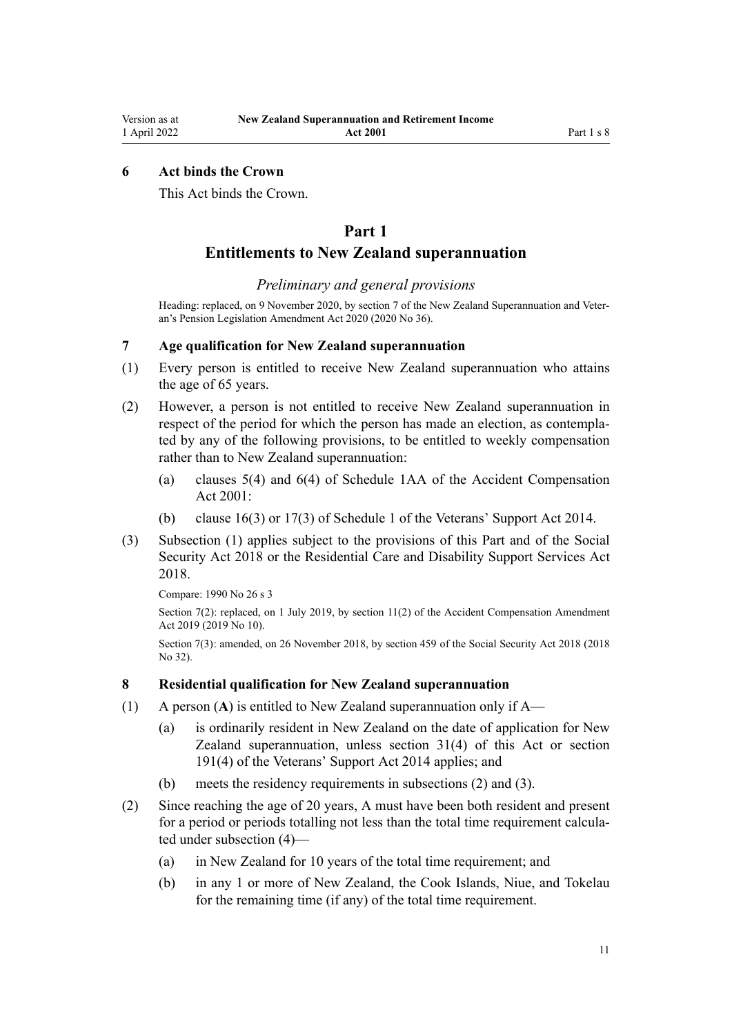## <span id="page-10-0"></span>**6 Act binds the Crown**

This Act binds the Crown.

# **Part 1**

## **Entitlements to New Zealand superannuation**

### *Preliminary and general provisions*

Heading: replaced, on 9 November 2020, by [section 7](http://legislation.govt.nz/pdflink.aspx?id=LMS242780) of the New Zealand Superannuation and Veteran's Pension Legislation Amendment Act 2020 (2020 No 36).

## **7 Age qualification for New Zealand superannuation**

- (1) Every person is entitled to receive New Zealand superannuation who attains the age of 65 years.
- (2) However, a person is not entitled to receive New Zealand superannuation in respect of the period for which the person has made an election, as contemplated by any of the following provisions, to be entitled to weekly compensation rather than to New Zealand superannuation:
	- (a) [clauses 5\(4\)](http://legislation.govt.nz/pdflink.aspx?id=LMS191446) and [6\(4\)](http://legislation.govt.nz/pdflink.aspx?id=LMS191448) of Schedule 1AA of the Accident Compensation Act 2001:
	- (b) [clause 16\(3\)](http://legislation.govt.nz/pdflink.aspx?id=LMS153596) or [17\(3\)](http://legislation.govt.nz/pdflink.aspx?id=LMS153597) of Schedule 1 of the Veterans' Support Act 2014.
- (3) Subsection (1) applies subject to the provisions of this Part and of the [Social](http://legislation.govt.nz/pdflink.aspx?id=DLM6783102) [Security Act 2018](http://legislation.govt.nz/pdflink.aspx?id=DLM6783102) or the [Residential Care and Disability Support Services Act](http://legislation.govt.nz/pdflink.aspx?id=LMS41457) [2018](http://legislation.govt.nz/pdflink.aspx?id=LMS41457).

Compare: 1990 No 26 [s 3](http://legislation.govt.nz/pdflink.aspx?id=DLM204101)

Section 7(2): replaced, on 1 July 2019, by [section 11\(2\)](http://legislation.govt.nz/pdflink.aspx?id=LMS31111) of the Accident Compensation Amendment Act 2019 (2019 No 10).

Section 7(3): amended, on 26 November 2018, by [section 459](http://legislation.govt.nz/pdflink.aspx?id=DLM6784038) of the Social Security Act 2018 (2018 No 32).

## **8 Residential qualification for New Zealand superannuation**

- (1) A person (**A**) is entitled to New Zealand superannuation only if A—
	- (a) is ordinarily resident in New Zealand on the date of application for New Zealand superannuation, unless [section 31\(4\)](#page-30-0) of this Act or [section](http://legislation.govt.nz/pdflink.aspx?id=DLM5537707) [191\(4\)](http://legislation.govt.nz/pdflink.aspx?id=DLM5537707) of the Veterans' Support Act 2014 applies; and
	- (b) meets the residency requirements in subsections (2) and (3).
- (2) Since reaching the age of 20 years, A must have been both resident and present for a period or periods totalling not less than the total time requirement calculated under subsection (4)—
	- (a) in New Zealand for 10 years of the total time requirement; and
	- (b) in any 1 or more of New Zealand, the Cook Islands, Niue, and Tokelau for the remaining time (if any) of the total time requirement.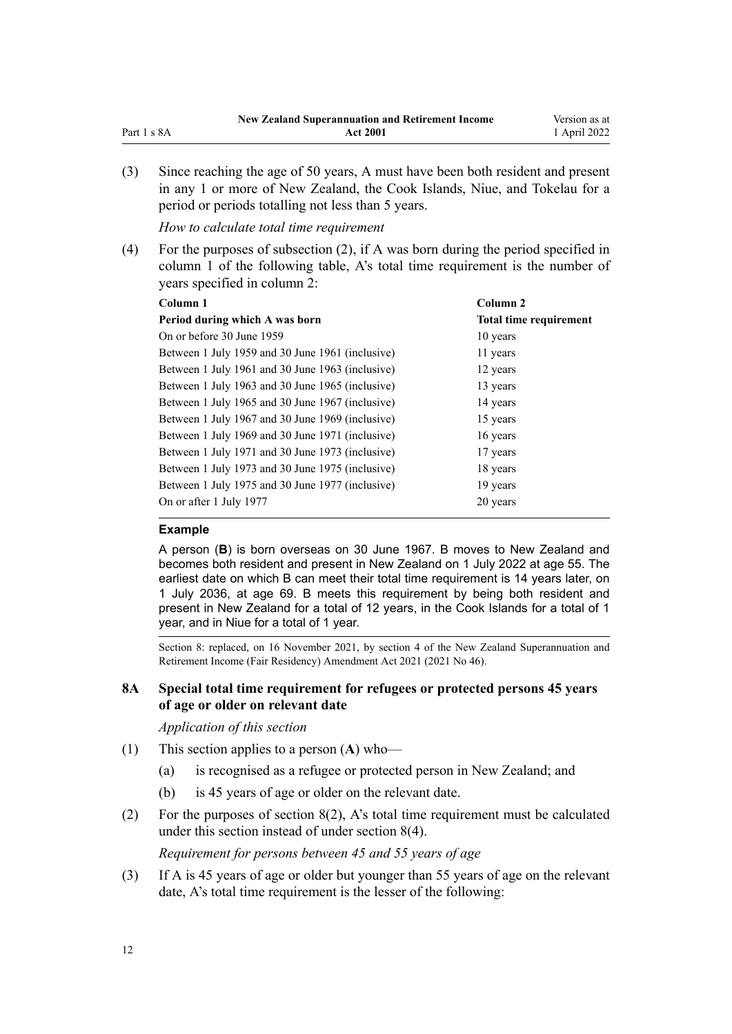<span id="page-11-0"></span>

|             | <b>New Zealand Superannuation and Retirement Income</b> | Version as at |
|-------------|---------------------------------------------------------|---------------|
| Part 1 s 8A | <b>Act 2001</b>                                         | 1 April 2022  |

(3) Since reaching the age of 50 years, A must have been both resident and present in any 1 or more of New Zealand, the Cook Islands, Niue, and Tokelau for a period or periods totalling not less than 5 years.

*How to calculate total time requirement*

(4) For the purposes of subsection (2), if A was born during the period specified in column 1 of the following table, A's total time requirement is the number of years specified in column 2:

| Column 2                      |
|-------------------------------|
| <b>Total time requirement</b> |
| 10 years                      |
| 11 years                      |
| 12 years                      |
| 13 years                      |
| 14 years                      |
| 15 years                      |
| 16 years                      |
| 17 years                      |
| 18 years                      |
| 19 years                      |
| 20 years                      |
|                               |

#### **Example**

A person (**B**) is born overseas on 30 June 1967. B moves to New Zealand and becomes both resident and present in New Zealand on 1 July 2022 at age 55. The earliest date on which B can meet their total time requirement is 14 years later, on 1 July 2036, at age 69. B meets this requirement by being both resident and present in New Zealand for a total of 12 years, in the Cook Islands for a total of 1 year, and in Niue for a total of 1 year.

Section 8: replaced, on 16 November 2021, by [section 4](http://legislation.govt.nz/pdflink.aspx?id=LMS478061) of the New Zealand Superannuation and Retirement Income (Fair Residency) Amendment Act 2021 (2021 No 46).

## **8A Special total time requirement for refugees or protected persons 45 years of age or older on relevant date**

*Application of this section*

- (1) This section applies to a person (**A**) who—
	- (a) is recognised as a refugee or protected person in New Zealand; and
	- (b) is 45 years of age or older on the relevant date.
- (2) For the purposes of [section 8\(2\)](#page-10-0), A's total time requirement must be calculated under this section instead of under section 8(4).

*Requirement for persons between 45 and 55 years of age*

(3) If A is 45 years of age or older but younger than 55 years of age on the relevant date, A's total time requirement is the lesser of the following: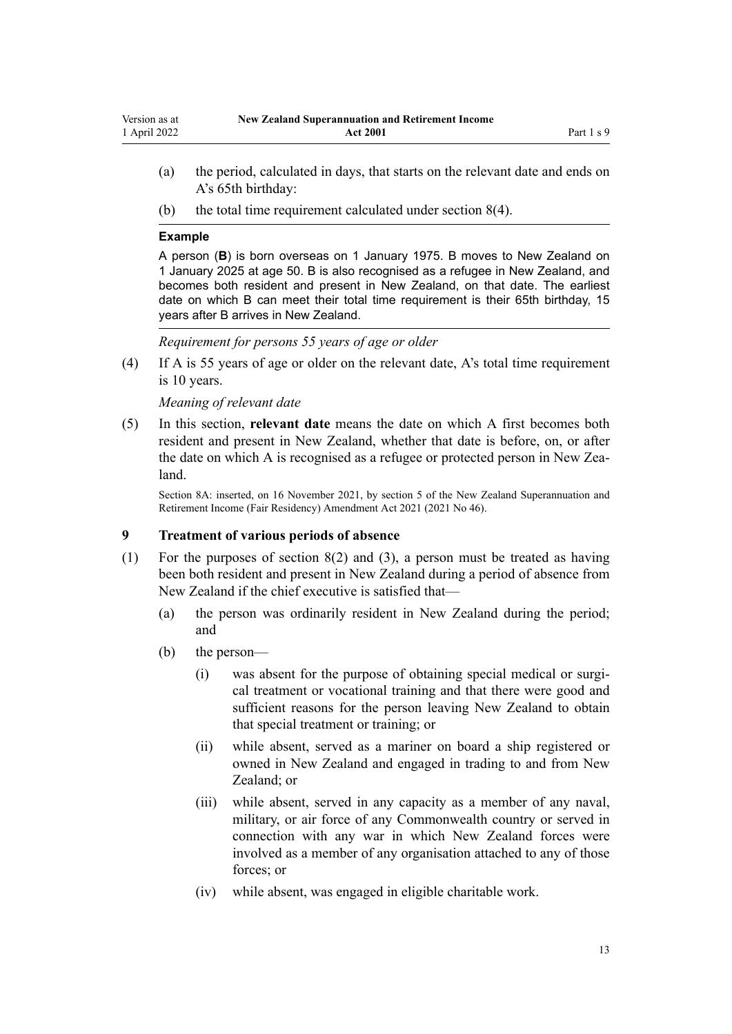- <span id="page-12-0"></span>(a) the period, calculated in days, that starts on the relevant date and ends on A's 65th birthday:
- (b) the total time requirement calculated under [section 8\(4\)](#page-10-0).

#### **Example**

A person (**B**) is born overseas on 1 January 1975. B moves to New Zealand on 1 January 2025 at age 50. B is also recognised as a refugee in New Zealand, and becomes both resident and present in New Zealand, on that date. The earliest date on which B can meet their total time requirement is their 65th birthday, 15 years after B arrives in New Zealand.

*Requirement for persons 55 years of age or older*

(4) If A is 55 years of age or older on the relevant date, A's total time requirement is 10 years.

*Meaning of relevant date*

(5) In this section, **relevant date** means the date on which A first becomes both resident and present in New Zealand, whether that date is before, on, or after the date on which A is recognised as a refugee or protected person in New Zealand.

Section 8A: inserted, on 16 November 2021, by [section 5](http://legislation.govt.nz/pdflink.aspx?id=LMS482186) of the New Zealand Superannuation and Retirement Income (Fair Residency) Amendment Act 2021 (2021 No 46).

## **9 Treatment of various periods of absence**

- (1) For the purposes of [section 8\(2\) and \(3\),](#page-10-0) a person must be treated as having been both resident and present in New Zealand during a period of absence from New Zealand if the chief executive is satisfied that—
	- (a) the person was ordinarily resident in New Zealand during the period; and
	- (b) the person—
		- (i) was absent for the purpose of obtaining special medical or surgical treatment or vocational training and that there were good and sufficient reasons for the person leaving New Zealand to obtain that special treatment or training; or
		- (ii) while absent, served as a mariner on board a ship registered or owned in New Zealand and engaged in trading to and from New Zealand; or
		- (iii) while absent, served in any capacity as a member of any naval, military, or air force of any Commonwealth country or served in connection with any war in which New Zealand forces were involved as a member of any organisation attached to any of those forces; or
		- (iv) while absent, was engaged in eligible charitable work.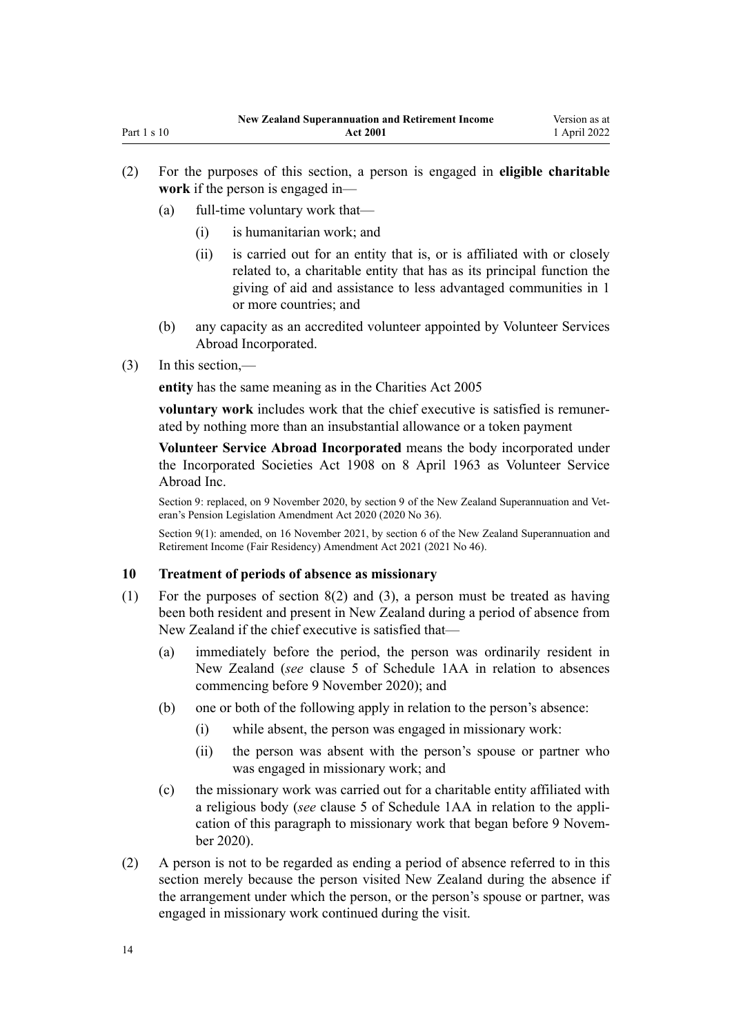- <span id="page-13-0"></span>(a) full-time voluntary work that—
	- (i) is humanitarian work; and
	- (ii) is carried out for an entity that is, or is affiliated with or closely related to, a charitable entity that has as its principal function the giving of aid and assistance to less advantaged communities in 1 or more countries; and
- (b) any capacity as an accredited volunteer appointed by Volunteer Services Abroad Incorporated.
- (3) In this section,—

**entity** has the same meaning as in the [Charities Act 2005](http://legislation.govt.nz/pdflink.aspx?id=DLM344367)

**voluntary work** includes work that the chief executive is satisfied is remuner‐ ated by nothing more than an insubstantial allowance or a token payment

**Volunteer Service Abroad Incorporated** means the body incorporated under the [Incorporated Societies Act 1908](http://legislation.govt.nz/pdflink.aspx?id=DLM175774) on 8 April 1963 as Volunteer Service Abroad Inc.

Section 9: replaced, on 9 November 2020, by [section 9](http://legislation.govt.nz/pdflink.aspx?id=LMS242788) of the New Zealand Superannuation and Veteran's Pension Legislation Amendment Act 2020 (2020 No 36).

Section 9(1): amended, on 16 November 2021, by [section 6](http://legislation.govt.nz/pdflink.aspx?id=LMS481774) of the New Zealand Superannuation and Retirement Income (Fair Residency) Amendment Act 2021 (2021 No 46).

### **10 Treatment of periods of absence as missionary**

- (1) For the purposes of [section 8\(2\) and \(3\),](#page-10-0) a person must be treated as having been both resident and present in New Zealand during a period of absence from New Zealand if the chief executive is satisfied that—
	- (a) immediately before the period, the person was ordinarily resident in New Zealand (*see* [clause 5](#page-57-0) of Schedule 1AA in relation to absences commencing before 9 November 2020); and
	- (b) one or both of the following apply in relation to the person's absence:
		- (i) while absent, the person was engaged in missionary work:
		- (ii) the person was absent with the person's spouse or partner who was engaged in missionary work; and
	- (c) the missionary work was carried out for a charitable entity affiliated with a religious body (*see* [clause 5](#page-57-0) of Schedule 1AA in relation to the appli‐ cation of this paragraph to missionary work that began before 9 Novem‐ ber 2020).
- (2) A person is not to be regarded as ending a period of absence referred to in this section merely because the person visited New Zealand during the absence if the arrangement under which the person, or the person's spouse or partner, was engaged in missionary work continued during the visit.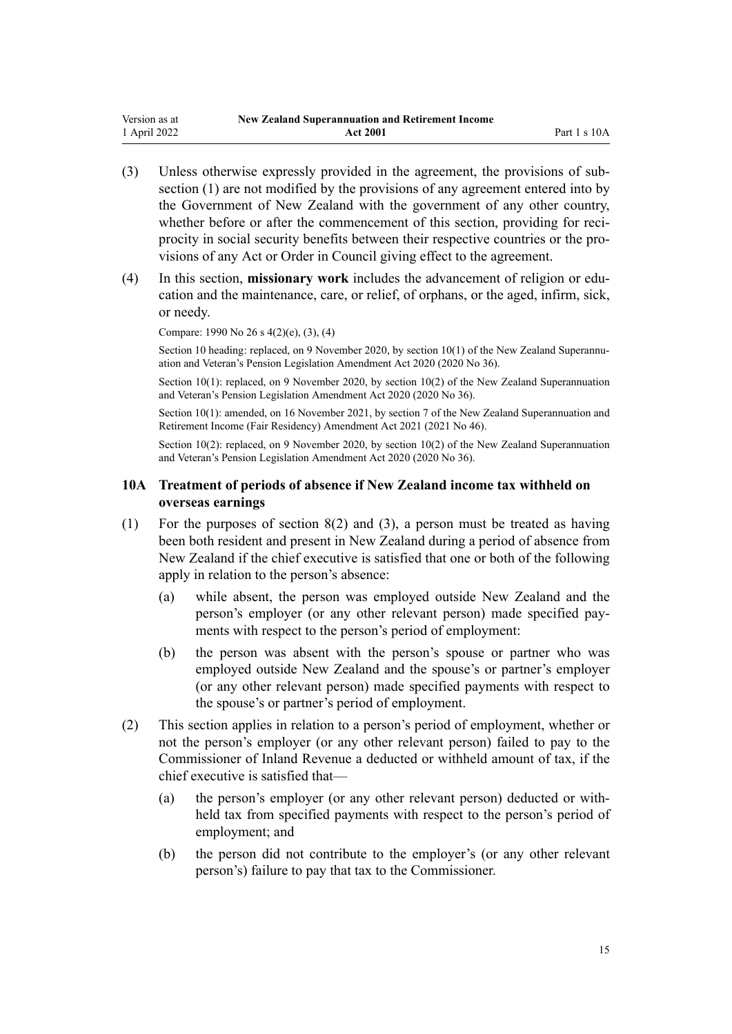- <span id="page-14-0"></span>(3) Unless otherwise expressly provided in the agreement, the provisions of sub‐ section (1) are not modified by the provisions of any agreement entered into by the Government of New Zealand with the government of any other country, whether before or after the commencement of this section, providing for reciprocity in social security benefits between their respective countries or the provisions of any Act or Order in Council giving effect to the agreement.
- (4) In this section, **missionary work** includes the advancement of religion or edu‐ cation and the maintenance, care, or relief, of orphans, or the aged, infirm, sick, or needy.

Compare: 1990 No 26 [s 4\(2\)\(e\), \(3\), \(4\)](http://legislation.govt.nz/pdflink.aspx?id=DLM204107)

Section 10 heading: replaced, on 9 November 2020, by section  $10(1)$  of the New Zealand Superannuation and Veteran's Pension Legislation Amendment Act 2020 (2020 No 36).

Section 10(1): replaced, on 9 November 2020, by [section 10\(2\)](http://legislation.govt.nz/pdflink.aspx?id=LMS242789) of the New Zealand Superannuation and Veteran's Pension Legislation Amendment Act 2020 (2020 No 36).

Section 10(1): amended, on 16 November 2021, by [section 7](http://legislation.govt.nz/pdflink.aspx?id=LMS481778) of the New Zealand Superannuation and Retirement Income (Fair Residency) Amendment Act 2021 (2021 No 46).

Section 10(2): replaced, on 9 November 2020, by [section 10\(2\)](http://legislation.govt.nz/pdflink.aspx?id=LMS242789) of the New Zealand Superannuation and Veteran's Pension Legislation Amendment Act 2020 (2020 No 36).

## **10A Treatment of periods of absence if New Zealand income tax withheld on overseas earnings**

- (1) For the purposes of [section 8\(2\) and \(3\),](#page-10-0) a person must be treated as having been both resident and present in New Zealand during a period of absence from New Zealand if the chief executive is satisfied that one or both of the following apply in relation to the person's absence:
	- (a) while absent, the person was employed outside New Zealand and the person's employer (or any other relevant person) made specified pay‐ ments with respect to the person's period of employment:
	- (b) the person was absent with the person's spouse or partner who was employed outside New Zealand and the spouse's or partner's employer (or any other relevant person) made specified payments with respect to the spouse's or partner's period of employment.
- (2) This section applies in relation to a person's period of employment, whether or not the person's employer (or any other relevant person) failed to pay to the Commissioner of Inland Revenue a deducted or withheld amount of tax, if the chief executive is satisfied that—
	- (a) the person's employer (or any other relevant person) deducted or with‐ held tax from specified payments with respect to the person's period of employment; and
	- (b) the person did not contribute to the employer's (or any other relevant person's) failure to pay that tax to the Commissioner.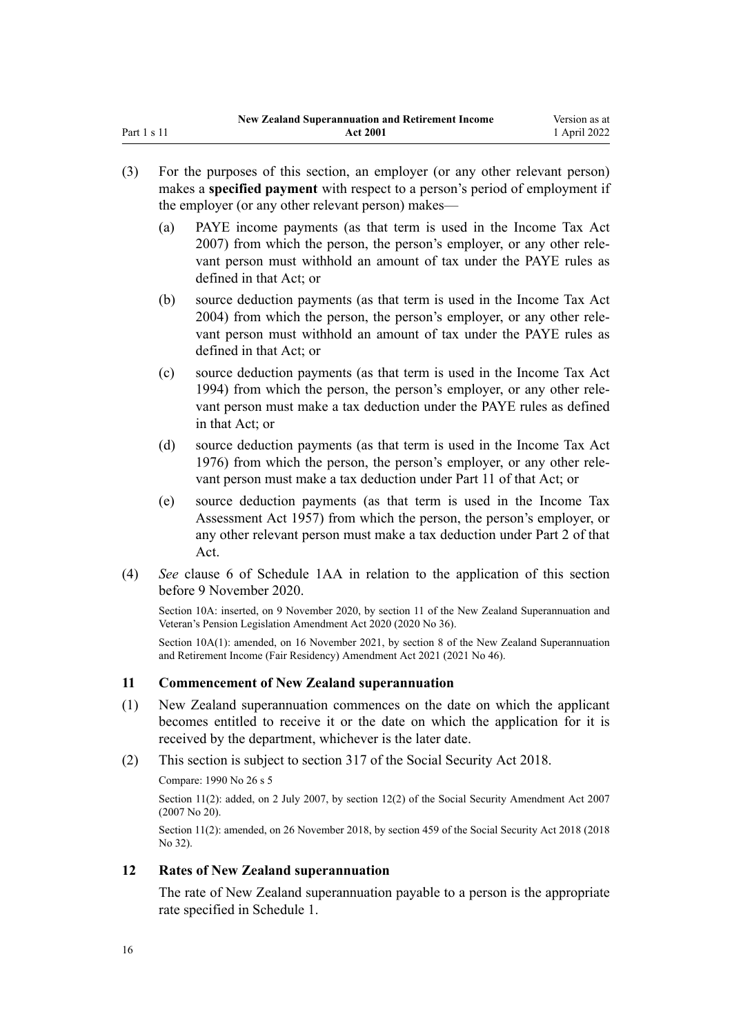- <span id="page-15-0"></span>(3) For the purposes of this section, an employer (or any other relevant person) makes a **specified payment** with respect to a person's period of employment if the employer (or any other relevant person) makes—
	- (a) PAYE income payments (as that term is used in the [Income Tax Act](http://legislation.govt.nz/pdflink.aspx?id=DLM1512300) [2007](http://legislation.govt.nz/pdflink.aspx?id=DLM1512300)) from which the person, the person's employer, or any other rele‐ vant person must withhold an amount of tax under the PAYE rules as defined in that Act; or
	- (b) source deduction payments (as that term is used in the [Income Tax Act](http://legislation.govt.nz/pdflink.aspx?id=DLM245341) [2004](http://legislation.govt.nz/pdflink.aspx?id=DLM245341)) from which the person, the person's employer, or any other rele‐ vant person must withhold an amount of tax under the PAYE rules as defined in that Act; or
	- (c) source deduction payments (as that term is used in the [Income Tax Act](http://legislation.govt.nz/pdflink.aspx?id=DLM1184504) [1994](http://legislation.govt.nz/pdflink.aspx?id=DLM1184504)) from which the person, the person's employer, or any other rele‐ vant person must make a tax deduction under the PAYE rules as defined in that Act; or
	- (d) source deduction payments (as that term is used in the [Income Tax Act](http://legislation.govt.nz/pdflink.aspx?id=DLM2474800) [1976](http://legislation.govt.nz/pdflink.aspx?id=DLM2474800)) from which the person, the person's employer, or any other rele‐ vant person must make a tax deduction under Part 11 of that Act; or
	- (e) source deduction payments (as that term is used in the Income Tax Assessment Act 1957) from which the person, the person's employer, or any other relevant person must make a tax deduction under Part 2 of that Act.
- (4) *See* [clause 6](#page-57-0) of Schedule 1AA in relation to the application of this section before 9 November 2020.

Section 10A: inserted, on 9 November 2020, by [section 11](http://legislation.govt.nz/pdflink.aspx?id=LMS242792) of the New Zealand Superannuation and Veteran's Pension Legislation Amendment Act 2020 (2020 No 36).

Section 10A(1): amended, on 16 November 2021, by [section 8](http://legislation.govt.nz/pdflink.aspx?id=LMS481780) of the New Zealand Superannuation and Retirement Income (Fair Residency) Amendment Act 2021 (2021 No 46).

## **11 Commencement of New Zealand superannuation**

- (1) New Zealand superannuation commences on the date on which the applicant becomes entitled to receive it or the date on which the application for it is received by the department, whichever is the later date.
- (2) This section is subject to [section 317](http://legislation.govt.nz/pdflink.aspx?id=DLM6783789) of the Social Security Act 2018.

Compare: 1990 No 26 [s 5](http://legislation.govt.nz/pdflink.aspx?id=DLM204111)

Section 11(2): added, on 2 July 2007, by [section 12\(2\)](http://legislation.govt.nz/pdflink.aspx?id=DLM408566) of the Social Security Amendment Act 2007 (2007 No 20).

Section 11(2): amended, on 26 November 2018, by [section 459](http://legislation.govt.nz/pdflink.aspx?id=DLM6784038) of the Social Security Act 2018 (2018 No 32).

## **12 Rates of New Zealand superannuation**

The rate of New Zealand superannuation payable to a person is the appropriate rate specified in [Schedule 1](#page-62-0).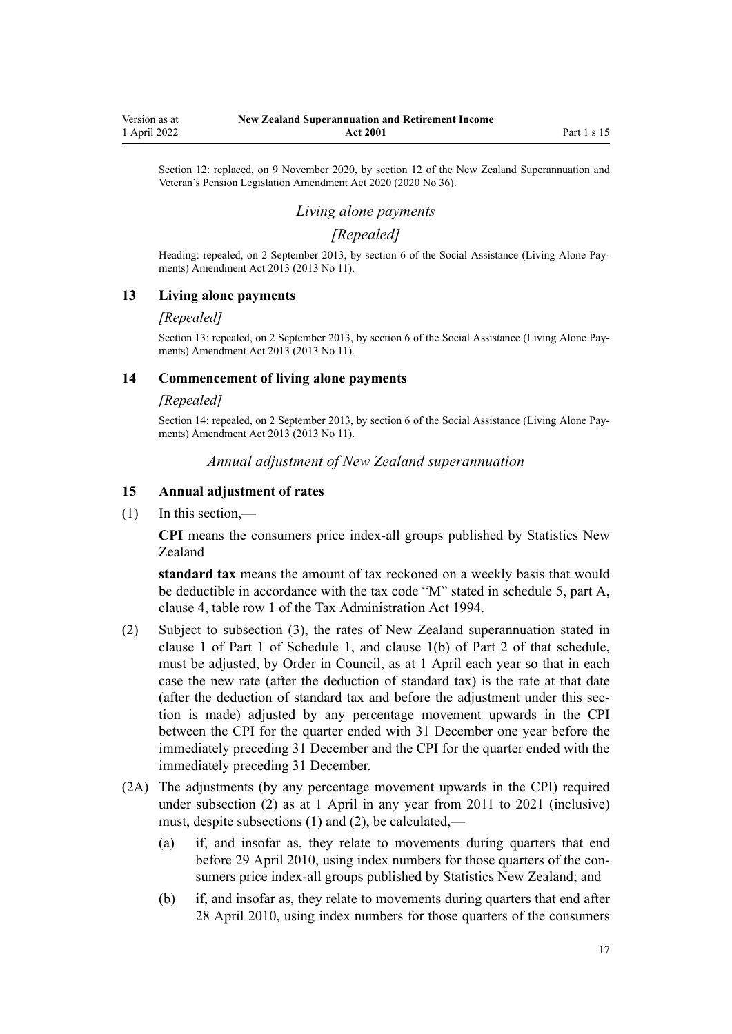<span id="page-16-0"></span>Section 12: replaced, on 9 November 2020, by [section 12](http://legislation.govt.nz/pdflink.aspx?id=LMS242793) of the New Zealand Superannuation and Veteran's Pension Legislation Amendment Act 2020 (2020 No 36).

# *Living alone payments*

# *[Repealed]*

Heading: repealed, on 2 September 2013, by [section 6](http://legislation.govt.nz/pdflink.aspx?id=DLM3365233) of the Social Assistance (Living Alone Pay‐ ments) Amendment Act 2013 (2013 No 11).

## **13 Living alone payments**

#### *[Repealed]*

Section 13: repealed, on 2 September 2013, by [section 6](http://legislation.govt.nz/pdflink.aspx?id=DLM3365233) of the Social Assistance (Living Alone Payments) Amendment Act 2013 (2013 No 11).

### **14 Commencement of living alone payments**

#### *[Repealed]*

Section 14: repealed, on 2 September 2013, by [section 6](http://legislation.govt.nz/pdflink.aspx?id=DLM3365233) of the Social Assistance (Living Alone Pay‐ ments) Amendment Act 2013 (2013 No 11).

## *Annual adjustment of New Zealand superannuation*

## **15 Annual adjustment of rates**

 $(1)$  In this section,—

**CPI** means the consumers price index-all groups published by Statistics New Zealand

**standard tax** means the amount of tax reckoned on a weekly basis that would be deductible in accordance with the tax code "M" stated in schedule 5, part A, [clause 4,](http://legislation.govt.nz/pdflink.aspx?id=LMS195594) table row 1 of the Tax Administration Act 1994.

- (2) Subject to subsection (3), the rates of New Zealand superannuation stated in clause 1 of Part 1 of [Schedule 1,](#page-62-0) and clause 1(b) of Part 2 of that schedule, must be adjusted, by Order in Council, as at 1 April each year so that in each case the new rate (after the deduction of standard tax) is the rate at that date (after the deduction of standard tax and before the adjustment under this sec‐ tion is made) adjusted by any percentage movement upwards in the CPI between the CPI for the quarter ended with 31 December one year before the immediately preceding 31 December and the CPI for the quarter ended with the immediately preceding 31 December.
- (2A) The adjustments (by any percentage movement upwards in the CPI) required under subsection (2) as at 1 April in any year from 2011 to 2021 (inclusive) must, despite subsections (1) and (2), be calculated,—
	- (a) if, and insofar as, they relate to movements during quarters that end before 29 April 2010, using index numbers for those quarters of the consumers price index-all groups published by Statistics New Zealand; and
	- (b) if, and insofar as, they relate to movements during quarters that end after 28 April 2010, using index numbers for those quarters of the consumers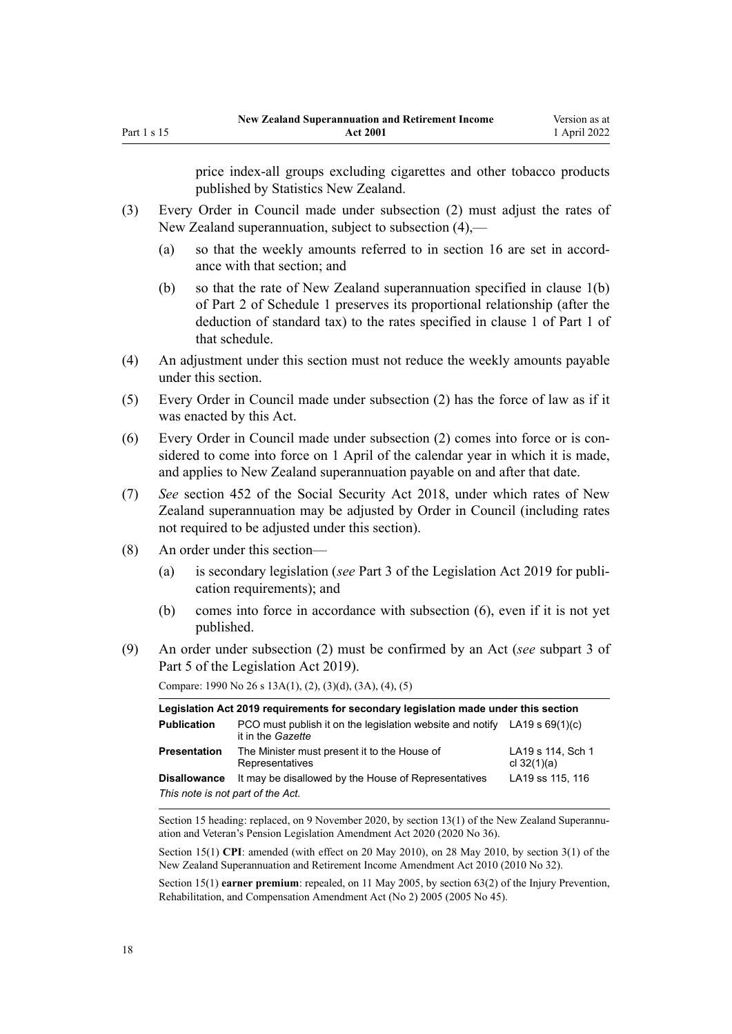price index-all groups excluding cigarettes and other tobacco products published by Statistics New Zealand.

- (3) Every Order in Council made under subsection (2) must adjust the rates of New Zealand superannuation, subject to subsection (4),—
	- (a) so that the weekly amounts referred to in [section 16](#page-18-0) are set in accord‐ ance with that section; and
	- (b) so that the rate of New Zealand superannuation specified in clause 1(b) of Part 2 of [Schedule 1](#page-62-0) preserves its proportional relationship (after the deduction of standard tax) to the rates specified in clause 1 of Part 1 of that schedule.
- (4) An adjustment under this section must not reduce the weekly amounts payable under this section.
- (5) Every Order in Council made under subsection (2) has the force of law as if it was enacted by this Act.
- (6) Every Order in Council made under subsection (2) comes into force or is con‐ sidered to come into force on 1 April of the calendar year in which it is made, and applies to New Zealand superannuation payable on and after that date.
- (7) *See* [section 452](http://legislation.govt.nz/pdflink.aspx?id=DLM6784026) of the Social Security Act 2018, under which rates of New Zealand superannuation may be adjusted by Order in Council (including rates not required to be adjusted under this section).
- (8) An order under this section—
	- (a) is secondary legislation (*see* [Part 3](http://legislation.govt.nz/pdflink.aspx?id=DLM7298343) of the Legislation Act 2019 for publi‐ cation requirements); and
	- (b) comes into force in accordance with subsection (6), even if it is not yet published.
- (9) An order under subsection (2) must be confirmed by an Act (*see* [subpart 3](http://legislation.govt.nz/pdflink.aspx?id=DLM7298438) of Part 5 of the Legislation Act 2019).

Compare: 1990 No 26 [s 13A\(1\), \(2\), \(3\)\(d\), \(3A\), \(4\), \(5\)](http://legislation.govt.nz/pdflink.aspx?id=DLM204150)

| Legislation Act 2019 requirements for secondary legislation made under this section |                                                                                                  |                                    |  |
|-------------------------------------------------------------------------------------|--------------------------------------------------------------------------------------------------|------------------------------------|--|
| <b>Publication</b>                                                                  | PCO must publish it on the legislation website and notify LA19 s $69(1)(c)$<br>it in the Gazette |                                    |  |
| <b>Presentation</b>                                                                 | The Minister must present it to the House of<br>Representatives                                  | LA19 s 114, Sch 1<br>cl $32(1)(a)$ |  |
| <b>Disallowance</b>                                                                 | It may be disallowed by the House of Representatives                                             | LA19 ss 115, 116                   |  |
| This note is not part of the Act.                                                   |                                                                                                  |                                    |  |

Section 15 heading: replaced, on 9 November 2020, by section  $13(1)$  of the New Zealand Superannuation and Veteran's Pension Legislation Amendment Act 2020 (2020 No 36).

Section 15(1) **CPI**: amended (with effect on 20 May 2010), on 28 May 2010, by [section 3\(1\)](http://legislation.govt.nz/pdflink.aspx?id=DLM2988606) of the New Zealand Superannuation and Retirement Income Amendment Act 2010 (2010 No 32).

Section 15(1) **earner premium**: repealed, on 11 May 2005, by [section 63\(2\)](http://legislation.govt.nz/pdflink.aspx?id=DLM347257) of the Injury Prevention, Rehabilitation, and Compensation Amendment Act (No 2) 2005 (2005 No 45).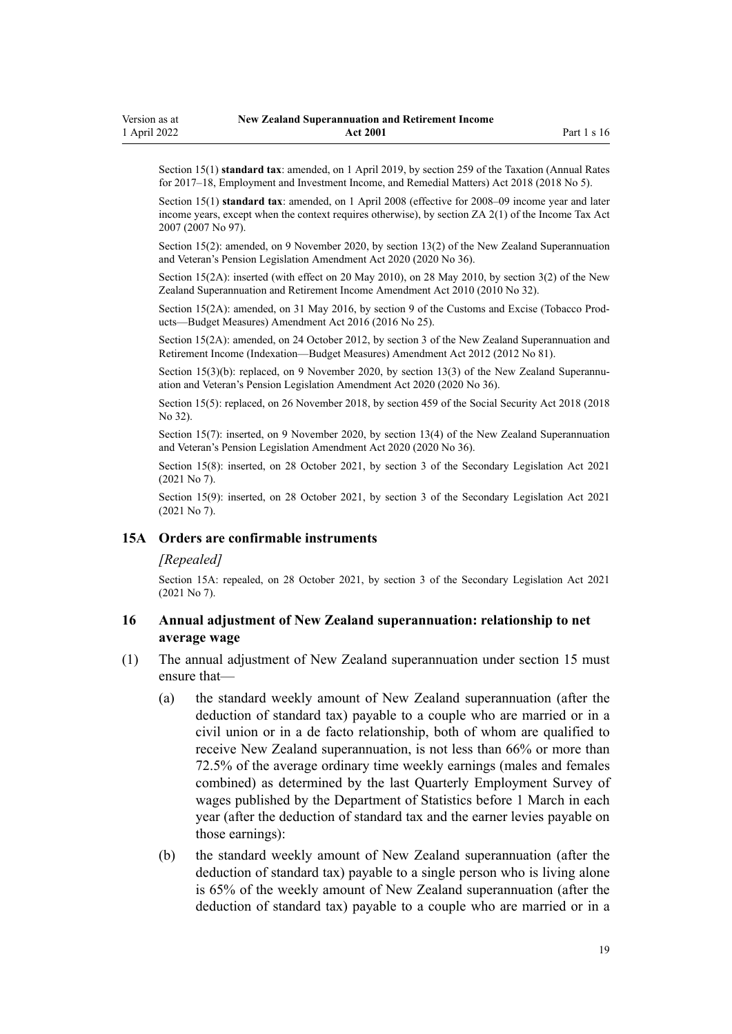<span id="page-18-0"></span>Section 15(1) **standard tax**: amended, on 1 April 2019, by [section 259](http://legislation.govt.nz/pdflink.aspx?id=LMS12363) of the Taxation (Annual Rates for 2017–18, Employment and Investment Income, and Remedial Matters) Act 2018 (2018 No 5).

Section 15(1) **standard tax**: amended, on 1 April 2008 (effective for 2008–09 income year and later income years, except when the context requires otherwise), by [section ZA 2\(1\)](http://legislation.govt.nz/pdflink.aspx?id=DLM1523176) of the Income Tax Act 2007 (2007 No 97).

Section 15(2): amended, on 9 November 2020, by [section 13\(2\)](http://legislation.govt.nz/pdflink.aspx?id=LMS242794) of the New Zealand Superannuation and Veteran's Pension Legislation Amendment Act 2020 (2020 No 36).

Section 15(2A): inserted (with effect on 20 May 2010), on 28 May 2010, by [section 3\(2\)](http://legislation.govt.nz/pdflink.aspx?id=DLM2988606) of the New Zealand Superannuation and Retirement Income Amendment Act 2010 (2010 No 32).

Section 15(2A): amended, on 31 May 2016, by [section 9](http://legislation.govt.nz/pdflink.aspx?id=DLM6851124) of the Customs and Excise (Tobacco Products—Budget Measures) Amendment Act 2016 (2016 No 25).

Section 15(2A): amended, on 24 October 2012, by [section 3](http://legislation.govt.nz/pdflink.aspx?id=DLM4767507) of the New Zealand Superannuation and Retirement Income (Indexation—Budget Measures) Amendment Act 2012 (2012 No 81).

Section 15(3)(b): replaced, on 9 November 2020, by [section 13\(3\)](http://legislation.govt.nz/pdflink.aspx?id=LMS242794) of the New Zealand Superannuation and Veteran's Pension Legislation Amendment Act 2020 (2020 No 36).

Section 15(5): replaced, on 26 November 2018, by [section 459](http://legislation.govt.nz/pdflink.aspx?id=DLM6784038) of the Social Security Act 2018 (2018 No 32).

Section 15(7): inserted, on 9 November 2020, by [section 13\(4\)](http://legislation.govt.nz/pdflink.aspx?id=LMS242794) of the New Zealand Superannuation and Veteran's Pension Legislation Amendment Act 2020 (2020 No 36).

Section 15(8): inserted, on 28 October 2021, by [section 3](http://legislation.govt.nz/pdflink.aspx?id=LMS268932) of the Secondary Legislation Act 2021 (2021 No 7).

Section 15(9): inserted, on 28 October 2021, by [section 3](http://legislation.govt.nz/pdflink.aspx?id=LMS268932) of the Secondary Legislation Act 2021 (2021 No 7).

#### **15A Orders are confirmable instruments**

#### *[Repealed]*

Section 15A: repealed, on 28 October 2021, by [section 3](http://legislation.govt.nz/pdflink.aspx?id=LMS268932) of the Secondary Legislation Act 2021 (2021 No 7).

## **16 Annual adjustment of New Zealand superannuation: relationship to net average wage**

- (1) The annual adjustment of New Zealand superannuation under [section 15](#page-16-0) must ensure that—
	- (a) the standard weekly amount of New Zealand superannuation (after the deduction of standard tax) payable to a couple who are married or in a civil union or in a de facto relationship, both of whom are qualified to receive New Zealand superannuation, is not less than 66% or more than 72.5% of the average ordinary time weekly earnings (males and females combined) as determined by the last Quarterly Employment Survey of wages published by the Department of Statistics before 1 March in each year (after the deduction of standard tax and the earner levies payable on those earnings):
	- (b) the standard weekly amount of New Zealand superannuation (after the deduction of standard tax) payable to a single person who is living alone is 65% of the weekly amount of New Zealand superannuation (after the deduction of standard tax) payable to a couple who are married or in a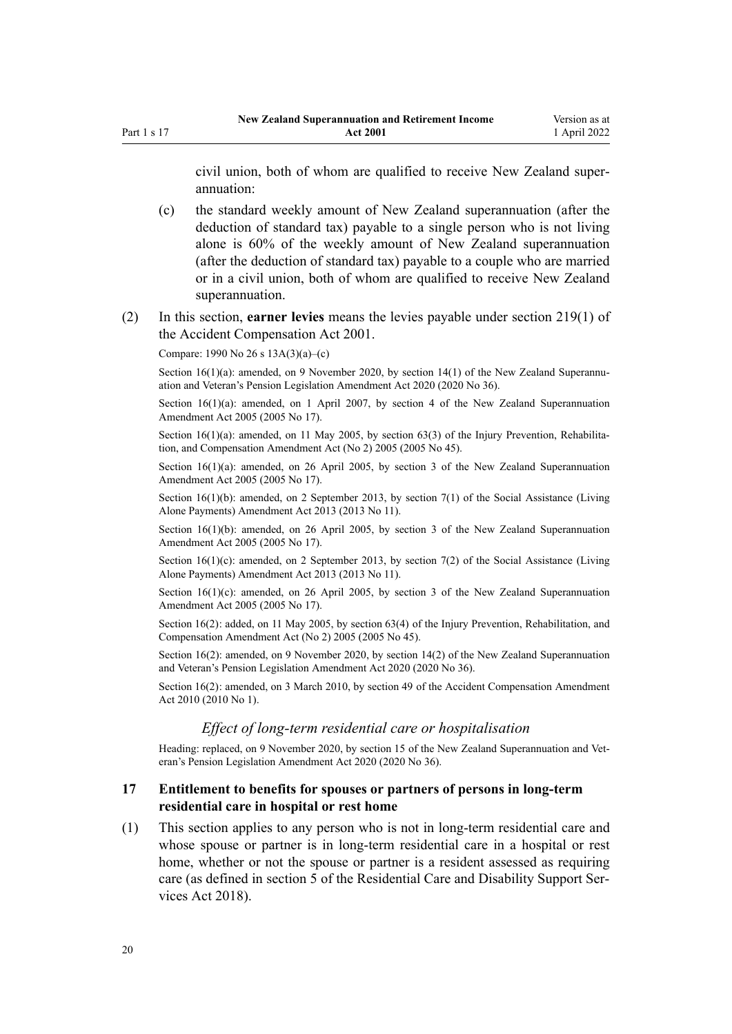<span id="page-19-0"></span>civil union, both of whom are qualified to receive New Zealand super‐ annuation:

(c) the standard weekly amount of New Zealand superannuation (after the deduction of standard tax) payable to a single person who is not living alone is 60% of the weekly amount of New Zealand superannuation (after the deduction of standard tax) payable to a couple who are married or in a civil union, both of whom are qualified to receive New Zealand superannuation.

#### (2) In this section, **earner levies** means the levies payable under [section 219\(1\)](http://legislation.govt.nz/pdflink.aspx?id=DLM102835) of the Accident Compensation Act 2001.

Compare: 1990 No 26 [s 13A\(3\)\(a\)–\(c\)](http://legislation.govt.nz/pdflink.aspx?id=DLM204150)

Section  $16(1)(a)$ : amended, on 9 November 2020, by section  $14(1)$  of the New Zealand Superannuation and Veteran's Pension Legislation Amendment Act 2020 (2020 No 36).

Section  $16(1)(a)$ : amended, on 1 April 2007, by [section 4](http://legislation.govt.nz/pdflink.aspx?id=DLM336343) of the New Zealand Superannuation Amendment Act 2005 (2005 No 17).

Section  $16(1)(a)$ : amended, on 11 May 2005, by [section 63\(3\)](http://legislation.govt.nz/pdflink.aspx?id=DLM347257) of the Injury Prevention, Rehabilitation, and Compensation Amendment Act (No 2) 2005 (2005 No 45).

Section 16(1)(a): amended, on 26 April 2005, by [section 3](http://legislation.govt.nz/pdflink.aspx?id=DLM336342) of the New Zealand Superannuation Amendment Act 2005 (2005 No 17).

Section 16(1)(b): amended, on 2 September 2013, by [section 7\(1\)](http://legislation.govt.nz/pdflink.aspx?id=DLM3365234) of the Social Assistance (Living Alone Payments) Amendment Act 2013 (2013 No 11).

Section 16(1)(b): amended, on 26 April 2005, by [section 3](http://legislation.govt.nz/pdflink.aspx?id=DLM336342) of the New Zealand Superannuation Amendment Act 2005 (2005 No 17).

Section  $16(1)(c)$ : amended, on 2 September 2013, by [section 7\(2\)](http://legislation.govt.nz/pdflink.aspx?id=DLM3365234) of the Social Assistance (Living Alone Payments) Amendment Act 2013 (2013 No 11).

Section  $16(1)(c)$ : amended, on 26 April 2005, by [section 3](http://legislation.govt.nz/pdflink.aspx?id=DLM336342) of the New Zealand Superannuation Amendment Act 2005 (2005 No 17).

Section 16(2): added, on 11 May 2005, by [section 63\(4\)](http://legislation.govt.nz/pdflink.aspx?id=DLM347257) of the Injury Prevention, Rehabilitation, and Compensation Amendment Act (No 2) 2005 (2005 No 45).

Section 16(2): amended, on 9 November 2020, by [section 14\(2\)](http://legislation.govt.nz/pdflink.aspx?id=LMS242795) of the New Zealand Superannuation and Veteran's Pension Legislation Amendment Act 2020 (2020 No 36).

Section 16(2): amended, on 3 March 2010, by [section 49](http://legislation.govt.nz/pdflink.aspx?id=DLM2417572) of the Accident Compensation Amendment Act 2010 (2010 No 1).

## *Effect of long-term residential care or hospitalisation*

Heading: replaced, on 9 November 2020, by [section 15](http://legislation.govt.nz/pdflink.aspx?id=LMS242796) of the New Zealand Superannuation and Veteran's Pension Legislation Amendment Act 2020 (2020 No 36).

## **17 Entitlement to benefits for spouses or partners of persons in long-term residential care in hospital or rest home**

(1) This section applies to any person who is not in long-term residential care and whose spouse or partner is in long-term residential care in a hospital or rest home, whether or not the spouse or partner is a resident assessed as requiring care (as defined in [section 5](http://legislation.govt.nz/pdflink.aspx?id=LMS41529) of the Residential Care and Disability Support Services Act 2018).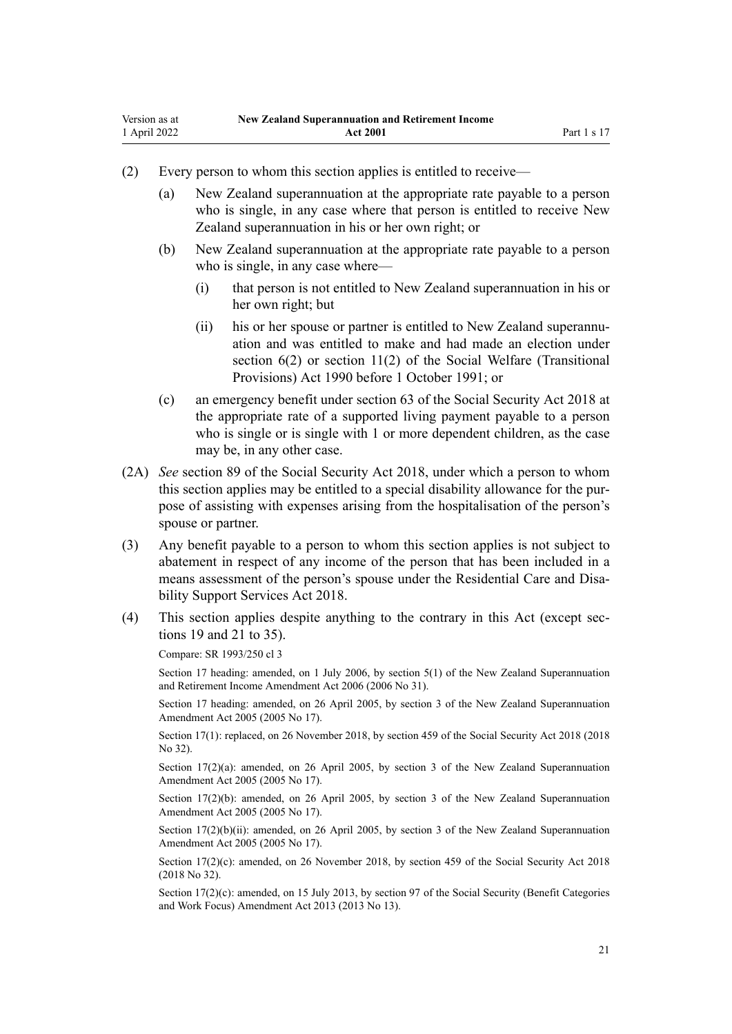- (2) Every person to whom this section applies is entitled to receive—
	- (a) New Zealand superannuation at the appropriate rate payable to a person who is single, in any case where that person is entitled to receive New Zealand superannuation in his or her own right; or
	- (b) New Zealand superannuation at the appropriate rate payable to a person who is single, in any case where—
		- (i) that person is not entitled to New Zealand superannuation in his or her own right; but
		- (ii) his or her spouse or partner is entitled to New Zealand superannuation and was entitled to make and had made an election under [section 6\(2\)](http://legislation.govt.nz/pdflink.aspx?id=DLM204115) or [section 11\(2\)](http://legislation.govt.nz/pdflink.aspx?id=DLM204143) of the Social Welfare (Transitional Provisions) Act 1990 before 1 October 1991; or
	- (c) an emergency benefit under [section 63](http://legislation.govt.nz/pdflink.aspx?id=DLM6783236) of the Social Security Act 2018 at the appropriate rate of a supported living payment payable to a person who is single or is single with 1 or more dependent children, as the case may be, in any other case.
- (2A) *See* [section 89](http://legislation.govt.nz/pdflink.aspx?id=DLM6783285) of the Social Security Act 2018, under which a person to whom this section applies may be entitled to a special disability allowance for the pur‐ pose of assisting with expenses arising from the hospitalisation of the person's spouse or partner.
- (3) Any benefit payable to a person to whom this section applies is not subject to abatement in respect of any income of the person that has been included in a means assessment of the person's spouse under the Residential Care and Disa[bility Support Services Act 2018.](http://legislation.govt.nz/pdflink.aspx?id=LMS41457)
- (4) This section applies despite anything to the contrary in this Act (except [sec‐](#page-21-0) [tions 19](#page-21-0) and [21 to 35](#page-23-0)).

Compare: SR 1993/250 cl 3

Section 17 heading: amended, on 1 July 2006, by [section 5\(1\)](http://legislation.govt.nz/pdflink.aspx?id=DLM374601) of the New Zealand Superannuation and Retirement Income Amendment Act 2006 (2006 No 31).

Section 17 heading: amended, on 26 April 2005, by [section 3](http://legislation.govt.nz/pdflink.aspx?id=DLM336342) of the New Zealand Superannuation Amendment Act 2005 (2005 No 17).

Section 17(1): replaced, on 26 November 2018, by [section 459](http://legislation.govt.nz/pdflink.aspx?id=DLM6784038) of the Social Security Act 2018 (2018  $No$  32).

Section 17(2)(a): amended, on 26 April 2005, by [section 3](http://legislation.govt.nz/pdflink.aspx?id=DLM336342) of the New Zealand Superannuation Amendment Act 2005 (2005 No 17).

Section 17(2)(b): amended, on 26 April 2005, by [section 3](http://legislation.govt.nz/pdflink.aspx?id=DLM336342) of the New Zealand Superannuation Amendment Act 2005 (2005 No 17).

Section 17(2)(b)(ii): amended, on 26 April 2005, by [section 3](http://legislation.govt.nz/pdflink.aspx?id=DLM336342) of the New Zealand Superannuation Amendment Act 2005 (2005 No 17).

Section 17(2)(c): amended, on 26 November 2018, by [section 459](http://legislation.govt.nz/pdflink.aspx?id=DLM6784038) of the Social Security Act 2018 (2018 No 32).

Section 17(2)(c): amended, on 15 July 2013, by [section 97](http://legislation.govt.nz/pdflink.aspx?id=DLM4542434) of the Social Security (Benefit Categories and Work Focus) Amendment Act 2013 (2013 No 13).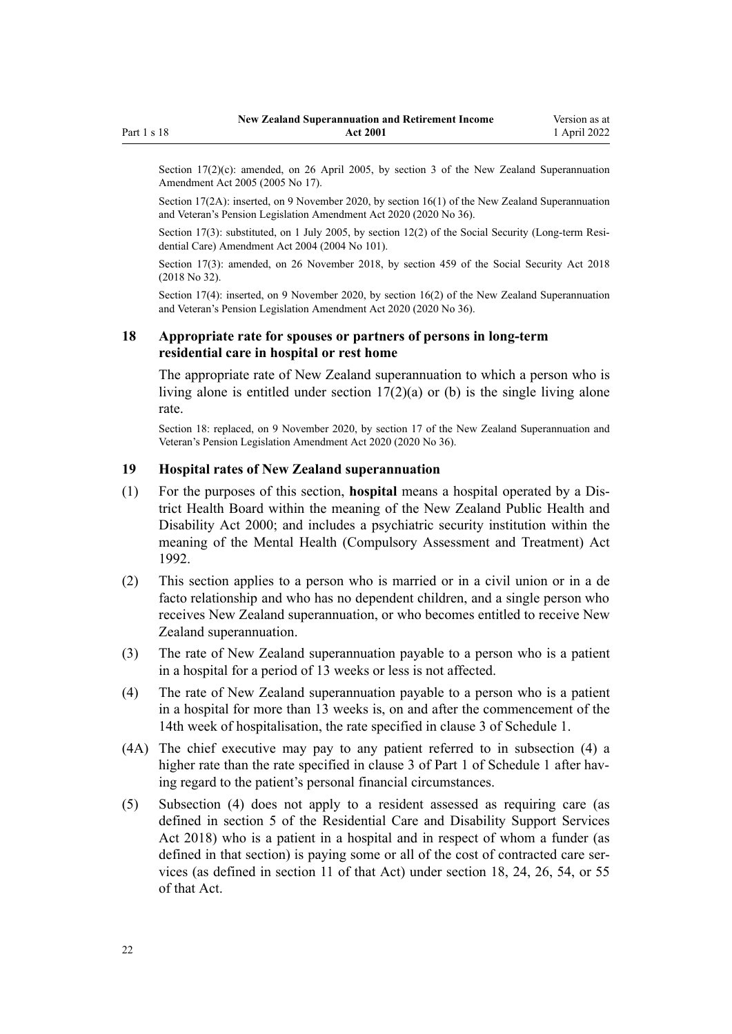<span id="page-21-0"></span>Section 17(2)(c): amended, on 26 April 2005, by [section 3](http://legislation.govt.nz/pdflink.aspx?id=DLM336342) of the New Zealand Superannuation Amendment Act 2005 (2005 No 17).

Section 17(2A): inserted, on 9 November 2020, by [section 16\(1\)](http://legislation.govt.nz/pdflink.aspx?id=LMS242797) of the New Zealand Superannuation and Veteran's Pension Legislation Amendment Act 2020 (2020 No 36).

Section 17(3): substituted, on 1 July 2005, by [section 12\(2\)](http://legislation.govt.nz/pdflink.aspx?id=DLM323319) of the Social Security (Long-term Residential Care) Amendment Act 2004 (2004 No 101).

Section 17(3): amended, on 26 November 2018, by [section 459](http://legislation.govt.nz/pdflink.aspx?id=DLM6784038) of the Social Security Act 2018 (2018 No 32).

Section 17(4): inserted, on 9 November 2020, by [section 16\(2\)](http://legislation.govt.nz/pdflink.aspx?id=LMS242797) of the New Zealand Superannuation and Veteran's Pension Legislation Amendment Act 2020 (2020 No 36).

## **18 Appropriate rate for spouses or partners of persons in long-term residential care in hospital or rest home**

The appropriate rate of New Zealand superannuation to which a person who is living alone is entitled under [section 17\(2\)\(a\) or \(b\)](#page-19-0) is the single living alone rate.

Section 18: replaced, on 9 November 2020, by [section 17](http://legislation.govt.nz/pdflink.aspx?id=LMS242799) of the New Zealand Superannuation and Veteran's Pension Legislation Amendment Act 2020 (2020 No 36).

### **19 Hospital rates of New Zealand superannuation**

- (1) For the purposes of this section, **hospital** means a hospital operated by a Dis‐ trict Health Board within the meaning of the [New Zealand Public Health and](http://legislation.govt.nz/pdflink.aspx?id=DLM80050) [Disability Act 2000;](http://legislation.govt.nz/pdflink.aspx?id=DLM80050) and includes a psychiatric security institution within the meaning of the [Mental Health \(Compulsory Assessment and Treatment\) Act](http://legislation.govt.nz/pdflink.aspx?id=DLM262175) [1992](http://legislation.govt.nz/pdflink.aspx?id=DLM262175).
- (2) This section applies to a person who is married or in a civil union or in a de facto relationship and who has no dependent children, and a single person who receives New Zealand superannuation, or who becomes entitled to receive New Zealand superannuation.
- (3) The rate of New Zealand superannuation payable to a person who is a patient in a hospital for a period of 13 weeks or less is not affected.
- (4) The rate of New Zealand superannuation payable to a person who is a patient in a hospital for more than 13 weeks is, on and after the commencement of the 14th week of hospitalisation, the rate specified in clause 3 of [Schedule 1.](#page-62-0)
- (4A) The chief executive may pay to any patient referred to in subsection (4) a higher rate than the rate specified in clause 3 of Part 1 of [Schedule 1](#page-62-0) after having regard to the patient's personal financial circumstances.
- (5) Subsection (4) does not apply to a resident assessed as requiring care (as defined in [section 5](http://legislation.govt.nz/pdflink.aspx?id=LMS41529) of the Residential Care and Disability Support Services Act 2018) who is a patient in a hospital and in respect of whom a funder (as defined in that section) is paying some or all of the cost of contracted care services (as defined in [section 11](http://legislation.govt.nz/pdflink.aspx?id=LMS41551) of that Act) under [section 18,](http://legislation.govt.nz/pdflink.aspx?id=LMS41564) [24,](http://legislation.govt.nz/pdflink.aspx?id=LMS41579) [26,](http://legislation.govt.nz/pdflink.aspx?id=LMS41582) [54,](http://legislation.govt.nz/pdflink.aspx?id=LMS41641) or [55](http://legislation.govt.nz/pdflink.aspx?id=LMS41642) of that Act.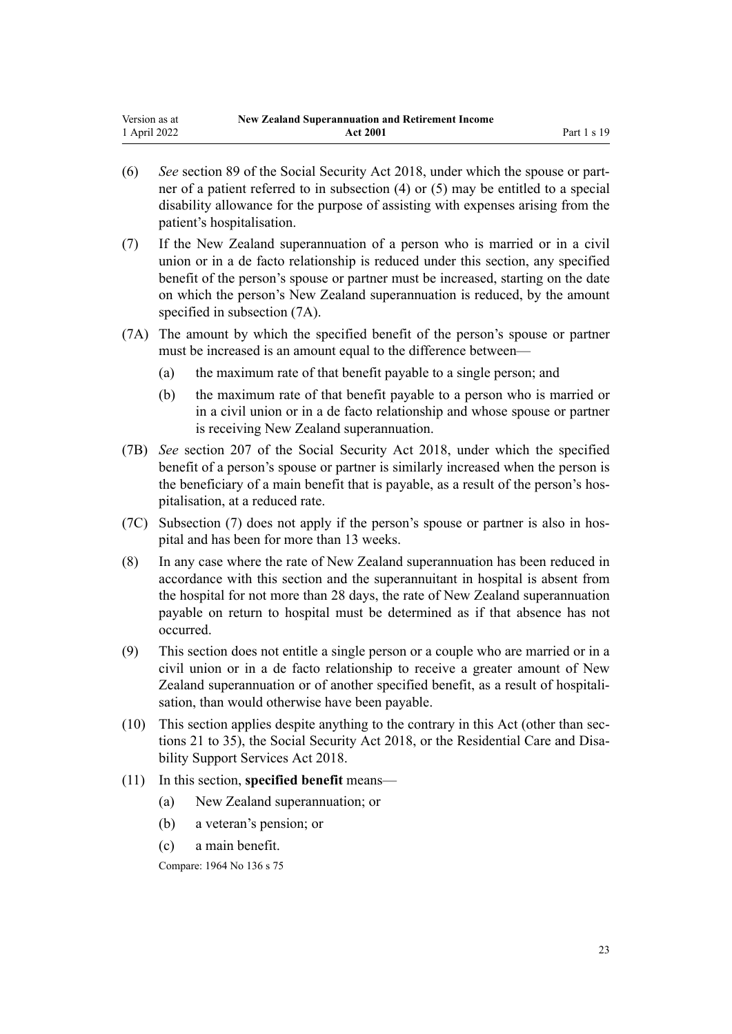- (6) *See* [section 89](http://legislation.govt.nz/pdflink.aspx?id=DLM6783285) of the Social Security Act 2018, under which the spouse or part‐ ner of a patient referred to in subsection (4) or (5) may be entitled to a special disability allowance for the purpose of assisting with expenses arising from the patient's hospitalisation.
- (7) If the New Zealand superannuation of a person who is married or in a civil union or in a de facto relationship is reduced under this section, any specified benefit of the person's spouse or partner must be increased, starting on the date on which the person's New Zealand superannuation is reduced, by the amount specified in subsection (7A).
- (7A) The amount by which the specified benefit of the person's spouse or partner must be increased is an amount equal to the difference between—
	- (a) the maximum rate of that benefit payable to a single person; and
	- (b) the maximum rate of that benefit payable to a person who is married or in a civil union or in a de facto relationship and whose spouse or partner is receiving New Zealand superannuation.
- (7B) *See* [section 207](http://legislation.govt.nz/pdflink.aspx?id=DLM6783547) of the Social Security Act 2018, under which the specified benefit of a person's spouse or partner is similarly increased when the person is the beneficiary of a main benefit that is payable, as a result of the person's hos‐ pitalisation, at a reduced rate.
- (7C) Subsection (7) does not apply if the person's spouse or partner is also in hos‐ pital and has been for more than 13 weeks.
- (8) In any case where the rate of New Zealand superannuation has been reduced in accordance with this section and the superannuitant in hospital is absent from the hospital for not more than 28 days, the rate of New Zealand superannuation payable on return to hospital must be determined as if that absence has not occurred.
- (9) This section does not entitle a single person or a couple who are married or in a civil union or in a de facto relationship to receive a greater amount of New Zealand superannuation or of another specified benefit, as a result of hospitalisation, than would otherwise have been payable.
- (10) This section applies despite anything to the contrary in this Act (other than [sec‐](#page-23-0) [tions 21 to 35\)](#page-23-0), the [Social Security Act 2018,](http://legislation.govt.nz/pdflink.aspx?id=DLM6783102) or the Residential Care and Disa[bility Support Services Act 2018.](http://legislation.govt.nz/pdflink.aspx?id=LMS41457)
- (11) In this section, **specified benefit** means—
	- (a) New Zealand superannuation; or
	- (b) a veteran's pension; or
	- (c) a main benefit.

Compare: 1964 No 136 [s 75](http://legislation.govt.nz/pdflink.aspx?id=DLM363920)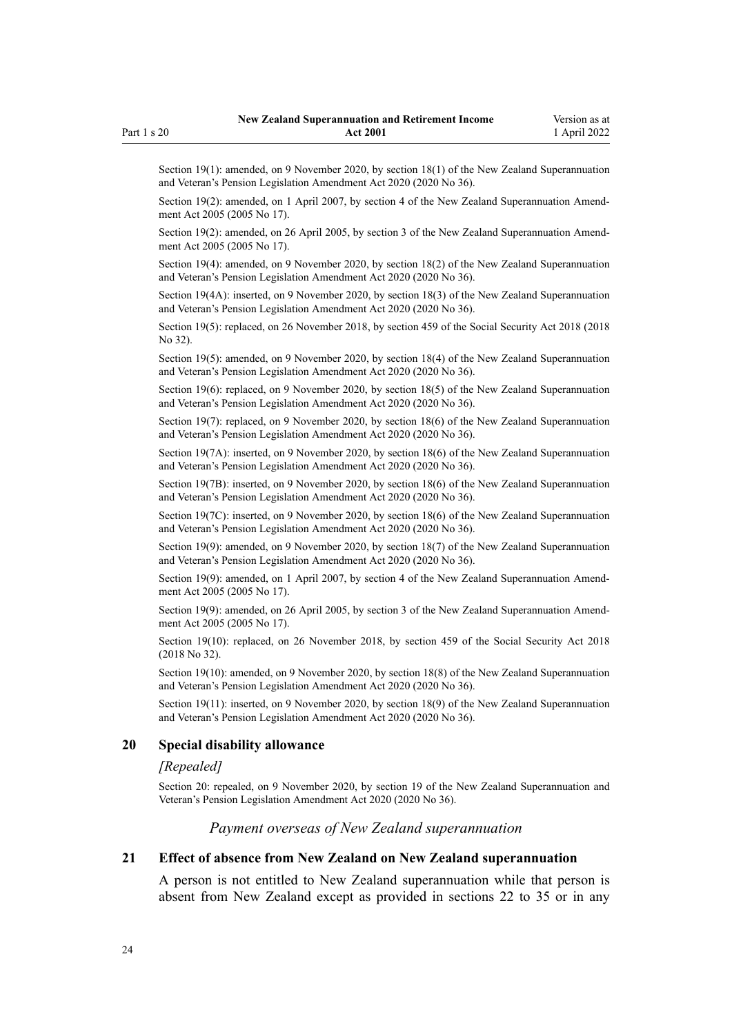<span id="page-23-0"></span>Section 19(1): amended, on 9 November 2020, by [section 18\(1\)](http://legislation.govt.nz/pdflink.aspx?id=LMS242800) of the New Zealand Superannuation and Veteran's Pension Legislation Amendment Act 2020 (2020 No 36).

Section 19(2): amended, on 1 April 2007, by [section 4](http://legislation.govt.nz/pdflink.aspx?id=DLM336343) of the New Zealand Superannuation Amendment Act 2005 (2005 No 17).

Section 19(2): amended, on 26 April 2005, by [section 3](http://legislation.govt.nz/pdflink.aspx?id=DLM336342) of the New Zealand Superannuation Amendment Act 2005 (2005 No 17).

Section 19(4): amended, on 9 November 2020, by [section 18\(2\)](http://legislation.govt.nz/pdflink.aspx?id=LMS242800) of the New Zealand Superannuation and Veteran's Pension Legislation Amendment Act 2020 (2020 No 36).

Section 19(4A): inserted, on 9 November 2020, by [section 18\(3\)](http://legislation.govt.nz/pdflink.aspx?id=LMS242800) of the New Zealand Superannuation and Veteran's Pension Legislation Amendment Act 2020 (2020 No 36).

Section 19(5): replaced, on 26 November 2018, by [section 459](http://legislation.govt.nz/pdflink.aspx?id=DLM6784038) of the Social Security Act 2018 (2018 No 32).

Section 19(5): amended, on 9 November 2020, by [section 18\(4\)](http://legislation.govt.nz/pdflink.aspx?id=LMS242800) of the New Zealand Superannuation and Veteran's Pension Legislation Amendment Act 2020 (2020 No 36).

Section 19(6): replaced, on 9 November 2020, by [section 18\(5\)](http://legislation.govt.nz/pdflink.aspx?id=LMS242800) of the New Zealand Superannuation and Veteran's Pension Legislation Amendment Act 2020 (2020 No 36).

Section 19(7): replaced, on 9 November 2020, by [section 18\(6\)](http://legislation.govt.nz/pdflink.aspx?id=LMS242800) of the New Zealand Superannuation and Veteran's Pension Legislation Amendment Act 2020 (2020 No 36).

Section 19(7A): inserted, on 9 November 2020, by [section 18\(6\)](http://legislation.govt.nz/pdflink.aspx?id=LMS242800) of the New Zealand Superannuation and Veteran's Pension Legislation Amendment Act 2020 (2020 No 36).

Section 19(7B): inserted, on 9 November 2020, by [section 18\(6\)](http://legislation.govt.nz/pdflink.aspx?id=LMS242800) of the New Zealand Superannuation and Veteran's Pension Legislation Amendment Act 2020 (2020 No 36).

Section 19(7C): inserted, on 9 November 2020, by [section 18\(6\)](http://legislation.govt.nz/pdflink.aspx?id=LMS242800) of the New Zealand Superannuation and Veteran's Pension Legislation Amendment Act 2020 (2020 No 36).

Section 19(9): amended, on 9 November 2020, by [section 18\(7\)](http://legislation.govt.nz/pdflink.aspx?id=LMS242800) of the New Zealand Superannuation and Veteran's Pension Legislation Amendment Act 2020 (2020 No 36).

Section 19(9): amended, on 1 April 2007, by [section 4](http://legislation.govt.nz/pdflink.aspx?id=DLM336343) of the New Zealand Superannuation Amendment Act 2005 (2005 No 17).

Section 19(9): amended, on 26 April 2005, by [section 3](http://legislation.govt.nz/pdflink.aspx?id=DLM336342) of the New Zealand Superannuation Amendment Act 2005 (2005 No 17).

Section 19(10): replaced, on 26 November 2018, by [section 459](http://legislation.govt.nz/pdflink.aspx?id=DLM6784038) of the Social Security Act 2018 (2018 No 32).

Section 19(10): amended, on 9 November 2020, by [section 18\(8\)](http://legislation.govt.nz/pdflink.aspx?id=LMS242800) of the New Zealand Superannuation and Veteran's Pension Legislation Amendment Act 2020 (2020 No 36).

Section 19(11): inserted, on 9 November 2020, by [section 18\(9\)](http://legislation.govt.nz/pdflink.aspx?id=LMS242800) of the New Zealand Superannuation and Veteran's Pension Legislation Amendment Act 2020 (2020 No 36).

#### **20 Special disability allowance**

#### *[Repealed]*

Section 20: repealed, on 9 November 2020, by [section 19](http://legislation.govt.nz/pdflink.aspx?id=LMS242801) of the New Zealand Superannuation and Veteran's Pension Legislation Amendment Act 2020 (2020 No 36).

#### *Payment overseas of New Zealand superannuation*

#### **21 Effect of absence from New Zealand on New Zealand superannuation**

A person is not entitled to New Zealand superannuation while that person is absent from New Zealand except as provided in [sections 22 to 35](#page-24-0) or in any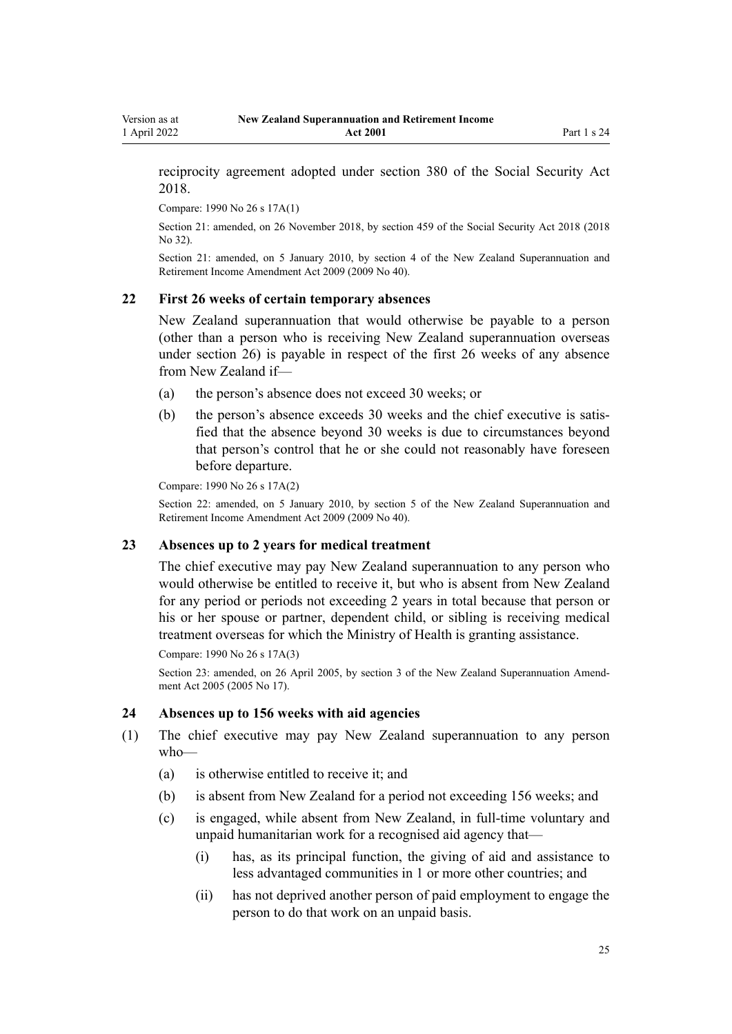reciprocity agreement adopted under [section 380](http://legislation.govt.nz/pdflink.aspx?id=DLM6783894) of the Social Security Act 2018.

Compare: 1990 No 26 [s 17A\(1\)](http://legislation.govt.nz/pdflink.aspx?id=DLM204190)

<span id="page-24-0"></span>Version as at 1 April 2022

> Section 21: amended, on 26 November 2018, by [section 459](http://legislation.govt.nz/pdflink.aspx?id=DLM6784038) of the Social Security Act 2018 (2018 No 32).

> Section 21: amended, on 5 January 2010, by [section 4](http://legislation.govt.nz/pdflink.aspx?id=DLM1609411) of the New Zealand Superannuation and Retirement Income Amendment Act 2009 (2009 No 40).

#### **22 First 26 weeks of certain temporary absences**

New Zealand superannuation that would otherwise be payable to a person (other than a person who is receiving New Zealand superannuation overseas under [section 26](#page-25-0)) is payable in respect of the first 26 weeks of any absence from New Zealand if—

- (a) the person's absence does not exceed 30 weeks; or
- (b) the person's absence exceeds 30 weeks and the chief executive is satisfied that the absence beyond 30 weeks is due to circumstances beyond that person's control that he or she could not reasonably have foreseen before departure.

Compare: 1990 No 26 [s 17A\(2\)](http://legislation.govt.nz/pdflink.aspx?id=DLM204190)

Section 22: amended, on 5 January 2010, by [section 5](http://legislation.govt.nz/pdflink.aspx?id=DLM1609412) of the New Zealand Superannuation and Retirement Income Amendment Act 2009 (2009 No 40).

## **23 Absences up to 2 years for medical treatment**

The chief executive may pay New Zealand superannuation to any person who would otherwise be entitled to receive it, but who is absent from New Zealand for any period or periods not exceeding 2 years in total because that person or his or her spouse or partner, dependent child, or sibling is receiving medical treatment overseas for which the Ministry of Health is granting assistance.

```
Compare: 1990 No 26 s 17A(3)
```
Section 23: amended, on 26 April 2005, by [section 3](http://legislation.govt.nz/pdflink.aspx?id=DLM336342) of the New Zealand Superannuation Amendment Act 2005 (2005 No 17).

#### **24 Absences up to 156 weeks with aid agencies**

- (1) The chief executive may pay New Zealand superannuation to any person who—
	- (a) is otherwise entitled to receive it; and
	- (b) is absent from New Zealand for a period not exceeding 156 weeks; and
	- (c) is engaged, while absent from New Zealand, in full-time voluntary and unpaid humanitarian work for a recognised aid agency that—
		- (i) has, as its principal function, the giving of aid and assistance to less advantaged communities in 1 or more other countries; and
		- (ii) has not deprived another person of paid employment to engage the person to do that work on an unpaid basis.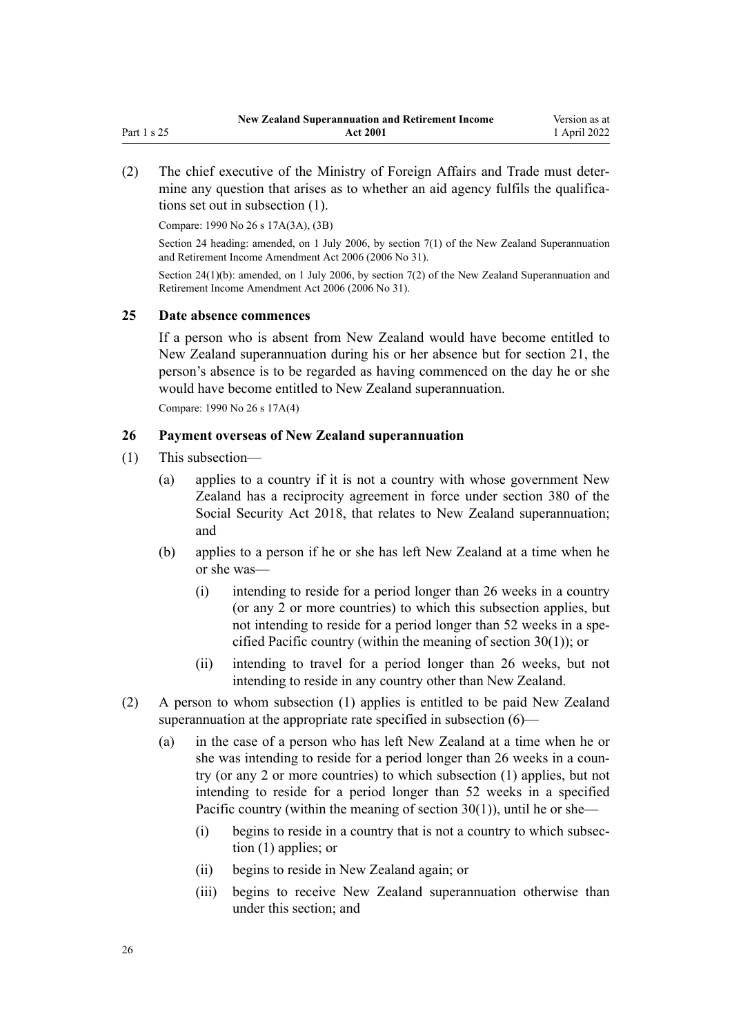<span id="page-25-0"></span>(2) The chief executive of the Ministry of Foreign Affairs and Trade must deter‐ mine any question that arises as to whether an aid agency fulfils the qualifications set out in subsection (1).

Compare: 1990 No 26 [s 17A\(3A\), \(3B\)](http://legislation.govt.nz/pdflink.aspx?id=DLM204190)

Section 24 heading: amended, on 1 July 2006, by [section 7\(1\)](http://legislation.govt.nz/pdflink.aspx?id=DLM374603) of the New Zealand Superannuation and Retirement Income Amendment Act 2006 (2006 No 31).

Section 24(1)(b): amended, on 1 July 2006, by [section 7\(2\)](http://legislation.govt.nz/pdflink.aspx?id=DLM374603) of the New Zealand Superannuation and Retirement Income Amendment Act 2006 (2006 No 31).

#### **25 Date absence commences**

If a person who is absent from New Zealand would have become entitled to New Zealand superannuation during his or her absence but for [section 21](#page-23-0), the person's absence is to be regarded as having commenced on the day he or she would have become entitled to New Zealand superannuation.

Compare: 1990 No 26 [s 17A\(4\)](http://legislation.govt.nz/pdflink.aspx?id=DLM204190)

## **26 Payment overseas of New Zealand superannuation**

- (1) This subsection—
	- (a) applies to a country if it is not a country with whose government New Zealand has a reciprocity agreement in force under [section 380](http://legislation.govt.nz/pdflink.aspx?id=DLM6783894) of the Social Security Act 2018, that relates to New Zealand superannuation; and
	- (b) applies to a person if he or she has left New Zealand at a time when he or she was—
		- (i) intending to reside for a period longer than 26 weeks in a country (or any 2 or more countries) to which this subsection applies, but not intending to reside for a period longer than 52 weeks in a specified Pacific country (within the meaning of [section 30\(1\)](#page-29-0)); or
		- (ii) intending to travel for a period longer than 26 weeks, but not intending to reside in any country other than New Zealand.
- (2) A person to whom subsection (1) applies is entitled to be paid New Zealand superannuation at the appropriate rate specified in subsection (6)—
	- (a) in the case of a person who has left New Zealand at a time when he or she was intending to reside for a period longer than 26 weeks in a country (or any 2 or more countries) to which subsection (1) applies, but not intending to reside for a period longer than 52 weeks in a specified Pacific country (within the meaning of section  $30(1)$ ), until he or she—
		- (i) begins to reside in a country that is not a country to which subsec‐ tion (1) applies; or
		- (ii) begins to reside in New Zealand again; or
		- (iii) begins to receive New Zealand superannuation otherwise than under this section; and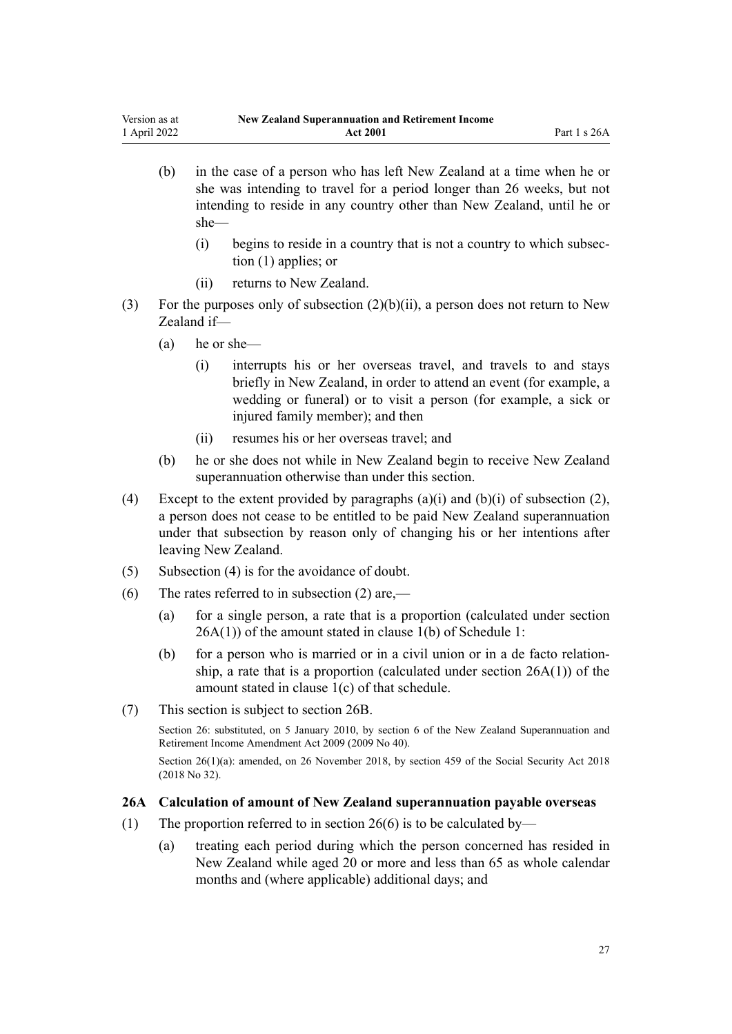- <span id="page-26-0"></span>(b) in the case of a person who has left New Zealand at a time when he or she was intending to travel for a period longer than 26 weeks, but not intending to reside in any country other than New Zealand, until he or she—
	- (i) begins to reside in a country that is not a country to which subsec‐ tion (1) applies; or
	- (ii) returns to New Zealand.
- (3) For the purposes only of subsection  $(2)(b)(ii)$ , a person does not return to New Zealand if—
	- (a) he or she—
		- (i) interrupts his or her overseas travel, and travels to and stays briefly in New Zealand, in order to attend an event (for example, a wedding or funeral) or to visit a person (for example, a sick or injured family member); and then
		- (ii) resumes his or her overseas travel; and
	- (b) he or she does not while in New Zealand begin to receive New Zealand superannuation otherwise than under this section.
- (4) Except to the extent provided by paragraphs  $(a)(i)$  and  $(b)(i)$  of subsection  $(2)$ , a person does not cease to be entitled to be paid New Zealand superannuation under that subsection by reason only of changing his or her intentions after leaving New Zealand.
- (5) Subsection (4) is for the avoidance of doubt.
- (6) The rates referred to in subsection (2) are,—
	- (a) for a single person, a rate that is a proportion (calculated under section 26A(1)) of the amount stated in clause 1(b) of [Schedule 1](#page-62-0):
	- (b) for a person who is married or in a civil union or in a de facto relationship, a rate that is a proportion (calculated under section 26A(1)) of the amount stated in clause 1(c) of that schedule.
- (7) This section is subject to [section 26B](#page-27-0).

Section 26: substituted, on 5 January 2010, by [section 6](http://legislation.govt.nz/pdflink.aspx?id=DLM1609413) of the New Zealand Superannuation and Retirement Income Amendment Act 2009 (2009 No 40).

Section 26(1)(a): amended, on 26 November 2018, by [section 459](http://legislation.govt.nz/pdflink.aspx?id=DLM6784038) of the Social Security Act 2018 (2018 No 32).

## **26A Calculation of amount of New Zealand superannuation payable overseas**

- (1) The proportion referred to in [section 26\(6\)](#page-25-0) is to be calculated by—
	- (a) treating each period during which the person concerned has resided in New Zealand while aged 20 or more and less than 65 as whole calendar months and (where applicable) additional days; and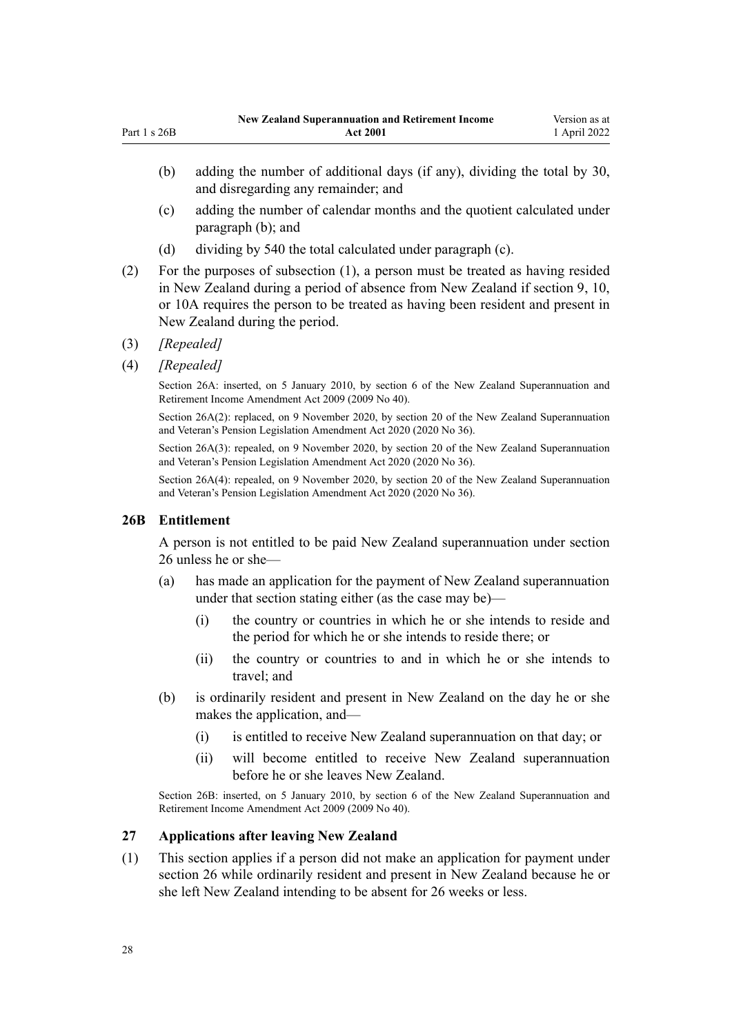- <span id="page-27-0"></span>(c) adding the number of calendar months and the quotient calculated under paragraph (b); and
- (d) dividing by 540 the total calculated under paragraph (c).
- (2) For the purposes of subsection (1), a person must be treated as having resided in New Zealand during a period of absence from New Zealand if [section 9,](#page-12-0) [10](#page-13-0), or [10A](#page-14-0) requires the person to be treated as having been resident and present in New Zealand during the period.
- (3) *[Repealed]*
- (4) *[Repealed]*

Section 26A: inserted, on 5 January 2010, by [section 6](http://legislation.govt.nz/pdflink.aspx?id=DLM1609413) of the New Zealand Superannuation and Retirement Income Amendment Act 2009 (2009 No 40).

Section 26A(2): replaced, on 9 November 2020, by [section 20](http://legislation.govt.nz/pdflink.aspx?id=LMS242802) of the New Zealand Superannuation and Veteran's Pension Legislation Amendment Act 2020 (2020 No 36).

Section 26A(3): repealed, on 9 November 2020, by [section 20](http://legislation.govt.nz/pdflink.aspx?id=LMS242802) of the New Zealand Superannuation and Veteran's Pension Legislation Amendment Act 2020 (2020 No 36).

Section 26A(4): repealed, on 9 November 2020, by [section 20](http://legislation.govt.nz/pdflink.aspx?id=LMS242802) of the New Zealand Superannuation and Veteran's Pension Legislation Amendment Act 2020 (2020 No 36).

### **26B Entitlement**

A person is not entitled to be paid New Zealand superannuation under section 26 unless he or she—

- (a) has made an application for the payment of New Zealand superannuation under that section stating either (as the case may be)—
	- (i) the country or countries in which he or she intends to reside and the period for which he or she intends to reside there; or
	- (ii) the country or countries to and in which he or she intends to travel; and
- (b) is ordinarily resident and present in New Zealand on the day he or she makes the application, and—
	- (i) is entitled to receive New Zealand superannuation on that day; or
	- (ii) will become entitled to receive New Zealand superannuation before he or she leaves New Zealand.

Section 26B: inserted, on 5 January 2010, by [section 6](http://legislation.govt.nz/pdflink.aspx?id=DLM1609413) of the New Zealand Superannuation and Retirement Income Amendment Act 2009 (2009 No 40).

### **27 Applications after leaving New Zealand**

(1) This section applies if a person did not make an application for payment under [section 26](#page-25-0) while ordinarily resident and present in New Zealand because he or she left New Zealand intending to be absent for 26 weeks or less.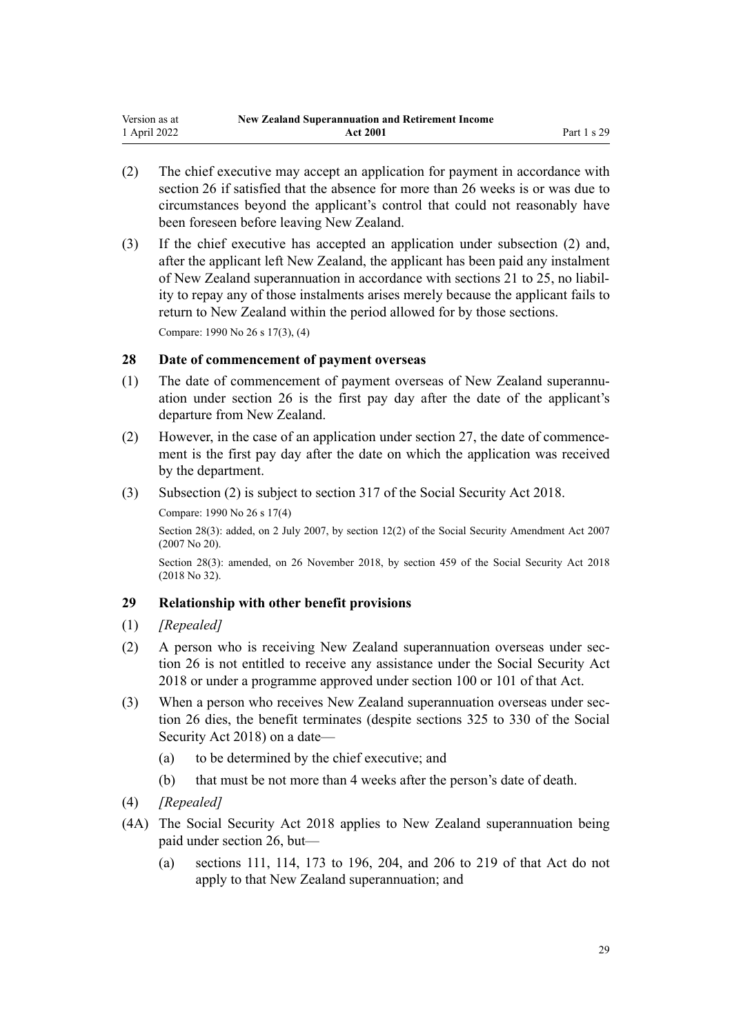- <span id="page-28-0"></span>(2) The chief executive may accept an application for payment in accordance with [section 26](#page-25-0) if satisfied that the absence for more than 26 weeks is or was due to circumstances beyond the applicant's control that could not reasonably have been foreseen before leaving New Zealand.
- (3) If the chief executive has accepted an application under subsection (2) and, after the applicant left New Zealand, the applicant has been paid any instalment of New Zealand superannuation in accordance with [sections 21 to 25](#page-23-0), no liabil‐ ity to repay any of those instalments arises merely because the applicant fails to return to New Zealand within the period allowed for by those sections.

Compare: 1990 No 26 [s 17\(3\), \(4\)](http://legislation.govt.nz/pdflink.aspx?id=DLM204182)

## **28 Date of commencement of payment overseas**

- (1) The date of commencement of payment overseas of New Zealand superannu‐ ation under [section 26](#page-25-0) is the first pay day after the date of the applicant's departure from New Zealand.
- (2) However, in the case of an application under [section 27,](#page-27-0) the date of commencement is the first pay day after the date on which the application was received by the department.
- (3) Subsection (2) is subject to [section 317](http://legislation.govt.nz/pdflink.aspx?id=DLM6783789) of the Social Security Act 2018.
	- Compare: 1990 No 26 [s 17\(4\)](http://legislation.govt.nz/pdflink.aspx?id=DLM204182)

Section 28(3): added, on 2 July 2007, by [section 12\(2\)](http://legislation.govt.nz/pdflink.aspx?id=DLM408566) of the Social Security Amendment Act 2007 (2007 No 20).

Section 28(3): amended, on 26 November 2018, by [section 459](http://legislation.govt.nz/pdflink.aspx?id=DLM6784038) of the Social Security Act 2018 (2018 No 32).

### **29 Relationship with other benefit provisions**

- (1) *[Repealed]*
- (2) A person who is receiving New Zealand superannuation overseas under section 26 is not entitled to receive any assistance under the [Social Security Act](http://legislation.govt.nz/pdflink.aspx?id=DLM6783102) [2018](http://legislation.govt.nz/pdflink.aspx?id=DLM6783102) or under a programme approved under [section 100](http://legislation.govt.nz/pdflink.aspx?id=DLM6783310) or [101](http://legislation.govt.nz/pdflink.aspx?id=DLM6783311) of that Act.
- (3) When a person who receives New Zealand superannuation overseas under section 26 dies, the benefit terminates (despite [sections 325 to 330](http://legislation.govt.nz/pdflink.aspx?id=DLM6783802) of the Social Security Act 2018) on a date—
	- (a) to be determined by the chief executive; and
	- (b) that must be not more than 4 weeks after the person's date of death.
- (4) *[Repealed]*
- (4A) The [Social Security Act 2018](http://legislation.govt.nz/pdflink.aspx?id=DLM6783102) applies to New Zealand superannuation being paid under [section 26,](#page-25-0) but—
	- (a) [sections 111,](http://legislation.govt.nz/pdflink.aspx?id=DLM6783333) [114,](http://legislation.govt.nz/pdflink.aspx?id=DLM6783343) [173 to 196](http://legislation.govt.nz/pdflink.aspx?id=DLM6783464), [204,](http://legislation.govt.nz/pdflink.aspx?id=DLM6783540) and [206 to 219](http://legislation.govt.nz/pdflink.aspx?id=DLM6783545) of that Act do not apply to that New Zealand superannuation; and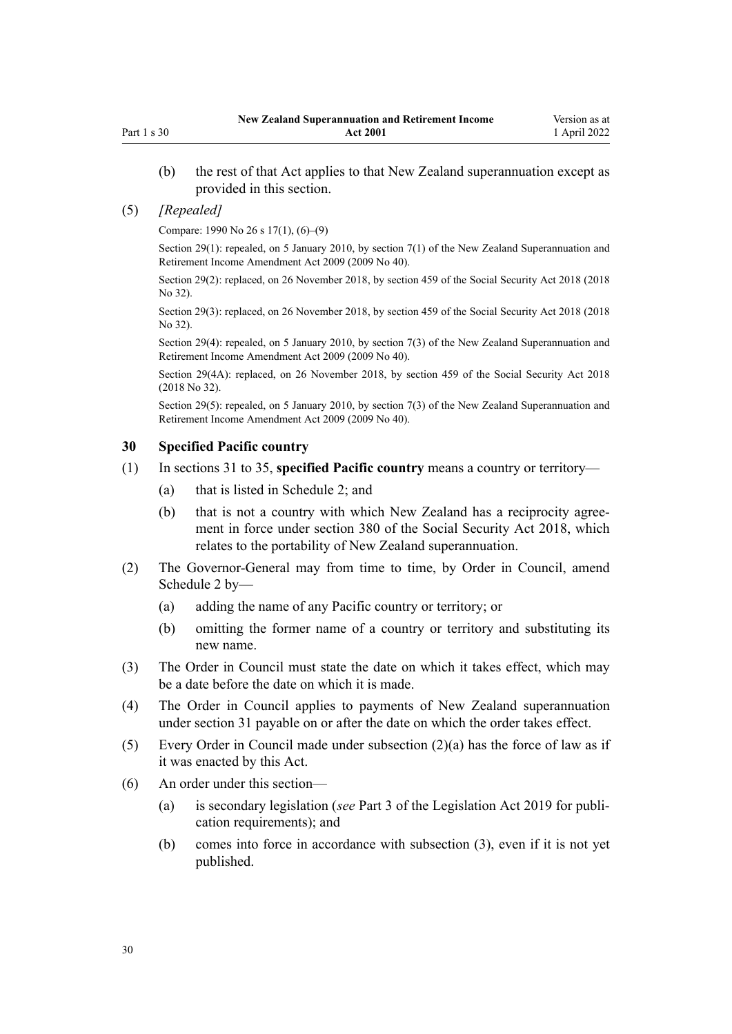<span id="page-29-0"></span>(b) the rest of that Act applies to that New Zealand superannuation except as provided in this section.

#### (5) *[Repealed]*

Compare: 1990 No 26 [s 17\(1\), \(6\)–\(9\)](http://legislation.govt.nz/pdflink.aspx?id=DLM204182)

Section 29(1): repealed, on 5 January 2010, by [section 7\(1\)](http://legislation.govt.nz/pdflink.aspx?id=DLM1609416) of the New Zealand Superannuation and Retirement Income Amendment Act 2009 (2009 No 40).

Section 29(2): replaced, on 26 November 2018, by [section 459](http://legislation.govt.nz/pdflink.aspx?id=DLM6784038) of the Social Security Act 2018 (2018 No 32).

Section 29(3): replaced, on 26 November 2018, by [section 459](http://legislation.govt.nz/pdflink.aspx?id=DLM6784038) of the Social Security Act 2018 (2018 No 32).

Section 29(4): repealed, on 5 January 2010, by [section 7\(3\)](http://legislation.govt.nz/pdflink.aspx?id=DLM1609416) of the New Zealand Superannuation and Retirement Income Amendment Act 2009 (2009 No 40).

Section 29(4A): replaced, on 26 November 2018, by [section 459](http://legislation.govt.nz/pdflink.aspx?id=DLM6784038) of the Social Security Act 2018 (2018 No 32).

Section 29(5): repealed, on 5 January 2010, by [section 7\(3\)](http://legislation.govt.nz/pdflink.aspx?id=DLM1609416) of the New Zealand Superannuation and Retirement Income Amendment Act 2009 (2009 No 40).

## **30 Specified Pacific country**

- (1) In [sections 31 to 35](#page-30-0), **specified Pacific country** means a country or territory—
	- (a) that is listed in [Schedule 2](#page-65-0); and
	- (b) that is not a country with which New Zealand has a reciprocity agreement in force under [section 380](http://legislation.govt.nz/pdflink.aspx?id=DLM6783894) of the Social Security Act 2018, which relates to the portability of New Zealand superannuation.
- (2) The Governor-General may from time to time, by Order in Council, amend [Schedule 2](#page-65-0) by—
	- (a) adding the name of any Pacific country or territory; or
	- (b) omitting the former name of a country or territory and substituting its new name.
- (3) The Order in Council must state the date on which it takes effect, which may be a date before the date on which it is made.
- (4) The Order in Council applies to payments of New Zealand superannuation under [section 31](#page-30-0) payable on or after the date on which the order takes effect.
- (5) Every Order in Council made under subsection (2)(a) has the force of law as if it was enacted by this Act.
- (6) An order under this section—
	- (a) is secondary legislation (*see* [Part 3](http://legislation.govt.nz/pdflink.aspx?id=DLM7298343) of the Legislation Act 2019 for publi‐ cation requirements); and
	- (b) comes into force in accordance with subsection (3), even if it is not yet published.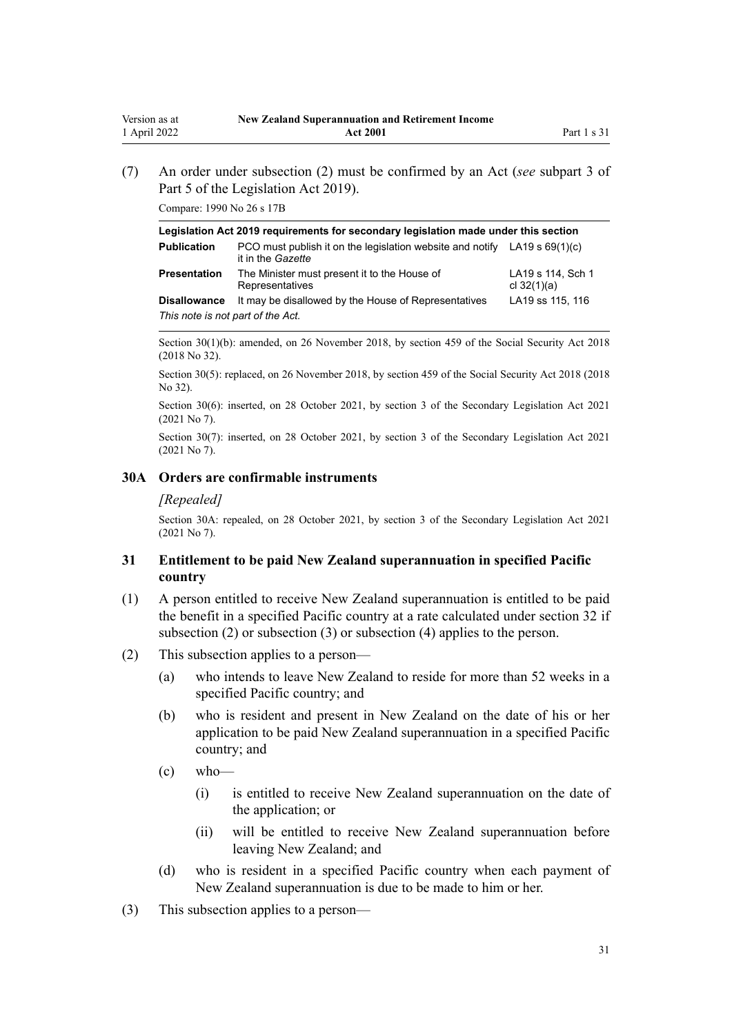(7) An order under subsection (2) must be confirmed by an Act (*see* [subpart 3](http://legislation.govt.nz/pdflink.aspx?id=DLM7298438) of Part 5 of the Legislation Act 2019).

Compare: 1990 No 26 [s 17B](http://legislation.govt.nz/pdflink.aspx?id=DLM204199)

<span id="page-30-0"></span>Version as at 1 April 2022

| Legislation Act 2019 requirements for secondary legislation made under this section |                                                                                                         |                                    |  |
|-------------------------------------------------------------------------------------|---------------------------------------------------------------------------------------------------------|------------------------------------|--|
| <b>Publication</b>                                                                  | PCO must publish it on the legislation website and notify LA19 s $69(1)(c)$<br>it in the <i>Gazette</i> |                                    |  |
| <b>Presentation</b>                                                                 | The Minister must present it to the House of<br>Representatives                                         | LA19 s 114, Sch 1<br>cl $32(1)(a)$ |  |
| <b>Disallowance</b>                                                                 | It may be disallowed by the House of Representatives                                                    | LA19 ss 115, 116                   |  |
| This note is not part of the Act.                                                   |                                                                                                         |                                    |  |

Section 30(1)(b): amended, on 26 November 2018, by [section 459](http://legislation.govt.nz/pdflink.aspx?id=DLM6784038) of the Social Security Act 2018 (2018 No 32).

Section 30(5): replaced, on 26 November 2018, by [section 459](http://legislation.govt.nz/pdflink.aspx?id=DLM6784038) of the Social Security Act 2018 (2018 No 32).

Section 30(6): inserted, on 28 October 2021, by [section 3](http://legislation.govt.nz/pdflink.aspx?id=LMS268932) of the Secondary Legislation Act 2021 (2021 No 7).

Section 30(7): inserted, on 28 October 2021, by [section 3](http://legislation.govt.nz/pdflink.aspx?id=LMS268932) of the Secondary Legislation Act 2021 (2021 No 7).

## **30A Orders are confirmable instruments**

#### *[Repealed]*

Section 30A: repealed, on 28 October 2021, by [section 3](http://legislation.govt.nz/pdflink.aspx?id=LMS268932) of the Secondary Legislation Act 2021 (2021 No 7).

## **31 Entitlement to be paid New Zealand superannuation in specified Pacific country**

- (1) A person entitled to receive New Zealand superannuation is entitled to be paid the benefit in a specified Pacific country at a rate calculated under [section 32](#page-32-0) if subsection (2) or subsection (3) or subsection (4) applies to the person.
- (2) This subsection applies to a person—
	- (a) who intends to leave New Zealand to reside for more than 52 weeks in a specified Pacific country; and
	- (b) who is resident and present in New Zealand on the date of his or her application to be paid New Zealand superannuation in a specified Pacific country; and
	- $\left( c \right)$  who—
		- (i) is entitled to receive New Zealand superannuation on the date of the application; or
		- (ii) will be entitled to receive New Zealand superannuation before leaving New Zealand; and
	- (d) who is resident in a specified Pacific country when each payment of New Zealand superannuation is due to be made to him or her.
- (3) This subsection applies to a person—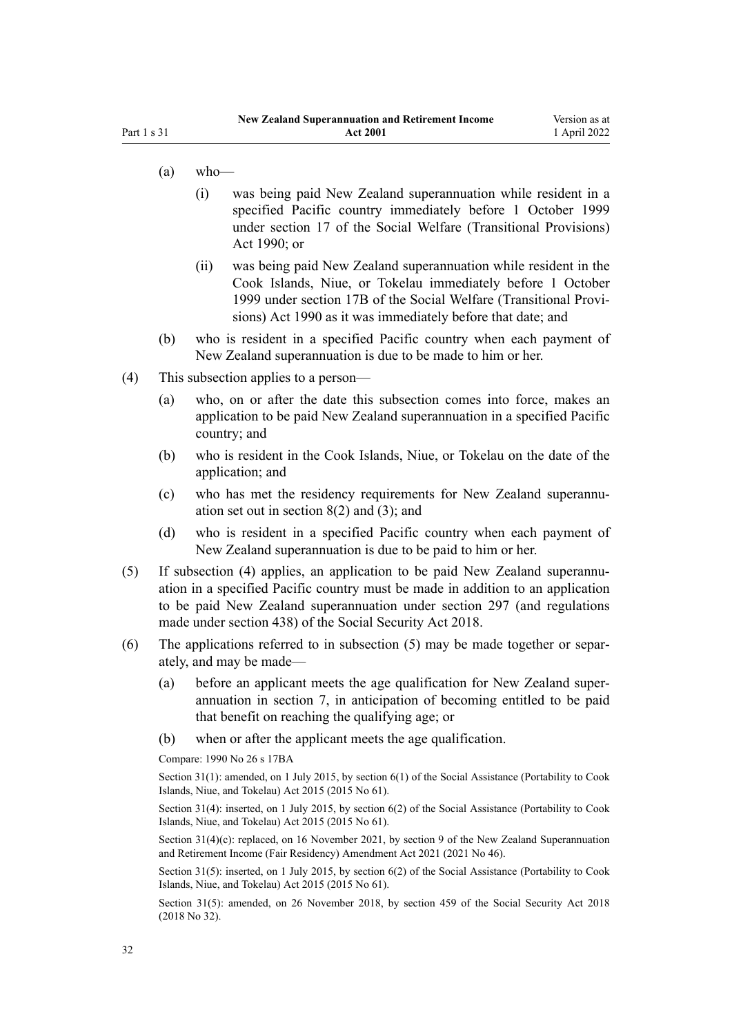- $(a)$  who—
	- (i) was being paid New Zealand superannuation while resident in a specified Pacific country immediately before 1 October 1999 under [section 17](http://legislation.govt.nz/pdflink.aspx?id=DLM204182) of the Social Welfare (Transitional Provisions) Act 1990; or
	- (ii) was being paid New Zealand superannuation while resident in the Cook Islands, Niue, or Tokelau immediately before 1 October 1999 under [section 17B](http://legislation.govt.nz/pdflink.aspx?id=DLM204199) of the Social Welfare (Transitional Provi‐ sions) Act 1990 as it was immediately before that date; and
- (b) who is resident in a specified Pacific country when each payment of New Zealand superannuation is due to be made to him or her.
- (4) This subsection applies to a person—
	- (a) who, on or after the date this subsection comes into force, makes an application to be paid New Zealand superannuation in a specified Pacific country; and
	- (b) who is resident in the Cook Islands, Niue, or Tokelau on the date of the application; and
	- (c) who has met the residency requirements for New Zealand superannuation set out in [section 8\(2\) and \(3\)](#page-10-0); and
	- (d) who is resident in a specified Pacific country when each payment of New Zealand superannuation is due to be paid to him or her.
- (5) If subsection (4) applies, an application to be paid New Zealand superannu‐ ation in a specified Pacific country must be made in addition to an application to be paid New Zealand superannuation under [section 297](http://legislation.govt.nz/pdflink.aspx?id=DLM6783764) (and regulations made under [section 438\)](http://legislation.govt.nz/pdflink.aspx?id=DLM6784010) of the Social Security Act 2018.
- (6) The applications referred to in subsection  $(5)$  may be made together or separately, and may be made—
	- (a) before an applicant meets the age qualification for New Zealand super‐ annuation in [section 7](#page-10-0), in anticipation of becoming entitled to be paid that benefit on reaching the qualifying age; or
	- (b) when or after the applicant meets the age qualification.

Compare: 1990 No 26 [s 17BA](http://legislation.govt.nz/pdflink.aspx?id=DLM204407)

Section 31(1): amended, on 1 July 2015, by [section 6\(1\)](http://legislation.govt.nz/pdflink.aspx?id=DLM6222920) of the Social Assistance (Portability to Cook Islands, Niue, and Tokelau) Act 2015 (2015 No 61).

Section 31(4): inserted, on 1 July 2015, by [section 6\(2\)](http://legislation.govt.nz/pdflink.aspx?id=DLM6222920) of the Social Assistance (Portability to Cook Islands, Niue, and Tokelau) Act 2015 (2015 No 61).

Section 31(4)(c): replaced, on 16 November 2021, by [section 9](http://legislation.govt.nz/pdflink.aspx?id=LMS482392) of the New Zealand Superannuation and Retirement Income (Fair Residency) Amendment Act 2021 (2021 No 46).

Section 31(5): inserted, on 1 July 2015, by [section 6\(2\)](http://legislation.govt.nz/pdflink.aspx?id=DLM6222920) of the Social Assistance (Portability to Cook Islands, Niue, and Tokelau) Act 2015 (2015 No 61).

Section 31(5): amended, on 26 November 2018, by [section 459](http://legislation.govt.nz/pdflink.aspx?id=DLM6784038) of the Social Security Act 2018 (2018 No 32).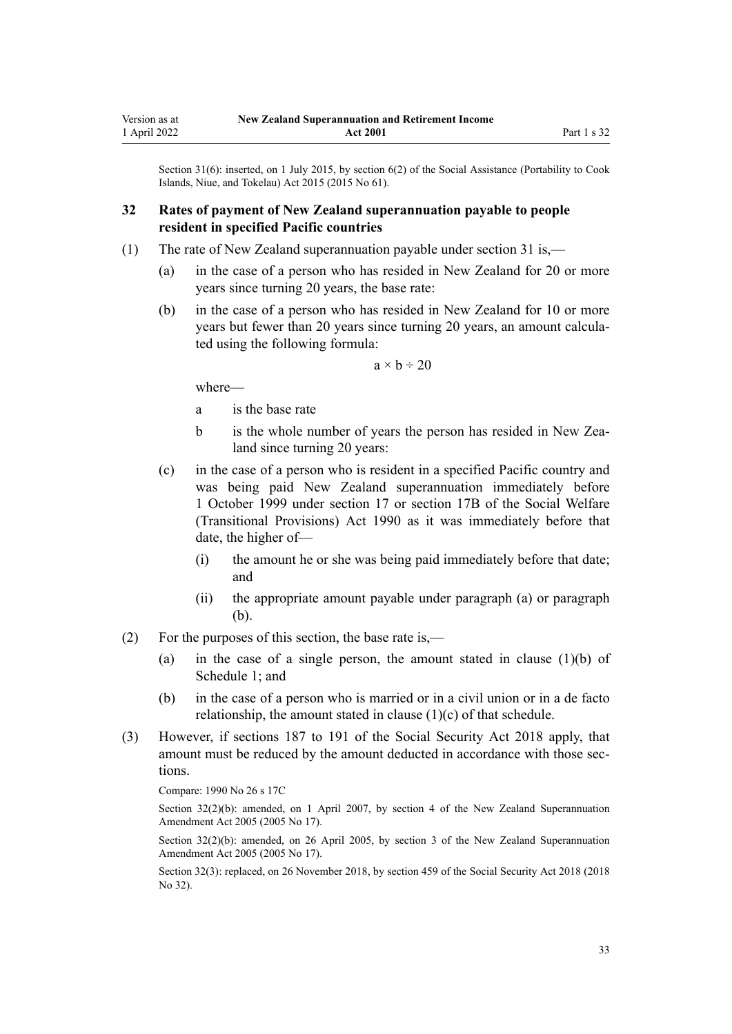<span id="page-32-0"></span>Section 31(6): inserted, on 1 July 2015, by [section 6\(2\)](http://legislation.govt.nz/pdflink.aspx?id=DLM6222920) of the Social Assistance (Portability to Cook Islands, Niue, and Tokelau) Act 2015 (2015 No 61).

## **32 Rates of payment of New Zealand superannuation payable to people resident in specified Pacific countries**

- (1) The rate of New Zealand superannuation payable under [section 31](#page-30-0) is,—
	- (a) in the case of a person who has resided in New Zealand for 20 or more years since turning 20 years, the base rate:
	- (b) in the case of a person who has resided in New Zealand for 10 or more years but fewer than 20 years since turning 20 years, an amount calcula‐ ted using the following formula:

 $a \times b \div 20$ 

where—

- a is the base rate
- b is the whole number of years the person has resided in New Zealand since turning 20 years:
- (c) in the case of a person who is resident in a specified Pacific country and was being paid New Zealand superannuation immediately before 1 October 1999 under [section 17](http://legislation.govt.nz/pdflink.aspx?id=DLM204182) or [section 17B](http://legislation.govt.nz/pdflink.aspx?id=DLM204199) of the Social Welfare (Transitional Provisions) Act 1990 as it was immediately before that date, the higher of—
	- (i) the amount he or she was being paid immediately before that date; and
	- (ii) the appropriate amount payable under paragraph (a) or paragraph (b).
- (2) For the purposes of this section, the base rate is,—
	- (a) in the case of a single person, the amount stated in clause  $(1)(b)$  of [Schedule 1;](#page-62-0) and
	- (b) in the case of a person who is married or in a civil union or in a de facto relationship, the amount stated in clause  $(1)(c)$  of that schedule.
- (3) However, if [sections 187 to 191](http://legislation.govt.nz/pdflink.aspx?id=DLM6783495) of the Social Security Act 2018 apply, that amount must be reduced by the amount deducted in accordance with those sections.

Compare: 1990 No 26 [s 17C](http://legislation.govt.nz/pdflink.aspx?id=DLM204411)

Section 32(2)(b): amended, on 1 April 2007, by [section 4](http://legislation.govt.nz/pdflink.aspx?id=DLM336343) of the New Zealand Superannuation Amendment Act 2005 (2005 No 17).

Section 32(2)(b): amended, on 26 April 2005, by [section 3](http://legislation.govt.nz/pdflink.aspx?id=DLM336342) of the New Zealand Superannuation Amendment Act 2005 (2005 No 17).

Section 32(3): replaced, on 26 November 2018, by [section 459](http://legislation.govt.nz/pdflink.aspx?id=DLM6784038) of the Social Security Act 2018 (2018 No 32).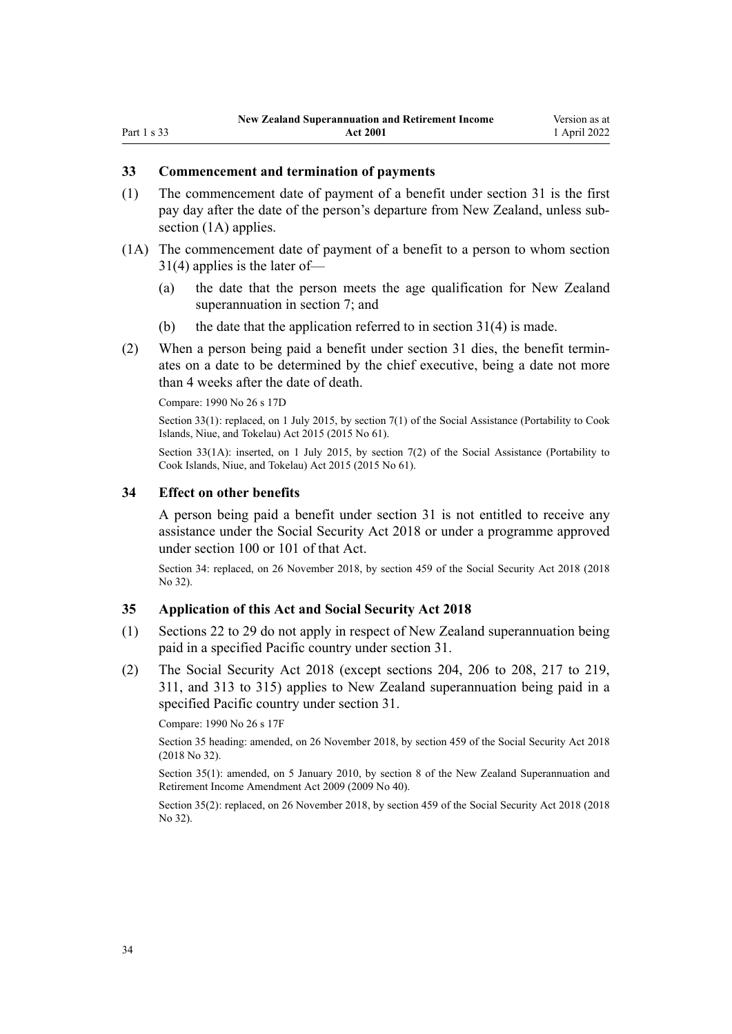#### <span id="page-33-0"></span>**33 Commencement and termination of payments**

- (1) The commencement date of payment of a benefit under [section 31](#page-30-0) is the first pay day after the date of the person's departure from New Zealand, unless sub‐ section (1A) applies.
- (1A) The commencement date of payment of a benefit to a person to whom [section](#page-30-0) [31\(4\)](#page-30-0) applies is the later of—
	- (a) the date that the person meets the age qualification for New Zealand superannuation in [section 7](#page-10-0); and
	- (b) the date that the application referred to in section  $31(4)$  is made.
- (2) When a person being paid a benefit under [section 31](#page-30-0) dies, the benefit termin‐ ates on a date to be determined by the chief executive, being a date not more than 4 weeks after the date of death.

Compare: 1990 No 26 [s 17D](http://legislation.govt.nz/pdflink.aspx?id=DLM204417)

Section 33(1): replaced, on 1 July 2015, by [section 7\(1\)](http://legislation.govt.nz/pdflink.aspx?id=DLM6222921) of the Social Assistance (Portability to Cook Islands, Niue, and Tokelau) Act 2015 (2015 No 61).

Section 33(1A): inserted, on 1 July 2015, by [section 7\(2\)](http://legislation.govt.nz/pdflink.aspx?id=DLM6222921) of the Social Assistance (Portability to Cook Islands, Niue, and Tokelau) Act 2015 (2015 No 61).

#### **34 Effect on other benefits**

A person being paid a benefit under [section 31](#page-30-0) is not entitled to receive any assistance under the [Social Security Act 2018](http://legislation.govt.nz/pdflink.aspx?id=DLM6783102) or under a programme approved under [section 100](http://legislation.govt.nz/pdflink.aspx?id=DLM6783310) or [101](http://legislation.govt.nz/pdflink.aspx?id=DLM6783311) of that Act.

Section 34: replaced, on 26 November 2018, by [section 459](http://legislation.govt.nz/pdflink.aspx?id=DLM6784038) of the Social Security Act 2018 (2018 No 32).

#### **35 Application of this Act and Social Security Act 2018**

- (1) [Sections 22 to 29](#page-24-0) do not apply in respect of New Zealand superannuation being paid in a specified Pacific country under [section 31.](#page-30-0)
- (2) The [Social Security Act 2018](http://legislation.govt.nz/pdflink.aspx?id=DLM6783102) (except [sections 204](http://legislation.govt.nz/pdflink.aspx?id=DLM6783540), [206 to 208](http://legislation.govt.nz/pdflink.aspx?id=DLM6783545), [217 to 219](http://legislation.govt.nz/pdflink.aspx?id=DLM6783577), [311](http://legislation.govt.nz/pdflink.aspx?id=DLM6783783), and [313 to 315](http://legislation.govt.nz/pdflink.aspx?id=DLM6783785)) applies to New Zealand superannuation being paid in a specified Pacific country under [section 31](#page-30-0).

Compare: 1990 No 26 [s 17F](http://legislation.govt.nz/pdflink.aspx?id=DLM204423)

Section 35 heading: amended, on 26 November 2018, by [section 459](http://legislation.govt.nz/pdflink.aspx?id=DLM6784038) of the Social Security Act 2018 (2018 No 32).

Section 35(1): amended, on 5 January 2010, by [section 8](http://legislation.govt.nz/pdflink.aspx?id=DLM1609417) of the New Zealand Superannuation and Retirement Income Amendment Act 2009 (2009 No 40).

Section 35(2): replaced, on 26 November 2018, by [section 459](http://legislation.govt.nz/pdflink.aspx?id=DLM6784038) of the Social Security Act 2018 (2018 No 32).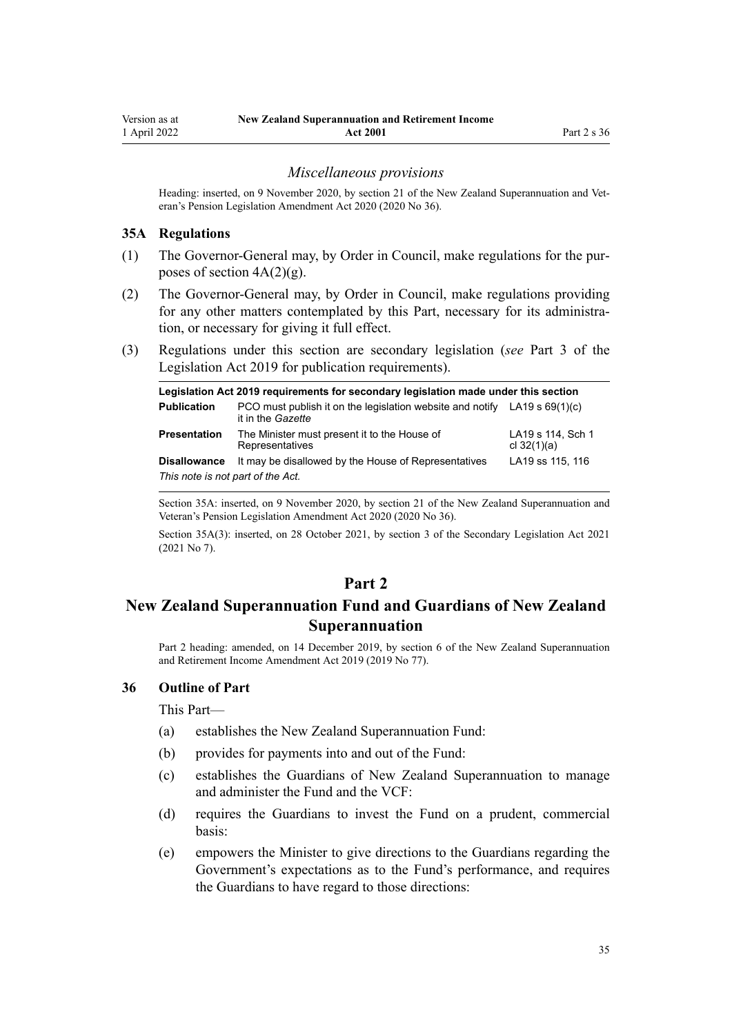#### *Miscellaneous provisions*

<span id="page-34-0"></span>Heading: inserted, on 9 November 2020, by [section 21](http://legislation.govt.nz/pdflink.aspx?id=LMS242804) of the New Zealand Superannuation and Veteran's Pension Legislation Amendment Act 2020 (2020 No 36).

#### **35A Regulations**

- (1) The Governor-General may, by Order in Council, make regulations for the pur‐ poses of section  $4A(2)(g)$ .
- (2) The Governor-General may, by Order in Council, make regulations providing for any other matters contemplated by this Part, necessary for its administration, or necessary for giving it full effect.
- (3) Regulations under this section are secondary legislation (*see* [Part 3](http://legislation.govt.nz/pdflink.aspx?id=DLM7298343) of the Legislation Act 2019 for publication requirements).

| Legislation Act 2019 requirements for secondary legislation made under this section |                                                                                                  |                                    |  |
|-------------------------------------------------------------------------------------|--------------------------------------------------------------------------------------------------|------------------------------------|--|
| <b>Publication</b>                                                                  | PCO must publish it on the legislation website and notify LA19 s $69(1)(c)$<br>it in the Gazette |                                    |  |
| <b>Presentation</b>                                                                 | The Minister must present it to the House of<br>Representatives                                  | LA19 s 114, Sch 1<br>cl $32(1)(a)$ |  |
| <b>Disallowance</b><br>This note is not part of the Act.                            | It may be disallowed by the House of Representatives                                             | LA19 ss 115, 116                   |  |

Section 35A: inserted, on 9 November 2020, by [section 21](http://legislation.govt.nz/pdflink.aspx?id=LMS242804) of the New Zealand Superannuation and Veteran's Pension Legislation Amendment Act 2020 (2020 No 36).

Section 35A(3): inserted, on 28 October 2021, by [section 3](http://legislation.govt.nz/pdflink.aspx?id=LMS268932) of the Secondary Legislation Act 2021 (2021 No 7).

## **Part 2**

# **New Zealand Superannuation Fund and Guardians of New Zealand Superannuation**

Part 2 heading: amended, on 14 December 2019, by [section 6](http://legislation.govt.nz/pdflink.aspx?id=LMS294691) of the New Zealand Superannuation and Retirement Income Amendment Act 2019 (2019 No 77).

#### **36 Outline of Part**

This Part—

- (a) establishes the New Zealand Superannuation Fund:
- (b) provides for payments into and out of the Fund:
- (c) establishes the Guardians of New Zealand Superannuation to manage and administer the Fund and the VCF:
- (d) requires the Guardians to invest the Fund on a prudent, commercial basis:
- (e) empowers the Minister to give directions to the Guardians regarding the Government's expectations as to the Fund's performance, and requires the Guardians to have regard to those directions: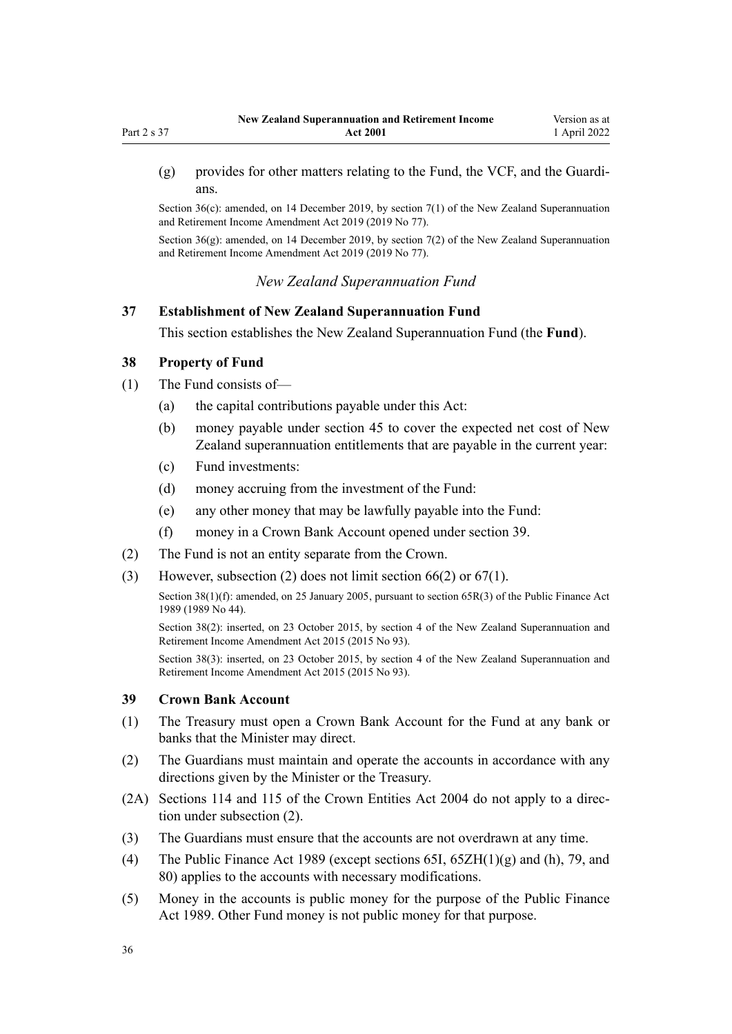<span id="page-35-0"></span>(g) provides for other matters relating to the Fund, the VCF, and the Guardi‐ ans.

Section  $36(c)$ : amended, on 14 December 2019, by [section 7\(1\)](http://legislation.govt.nz/pdflink.aspx?id=LMS294692) of the New Zealand Superannuation and Retirement Income Amendment Act 2019 (2019 No 77).

Section 36(g): amended, on 14 December 2019, by [section 7\(2\)](http://legislation.govt.nz/pdflink.aspx?id=LMS294692) of the New Zealand Superannuation and Retirement Income Amendment Act 2019 (2019 No 77).

*New Zealand Superannuation Fund*

## **37 Establishment of New Zealand Superannuation Fund**

This section establishes the New Zealand Superannuation Fund (the **Fund**).

## **38 Property of Fund**

- (1) The Fund consists of—
	- (a) the capital contributions payable under this Act:
	- (b) money payable under [section 45](#page-38-0) to cover the expected net cost of New Zealand superannuation entitlements that are payable in the current year:
	- (c) Fund investments:
	- (d) money accruing from the investment of the Fund:
	- (e) any other money that may be lawfully payable into the Fund:
	- (f) money in a Crown Bank Account opened under section 39.
- (2) The Fund is not an entity separate from the Crown.
- (3) However, subsection (2) does not limit [section 66\(2\)](#page-47-0) or [67\(1\)](#page-47-0).

Section 38(1)(f): amended, on 25 January 2005, pursuant to [section 65R\(3\)](http://legislation.govt.nz/pdflink.aspx?id=DLM162942) of the Public Finance Act 1989 (1989 No 44).

Section 38(2): inserted, on 23 October 2015, by [section 4](http://legislation.govt.nz/pdflink.aspx?id=DLM5708813) of the New Zealand Superannuation and Retirement Income Amendment Act 2015 (2015 No 93).

Section 38(3): inserted, on 23 October 2015, by [section 4](http://legislation.govt.nz/pdflink.aspx?id=DLM5708813) of the New Zealand Superannuation and Retirement Income Amendment Act 2015 (2015 No 93).

### **39 Crown Bank Account**

- (1) The Treasury must open a Crown Bank Account for the Fund at any bank or banks that the Minister may direct.
- (2) The Guardians must maintain and operate the accounts in accordance with any directions given by the Minister or the Treasury.
- (2A) [Sections 114](http://legislation.govt.nz/pdflink.aspx?id=DLM330363) and [115](http://legislation.govt.nz/pdflink.aspx?id=DLM330364) of the Crown Entities Act 2004 do not apply to a direction under subsection (2).
- (3) The Guardians must ensure that the accounts are not overdrawn at any time.
- (4) The [Public Finance Act 1989](http://legislation.govt.nz/pdflink.aspx?id=DLM160808) (except [sections 65I](http://legislation.govt.nz/pdflink.aspx?id=DLM162921), [65ZH\(1\)\(g\) and \(h\)](http://legislation.govt.nz/pdflink.aspx?id=DLM6185120), [79,](http://legislation.govt.nz/pdflink.aspx?id=DLM163149) and [80\)](http://legislation.govt.nz/pdflink.aspx?id=DLM163151) applies to the accounts with necessary modifications.
- (5) Money in the accounts is public money for the purpose of the [Public Finance](http://legislation.govt.nz/pdflink.aspx?id=DLM160808) [Act 1989.](http://legislation.govt.nz/pdflink.aspx?id=DLM160808) Other Fund money is not public money for that purpose.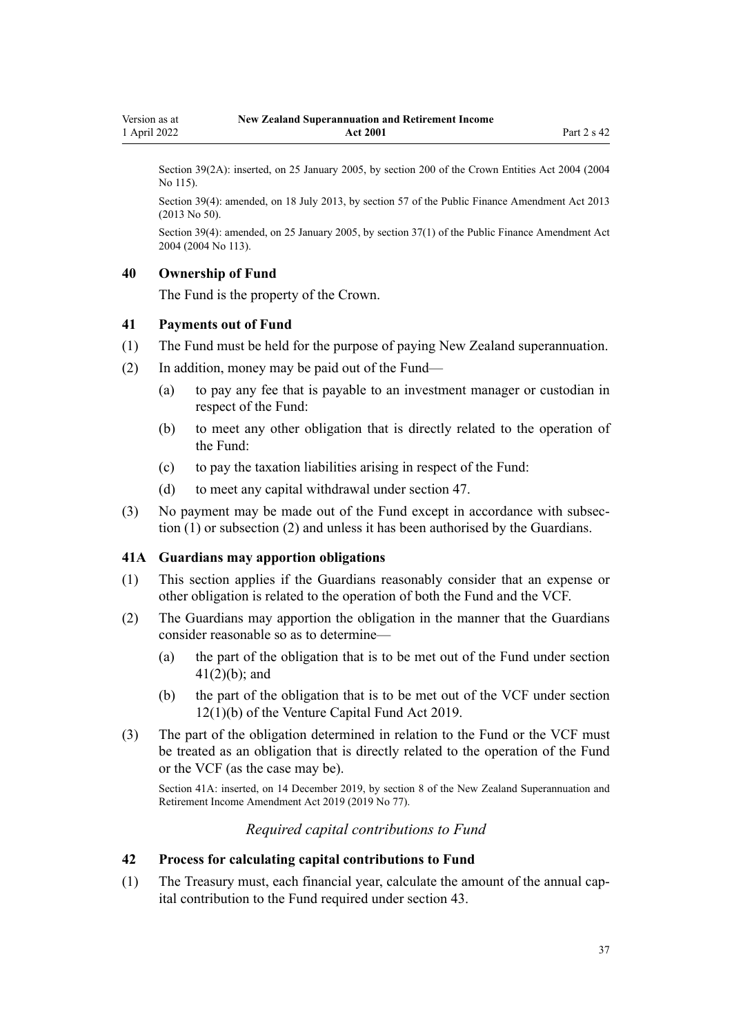<span id="page-36-0"></span>Section 39(2A): inserted, on 25 January 2005, by [section 200](http://legislation.govt.nz/pdflink.aspx?id=DLM331111) of the Crown Entities Act 2004 (2004 No 115).

Section 39(4): amended, on 18 July 2013, by [section 57](http://legislation.govt.nz/pdflink.aspx?id=DLM5326333) of the Public Finance Amendment Act 2013 (2013 No 50).

Section 39(4): amended, on 25 January 2005, by [section 37\(1\)](http://legislation.govt.nz/pdflink.aspx?id=DLM328867) of the Public Finance Amendment Act 2004 (2004 No 113).

### **40 Ownership of Fund**

The Fund is the property of the Crown.

### **41 Payments out of Fund**

- (1) The Fund must be held for the purpose of paying New Zealand superannuation.
- (2) In addition, money may be paid out of the Fund—
	- (a) to pay any fee that is payable to an investment manager or custodian in respect of the Fund:
	- (b) to meet any other obligation that is directly related to the operation of the Fund:
	- (c) to pay the taxation liabilities arising in respect of the Fund:
	- (d) to meet any capital withdrawal under [section 47.](#page-38-0)
- (3) No payment may be made out of the Fund except in accordance with subsec‐ tion (1) or subsection (2) and unless it has been authorised by the Guardians.

### **41A Guardians may apportion obligations**

- (1) This section applies if the Guardians reasonably consider that an expense or other obligation is related to the operation of both the Fund and the VCF.
- (2) The Guardians may apportion the obligation in the manner that the Guardians consider reasonable so as to determine—
	- (a) the part of the obligation that is to be met out of the Fund under section 41(2)(b); and
	- (b) the part of the obligation that is to be met out of the VCF under [section](http://legislation.govt.nz/pdflink.aspx?id=LMS210804) [12\(1\)\(b\)](http://legislation.govt.nz/pdflink.aspx?id=LMS210804) of the Venture Capital Fund Act 2019.
- (3) The part of the obligation determined in relation to the Fund or the VCF must be treated as an obligation that is directly related to the operation of the Fund or the VCF (as the case may be).

Section 41A: inserted, on 14 December 2019, by [section 8](http://legislation.govt.nz/pdflink.aspx?id=LMS294694) of the New Zealand Superannuation and Retirement Income Amendment Act 2019 (2019 No 77).

## *Required capital contributions to Fund*

### **42 Process for calculating capital contributions to Fund**

(1) The Treasury must, each financial year, calculate the amount of the annual cap‐ ital contribution to the Fund required under [section 43](#page-37-0).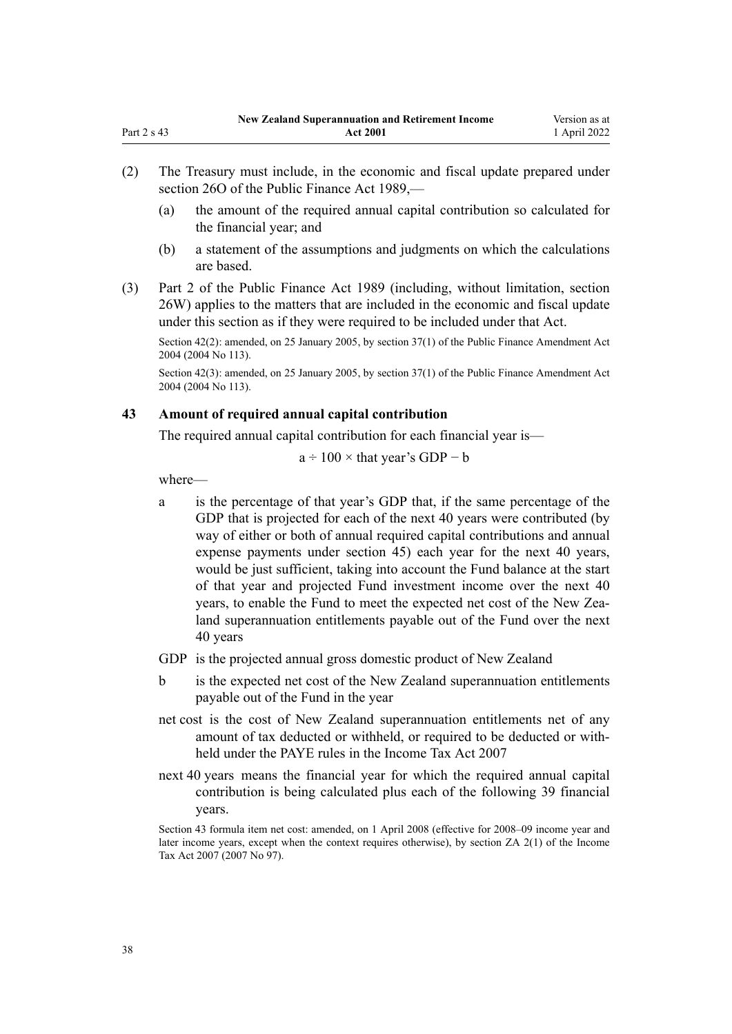- <span id="page-37-0"></span>(2) The Treasury must include, in the economic and fiscal update prepared under [section 26O](http://legislation.govt.nz/pdflink.aspx?id=DLM161688) of the Public Finance Act 1989,—
	- (a) the amount of the required annual capital contribution so calculated for the financial year; and
	- (b) a statement of the assumptions and judgments on which the calculations are based.
- (3) [Part 2](http://legislation.govt.nz/pdflink.aspx?id=DLM161663) of the Public Finance Act 1989 (including, without limitation, [section](http://legislation.govt.nz/pdflink.aspx?id=DLM162006) [26W\)](http://legislation.govt.nz/pdflink.aspx?id=DLM162006) applies to the matters that are included in the economic and fiscal update under this section as if they were required to be included under that Act.

Section 42(2): amended, on 25 January 2005, by [section 37\(1\)](http://legislation.govt.nz/pdflink.aspx?id=DLM328867) of the Public Finance Amendment Act 2004 (2004 No 113).

Section 42(3): amended, on 25 January 2005, by [section 37\(1\)](http://legislation.govt.nz/pdflink.aspx?id=DLM328867) of the Public Finance Amendment Act 2004 (2004 No 113).

## **43 Amount of required annual capital contribution**

The required annual capital contribution for each financial year is—

$$
a \div 100 \times
$$
 that year's GDP – b

where—

a is the percentage of that year's GDP that, if the same percentage of the GDP that is projected for each of the next 40 years were contributed (by way of either or both of annual required capital contributions and annual expense payments under [section 45\)](#page-38-0) each year for the next 40 years, would be just sufficient, taking into account the Fund balance at the start of that year and projected Fund investment income over the next 40 years, to enable the Fund to meet the expected net cost of the New Zealand superannuation entitlements payable out of the Fund over the next 40 years

GDP is the projected annual gross domestic product of New Zealand

- b is the expected net cost of the New Zealand superannuation entitlements payable out of the Fund in the year
- net cost is the cost of New Zealand superannuation entitlements net of any amount of tax deducted or withheld, or required to be deducted or with‐ held under the PAYE rules in the [Income Tax Act 2007](http://legislation.govt.nz/pdflink.aspx?id=DLM1512300)
- next 40 years means the financial year for which the required annual capital contribution is being calculated plus each of the following 39 financial years.

Section 43 formula item net cost: amended, on 1 April 2008 (effective for 2008–09 income year and later income years, except when the context requires otherwise), by [section ZA 2\(1\)](http://legislation.govt.nz/pdflink.aspx?id=DLM1523176) of the Income Tax Act 2007 (2007 No 97).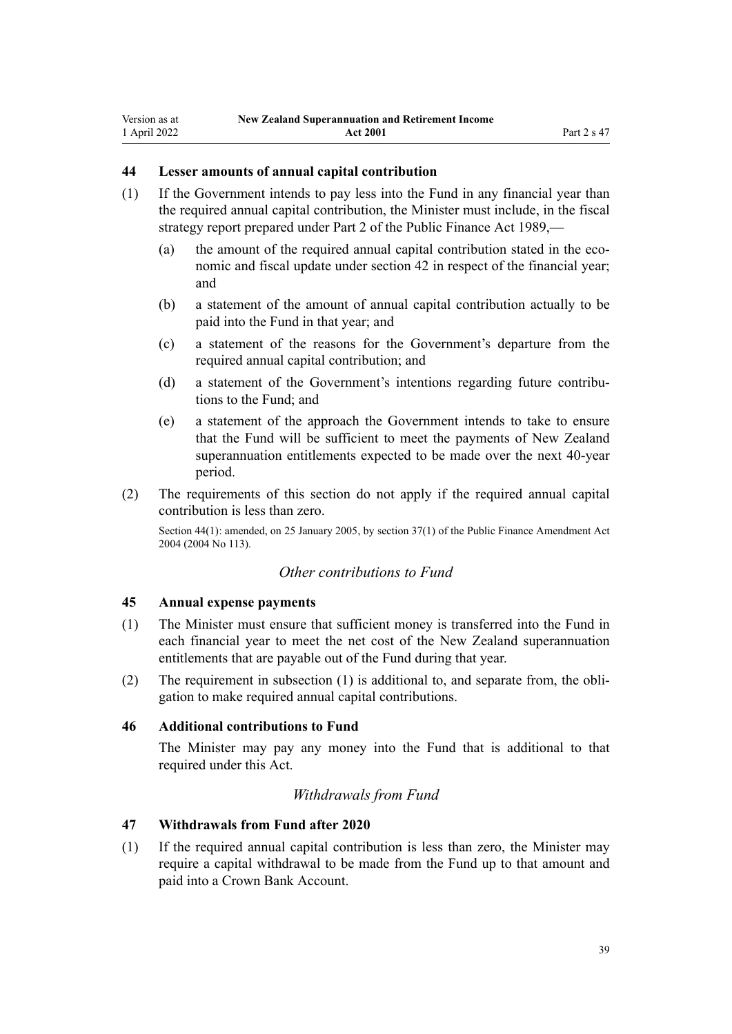## <span id="page-38-0"></span>**44 Lesser amounts of annual capital contribution**

- (1) If the Government intends to pay less into the Fund in any financial year than the required annual capital contribution, the Minister must include, in the fiscal strategy report prepared under [Part 2](http://legislation.govt.nz/pdflink.aspx?id=DLM161663) of the Public Finance Act 1989,—
	- (a) the amount of the required annual capital contribution stated in the economic and fiscal update under [section 42](#page-36-0) in respect of the financial year; and
	- (b) a statement of the amount of annual capital contribution actually to be paid into the Fund in that year; and
	- (c) a statement of the reasons for the Government's departure from the required annual capital contribution; and
	- (d) a statement of the Government's intentions regarding future contributions to the Fund; and
	- (e) a statement of the approach the Government intends to take to ensure that the Fund will be sufficient to meet the payments of New Zealand superannuation entitlements expected to be made over the next 40-year period.
- (2) The requirements of this section do not apply if the required annual capital contribution is less than zero.

Section 44(1): amended, on 25 January 2005, by [section 37\(1\)](http://legislation.govt.nz/pdflink.aspx?id=DLM328867) of the Public Finance Amendment Act 2004 (2004 No 113).

## *Other contributions to Fund*

## **45 Annual expense payments**

- (1) The Minister must ensure that sufficient money is transferred into the Fund in each financial year to meet the net cost of the New Zealand superannuation entitlements that are payable out of the Fund during that year.
- (2) The requirement in subsection (1) is additional to, and separate from, the obli‐ gation to make required annual capital contributions.

## **46 Additional contributions to Fund**

The Minister may pay any money into the Fund that is additional to that required under this Act.

## *Withdrawals from Fund*

## **47 Withdrawals from Fund after 2020**

(1) If the required annual capital contribution is less than zero, the Minister may require a capital withdrawal to be made from the Fund up to that amount and paid into a Crown Bank Account.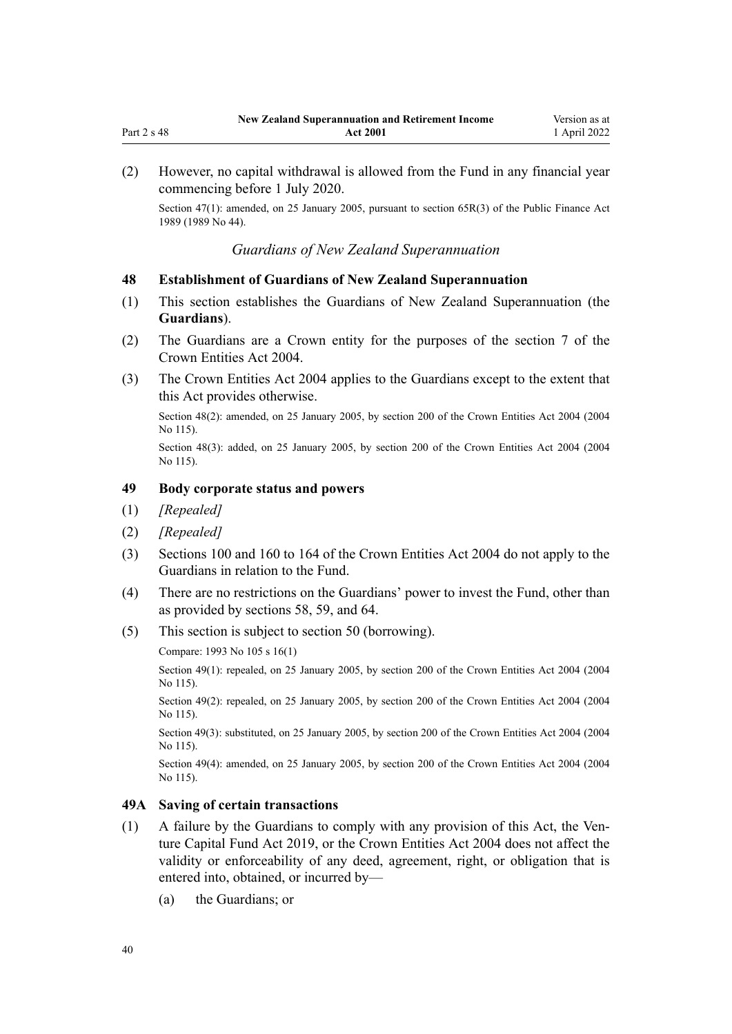<span id="page-39-0"></span>(2) However, no capital withdrawal is allowed from the Fund in any financial year commencing before 1 July 2020.

Section 47(1): amended, on 25 January 2005, pursuant to [section 65R\(3\)](http://legislation.govt.nz/pdflink.aspx?id=DLM162942) of the Public Finance Act 1989 (1989 No 44).

## *Guardians of New Zealand Superannuation*

## **48 Establishment of Guardians of New Zealand Superannuation**

- (1) This section establishes the Guardians of New Zealand Superannuation (the **Guardians**).
- (2) The Guardians are a Crown entity for the purposes of the [section 7](http://legislation.govt.nz/pdflink.aspx?id=DLM329641) of the Crown Entities Act 2004.
- (3) The [Crown Entities Act 2004](http://legislation.govt.nz/pdflink.aspx?id=DLM329630) applies to the Guardians except to the extent that this Act provides otherwise.

Section 48(2): amended, on 25 January 2005, by [section 200](http://legislation.govt.nz/pdflink.aspx?id=DLM331111) of the Crown Entities Act 2004 (2004 No 115).

Section 48(3): added, on 25 January 2005, by [section 200](http://legislation.govt.nz/pdflink.aspx?id=DLM331111) of the Crown Entities Act 2004 (2004) No 115).

## **49 Body corporate status and powers**

- (1) *[Repealed]*
- (2) *[Repealed]*
- (3) [Sections 100](http://legislation.govt.nz/pdflink.aspx?id=DLM330345) and [160 to 164](http://legislation.govt.nz/pdflink.aspx?id=DLM330565) of the Crown Entities Act 2004 do not apply to the Guardians in relation to the Fund.
- (4) There are no restrictions on the Guardians' power to invest the Fund, other than as provided by [sections 58](#page-42-0), [59](#page-42-0), and [64](#page-45-0).
- (5) This section is subject to [section 50](#page-40-0) (borrowing).

Compare: 1993 No 105 [s 16\(1\)](http://legislation.govt.nz/pdflink.aspx?id=DLM320117)

Section 49(1): repealed, on 25 January 2005, by [section 200](http://legislation.govt.nz/pdflink.aspx?id=DLM331111) of the Crown Entities Act 2004 (2004) No 115).

Section 49(2): repealed, on 25 January 2005, by [section 200](http://legislation.govt.nz/pdflink.aspx?id=DLM331111) of the Crown Entities Act 2004 (2004) No 115).

Section 49(3): substituted, on 25 January 2005, by [section 200](http://legislation.govt.nz/pdflink.aspx?id=DLM331111) of the Crown Entities Act 2004 (2004 No 115).

Section 49(4): amended, on 25 January 2005, by [section 200](http://legislation.govt.nz/pdflink.aspx?id=DLM331111) of the Crown Entities Act 2004 (2004 No 115).

## **49A Saving of certain transactions**

- $(1)$  A failure by the Guardians to comply with any provision of this Act, the Ven[ture Capital Fund Act 2019](http://legislation.govt.nz/pdflink.aspx?id=LMS210767), or the [Crown Entities Act 2004](http://legislation.govt.nz/pdflink.aspx?id=DLM329630) does not affect the validity or enforceability of any deed, agreement, right, or obligation that is entered into, obtained, or incurred by—
	- (a) the Guardians; or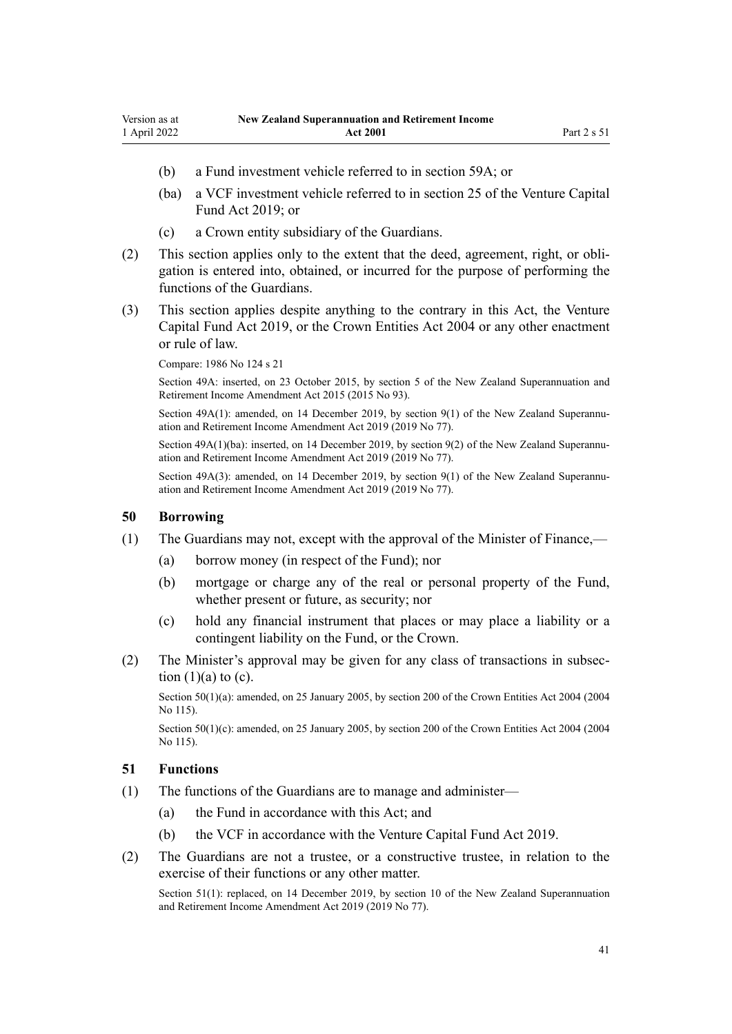- <span id="page-40-0"></span>(b) a Fund investment vehicle referred to in [section 59A](#page-43-0); or
- (ba) a VCF investment vehicle referred to in [section 25](http://legislation.govt.nz/pdflink.aspx?id=LMS227094) of the Venture Capital Fund Act 2019; or
- (c) a Crown entity subsidiary of the Guardians.
- (2) This section applies only to the extent that the deed, agreement, right, or obli‐ gation is entered into, obtained, or incurred for the purpose of performing the functions of the Guardians.
- (3) This section applies despite anything to the contrary in this Act, the [Venture](http://legislation.govt.nz/pdflink.aspx?id=LMS210767) [Capital Fund Act 2019](http://legislation.govt.nz/pdflink.aspx?id=LMS210767), or the [Crown Entities Act 2004](http://legislation.govt.nz/pdflink.aspx?id=DLM329630) or any other enactment or rule of law.

Compare: 1986 No 124 [s 21](http://legislation.govt.nz/pdflink.aspx?id=DLM98065)

Section 49A: inserted, on 23 October 2015, by [section 5](http://legislation.govt.nz/pdflink.aspx?id=DLM6210201) of the New Zealand Superannuation and Retirement Income Amendment Act 2015 (2015 No 93).

Section  $49A(1)$ : amended, on 14 December 2019, by section  $9(1)$  of the New Zealand Superannuation and Retirement Income Amendment Act 2019 (2019 No 77).

Section  $49A(1)(ba)$ : inserted, on 14 December 2019, by section  $9(2)$  of the New Zealand Superannuation and Retirement Income Amendment Act 2019 (2019 No 77).

Section 49A(3): amended, on 14 December 2019, by [section 9\(1\)](http://legislation.govt.nz/pdflink.aspx?id=LMS294695) of the New Zealand Superannuation and Retirement Income Amendment Act 2019 (2019 No 77).

## **50 Borrowing**

- (1) The Guardians may not, except with the approval of the Minister of Finance,—
	- (a) borrow money (in respect of the Fund); nor
	- (b) mortgage or charge any of the real or personal property of the Fund, whether present or future, as security; nor
	- (c) hold any financial instrument that places or may place a liability or a contingent liability on the Fund, or the Crown.
- (2) The Minister's approval may be given for any class of transactions in subsec‐ tion  $(1)(a)$  to  $(c)$ .

Section 50(1)(a): amended, on 25 January 2005, by [section 200](http://legislation.govt.nz/pdflink.aspx?id=DLM331111) of the Crown Entities Act 2004 (2004) No 115).

Section 50(1)(c): amended, on 25 January 2005, by [section 200](http://legislation.govt.nz/pdflink.aspx?id=DLM331111) of the Crown Entities Act 2004 (2004 No 115).

### **51 Functions**

- (1) The functions of the Guardians are to manage and administer—
	- (a) the Fund in accordance with this Act; and
	- (b) the VCF in accordance with the [Venture Capital Fund Act 2019.](http://legislation.govt.nz/pdflink.aspx?id=LMS210767)
- (2) The Guardians are not a trustee, or a constructive trustee, in relation to the exercise of their functions or any other matter.

Section 51(1): replaced, on 14 December 2019, by [section 10](http://legislation.govt.nz/pdflink.aspx?id=LMS294696) of the New Zealand Superannuation and Retirement Income Amendment Act 2019 (2019 No 77).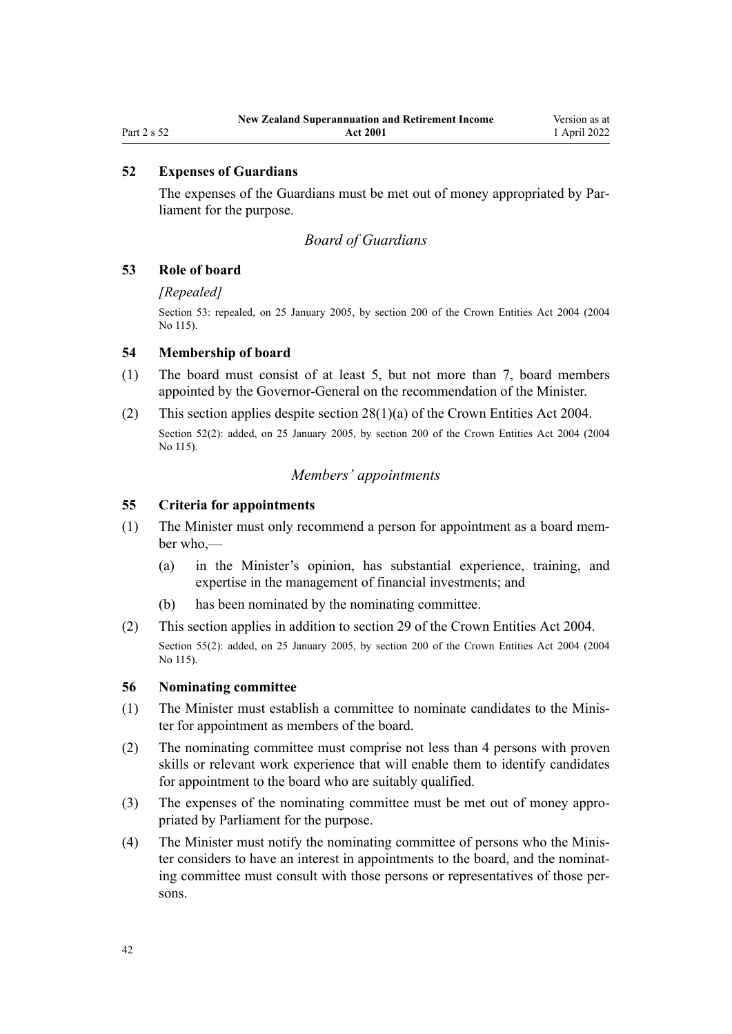## **52 Expenses of Guardians**

The expenses of the Guardians must be met out of money appropriated by Parliament for the purpose.

## *Board of Guardians*

### **53 Role of board**

## *[Repealed]*

Section 53: repealed, on 25 January 2005, by [section 200](http://legislation.govt.nz/pdflink.aspx?id=DLM331111) of the Crown Entities Act 2004 (2004 No 115).

## **54 Membership of board**

- (1) The board must consist of at least 5, but not more than 7, board members appointed by the Governor-General on the recommendation of the Minister.
- (2) This section applies despite [section 28\(1\)\(a\)](http://legislation.govt.nz/pdflink.aspx?id=DLM329954) of the Crown Entities Act 2004. Section 52(2): added, on 25 January 2005, by [section 200](http://legislation.govt.nz/pdflink.aspx?id=DLM331111) of the Crown Entities Act 2004 (2004 No 115).

## *Members' appointments*

### **55 Criteria for appointments**

- (1) The Minister must only recommend a person for appointment as a board mem‐ ber who,—
	- (a) in the Minister's opinion, has substantial experience, training, and expertise in the management of financial investments; and
	- (b) has been nominated by the nominating committee.
- (2) This section applies in addition to [section 29](http://legislation.govt.nz/pdflink.aspx?id=DLM329955) of the Crown Entities Act 2004. Section 55(2): added, on 25 January 2005, by [section 200](http://legislation.govt.nz/pdflink.aspx?id=DLM331111) of the Crown Entities Act 2004 (2004 No 115).

### **56 Nominating committee**

- (1) The Minister must establish a committee to nominate candidates to the Minis‐ ter for appointment as members of the board.
- (2) The nominating committee must comprise not less than 4 persons with proven skills or relevant work experience that will enable them to identify candidates for appointment to the board who are suitably qualified.
- (3) The expenses of the nominating committee must be met out of money appro‐ priated by Parliament for the purpose.
- (4) The Minister must notify the nominating committee of persons who the Minis‐ ter considers to have an interest in appointments to the board, and the nominating committee must consult with those persons or representatives of those per‐ sons.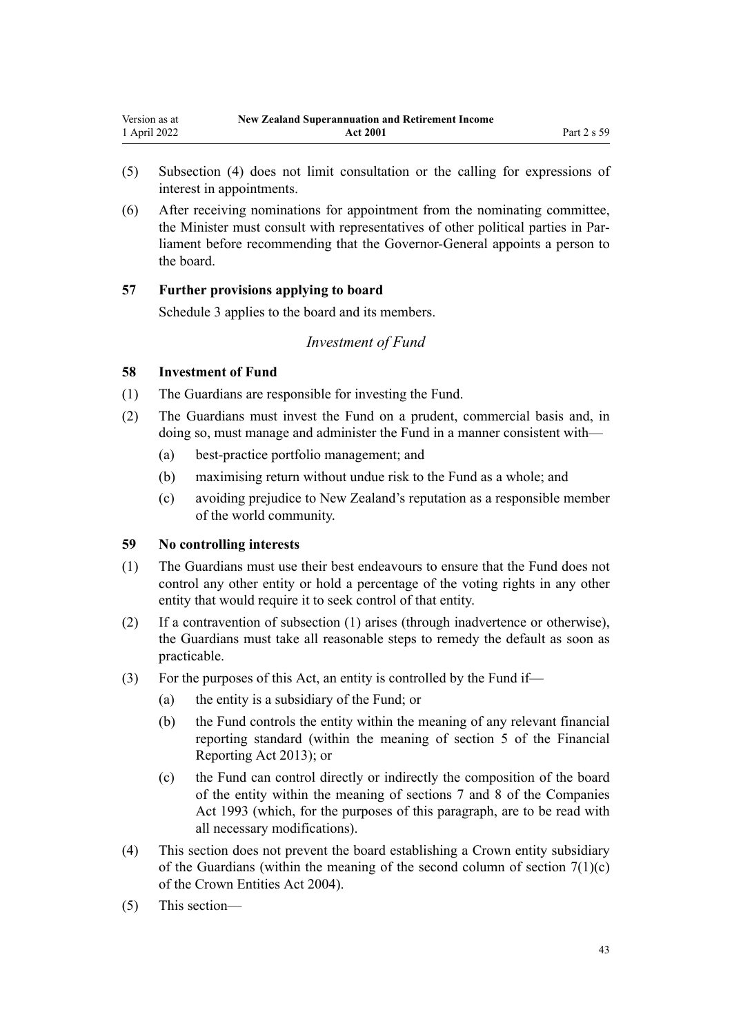- <span id="page-42-0"></span>(5) Subsection (4) does not limit consultation or the calling for expressions of interest in appointments.
- (6) After receiving nominations for appointment from the nominating committee, the Minister must consult with representatives of other political parties in Par‐ liament before recommending that the Governor-General appoints a person to the board.

## **57 Further provisions applying to board**

[Schedule 3](#page-66-0) applies to the board and its members.

## *Investment of Fund*

## **58 Investment of Fund**

- (1) The Guardians are responsible for investing the Fund.
- (2) The Guardians must invest the Fund on a prudent, commercial basis and, in doing so, must manage and administer the Fund in a manner consistent with—
	- (a) best-practice portfolio management; and
	- (b) maximising return without undue risk to the Fund as a whole; and
	- (c) avoiding prejudice to New Zealand's reputation as a responsible member of the world community.

## **59 No controlling interests**

- (1) The Guardians must use their best endeavours to ensure that the Fund does not control any other entity or hold a percentage of the voting rights in any other entity that would require it to seek control of that entity.
- (2) If a contravention of subsection (1) arises (through inadvertence or otherwise), the Guardians must take all reasonable steps to remedy the default as soon as practicable.
- (3) For the purposes of this Act, an entity is controlled by the Fund if—
	- (a) the entity is a subsidiary of the Fund; or
	- (b) the Fund controls the entity within the meaning of any relevant financial reporting standard (within the meaning of [section 5](http://legislation.govt.nz/pdflink.aspx?id=DLM4632837) of the Financial Reporting Act 2013); or
	- (c) the Fund can control directly or indirectly the composition of the board of the entity within the meaning of [sections 7](http://legislation.govt.nz/pdflink.aspx?id=DLM320102) and [8](http://legislation.govt.nz/pdflink.aspx?id=DLM320104) of the Companies Act 1993 (which, for the purposes of this paragraph, are to be read with all necessary modifications).
- (4) This section does not prevent the board establishing a Crown entity subsidiary of the Guardians (within the meaning of the second column of section  $7(1)(c)$ ) of the Crown Entities Act 2004).
- (5) This section—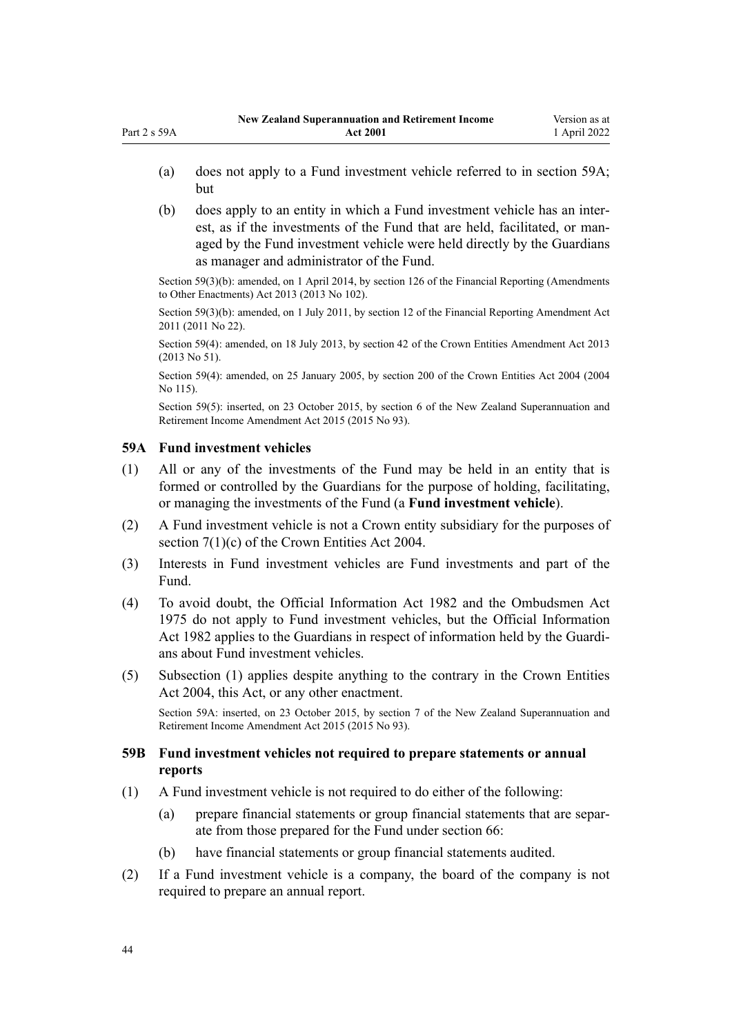- (a) does not apply to a Fund investment vehicle referred to in section 59A; but
- (b) does apply to an entity in which a Fund investment vehicle has an inter‐ est, as if the investments of the Fund that are held, facilitated, or managed by the Fund investment vehicle were held directly by the Guardians as manager and administrator of the Fund.

Section 59(3)(b): amended, on 1 April 2014, by [section 126](http://legislation.govt.nz/pdflink.aspx?id=DLM5740665) of the Financial Reporting (Amendments to Other Enactments) Act 2013 (2013 No 102).

Section 59(3)(b): amended, on 1 July 2011, by [section 12](http://legislation.govt.nz/pdflink.aspx?id=DLM3701759) of the Financial Reporting Amendment Act 2011 (2011 No 22).

Section 59(4): amended, on 18 July 2013, by [section 42](http://legislation.govt.nz/pdflink.aspx?id=DLM5326977) of the Crown Entities Amendment Act 2013 (2013 No 51).

Section 59(4): amended, on 25 January 2005, by [section 200](http://legislation.govt.nz/pdflink.aspx?id=DLM331111) of the Crown Entities Act 2004 (2004 No 115).

Section 59(5): inserted, on 23 October 2015, by [section 6](http://legislation.govt.nz/pdflink.aspx?id=DLM5708815) of the New Zealand Superannuation and Retirement Income Amendment Act 2015 (2015 No 93).

## **59A Fund investment vehicles**

<span id="page-43-0"></span>Part 2 s 59A

- (1) All or any of the investments of the Fund may be held in an entity that is formed or controlled by the Guardians for the purpose of holding, facilitating, or managing the investments of the Fund (a **Fund investment vehicle**).
- (2) A Fund investment vehicle is not a Crown entity subsidiary for the purposes of [section 7\(1\)\(c\)](http://legislation.govt.nz/pdflink.aspx?id=DLM329641) of the Crown Entities Act 2004.
- (3) Interests in Fund investment vehicles are Fund investments and part of the Fund.
- (4) To avoid doubt, the [Official Information Act 1982](http://legislation.govt.nz/pdflink.aspx?id=DLM64784) and the [Ombudsmen Act](http://legislation.govt.nz/pdflink.aspx?id=DLM430983) [1975](http://legislation.govt.nz/pdflink.aspx?id=DLM430983) do not apply to Fund investment vehicles, but the Official Information Act 1982 applies to the Guardians in respect of information held by the Guardi‐ ans about Fund investment vehicles.
- (5) Subsection (1) applies despite anything to the contrary in the [Crown Entities](http://legislation.govt.nz/pdflink.aspx?id=DLM329630) [Act 2004,](http://legislation.govt.nz/pdflink.aspx?id=DLM329630) this Act, or any other enactment.

Section 59A: inserted, on 23 October 2015, by [section 7](http://legislation.govt.nz/pdflink.aspx?id=DLM5708816) of the New Zealand Superannuation and Retirement Income Amendment Act 2015 (2015 No 93).

## **59B Fund investment vehicles not required to prepare statements or annual reports**

- (1) A Fund investment vehicle is not required to do either of the following:
	- (a) prepare financial statements or group financial statements that are separ‐ ate from those prepared for the Fund under [section 66:](#page-47-0)
	- (b) have financial statements or group financial statements audited.
- (2) If a Fund investment vehicle is a company, the board of the company is not required to prepare an annual report.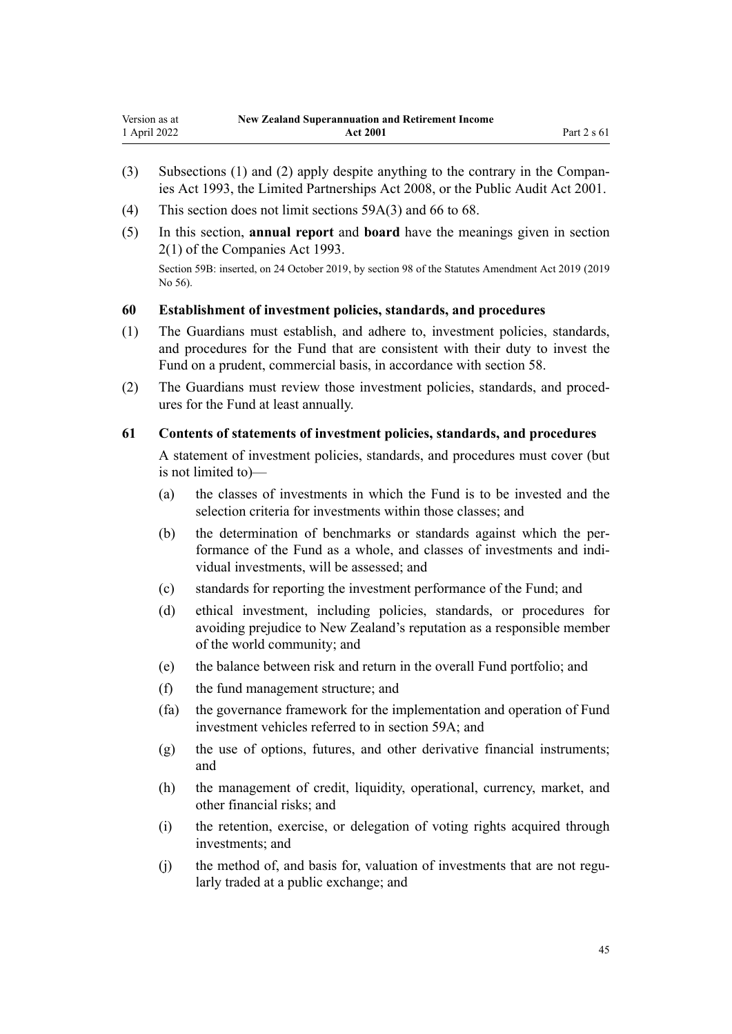- <span id="page-44-0"></span>(3) Subsections (1) and (2) apply despite anything to the contrary in the [Compan‐](http://legislation.govt.nz/pdflink.aspx?id=DLM319569) [ies Act 1993](http://legislation.govt.nz/pdflink.aspx?id=DLM319569), the [Limited Partnerships Act 2008,](http://legislation.govt.nz/pdflink.aspx?id=DLM1139100) or the [Public Audit Act 2001](http://legislation.govt.nz/pdflink.aspx?id=DLM88540).
- (4) This section does not limit [sections 59A\(3\)](#page-43-0) and [66 to 68](#page-47-0).
- (5) In this section, **annual report** and **board** have the meanings given in [section](http://legislation.govt.nz/pdflink.aspx?id=DLM319576) [2\(1\)](http://legislation.govt.nz/pdflink.aspx?id=DLM319576) of the Companies Act 1993.

Section 59B: inserted, on 24 October 2019, by [section 98](http://legislation.govt.nz/pdflink.aspx?id=LMS59028) of the Statutes Amendment Act 2019 (2019 No 56).

### **60 Establishment of investment policies, standards, and procedures**

- (1) The Guardians must establish, and adhere to, investment policies, standards, and procedures for the Fund that are consistent with their duty to invest the Fund on a prudent, commercial basis, in accordance with [section 58.](#page-42-0)
- (2) The Guardians must review those investment policies, standards, and proced‐ ures for the Fund at least annually.

### **61 Contents of statements of investment policies, standards, and procedures**

A statement of investment policies, standards, and procedures must cover (but is not limited to)—

- (a) the classes of investments in which the Fund is to be invested and the selection criteria for investments within those classes; and
- (b) the determination of benchmarks or standards against which the performance of the Fund as a whole, and classes of investments and indi‐ vidual investments, will be assessed; and
- (c) standards for reporting the investment performance of the Fund; and
- (d) ethical investment, including policies, standards, or procedures for avoiding prejudice to New Zealand's reputation as a responsible member of the world community; and
- (e) the balance between risk and return in the overall Fund portfolio; and
- (f) the fund management structure; and
- (fa) the governance framework for the implementation and operation of Fund investment vehicles referred to in [section 59A](#page-43-0); and
- (g) the use of options, futures, and other derivative financial instruments; and
- (h) the management of credit, liquidity, operational, currency, market, and other financial risks; and
- (i) the retention, exercise, or delegation of voting rights acquired through investments; and
- (j) the method of, and basis for, valuation of investments that are not regularly traded at a public exchange; and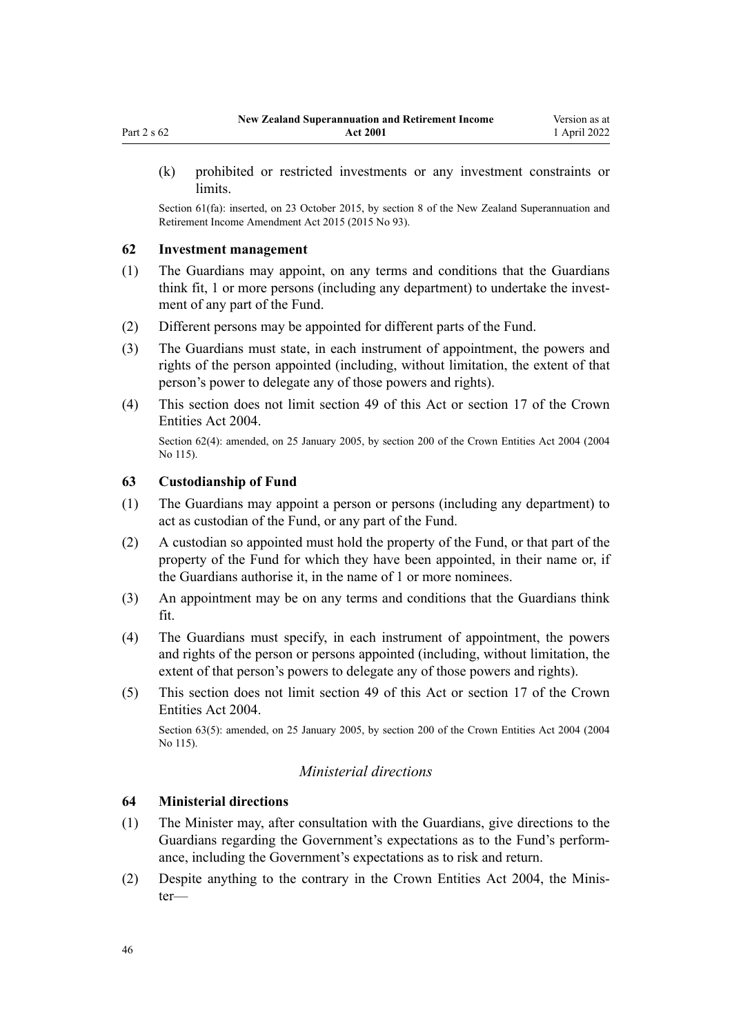<span id="page-45-0"></span>(k) prohibited or restricted investments or any investment constraints or limits.

Section 61(fa): inserted, on 23 October 2015, by [section 8](http://legislation.govt.nz/pdflink.aspx?id=DLM5708818) of the New Zealand Superannuation and Retirement Income Amendment Act 2015 (2015 No 93).

## **62 Investment management**

- (1) The Guardians may appoint, on any terms and conditions that the Guardians think fit, 1 or more persons (including any department) to undertake the investment of any part of the Fund.
- (2) Different persons may be appointed for different parts of the Fund.
- (3) The Guardians must state, in each instrument of appointment, the powers and rights of the person appointed (including, without limitation, the extent of that person's power to delegate any of those powers and rights).
- (4) This section does not limit [section 49](#page-39-0) of this Act or [section 17](http://legislation.govt.nz/pdflink.aspx?id=DLM329931) of the Crown Entities Act 2004.

Section 62(4): amended, on 25 January 2005, by [section 200](http://legislation.govt.nz/pdflink.aspx?id=DLM331111) of the Crown Entities Act 2004 (2004) No 115).

### **63 Custodianship of Fund**

- (1) The Guardians may appoint a person or persons (including any department) to act as custodian of the Fund, or any part of the Fund.
- (2) A custodian so appointed must hold the property of the Fund, or that part of the property of the Fund for which they have been appointed, in their name or, if the Guardians authorise it, in the name of 1 or more nominees.
- (3) An appointment may be on any terms and conditions that the Guardians think fit.
- (4) The Guardians must specify, in each instrument of appointment, the powers and rights of the person or persons appointed (including, without limitation, the extent of that person's powers to delegate any of those powers and rights).
- (5) This section does not limit [section 49](#page-39-0) of this Act or [section 17](http://legislation.govt.nz/pdflink.aspx?id=DLM329931) of the Crown Entities Act 2004.

Section 63(5): amended, on 25 January 2005, by [section 200](http://legislation.govt.nz/pdflink.aspx?id=DLM331111) of the Crown Entities Act 2004 (2004 No 115).

## *Ministerial directions*

## **64 Ministerial directions**

- (1) The Minister may, after consultation with the Guardians, give directions to the Guardians regarding the Government's expectations as to the Fund's perform‐ ance, including the Government's expectations as to risk and return.
- (2) Despite anything to the contrary in the [Crown Entities Act 2004,](http://legislation.govt.nz/pdflink.aspx?id=DLM329630) the Minis‐ ter—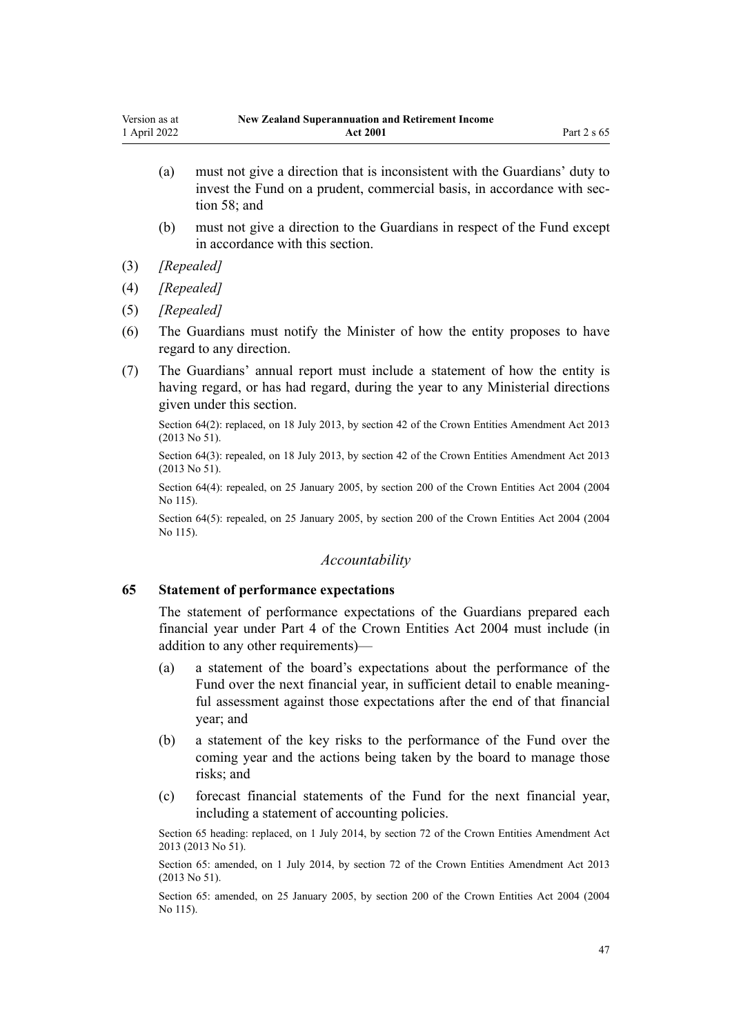- (a) must not give a direction that is inconsistent with the Guardians' duty to invest the Fund on a prudent, commercial basis, in accordance with sec[tion 58](#page-42-0); and
- (b) must not give a direction to the Guardians in respect of the Fund except in accordance with this section.
- (3) *[Repealed]*
- (4) *[Repealed]*
- (5) *[Repealed]*
- (6) The Guardians must notify the Minister of how the entity proposes to have regard to any direction.
- (7) The Guardians' annual report must include a statement of how the entity is having regard, or has had regard, during the year to any Ministerial directions given under this section.

Section 64(2): replaced, on 18 July 2013, by [section 42](http://legislation.govt.nz/pdflink.aspx?id=DLM5326977) of the Crown Entities Amendment Act 2013 (2013 No 51).

Section 64(3): repealed, on 18 July 2013, by [section 42](http://legislation.govt.nz/pdflink.aspx?id=DLM5326977) of the Crown Entities Amendment Act 2013 (2013 No 51).

Section 64(4): repealed, on 25 January 2005, by [section 200](http://legislation.govt.nz/pdflink.aspx?id=DLM331111) of the Crown Entities Act 2004 (2004 No 115).

Section 64(5): repealed, on 25 January 2005, by [section 200](http://legislation.govt.nz/pdflink.aspx?id=DLM331111) of the Crown Entities Act 2004 (2004) No 115).

## *Accountability*

## **65 Statement of performance expectations**

The statement of performance expectations of the Guardians prepared each financial year under [Part 4](http://legislation.govt.nz/pdflink.aspx?id=DLM330504) of the Crown Entities Act 2004 must include (in addition to any other requirements)—

- (a) a statement of the board's expectations about the performance of the Fund over the next financial year, in sufficient detail to enable meaningful assessment against those expectations after the end of that financial year; and
- (b) a statement of the key risks to the performance of the Fund over the coming year and the actions being taken by the board to manage those risks; and
- (c) forecast financial statements of the Fund for the next financial year, including a statement of accounting policies.

Section 65 heading: replaced, on 1 July 2014, by [section 72](http://legislation.govt.nz/pdflink.aspx?id=DLM5327162) of the Crown Entities Amendment Act 2013 (2013 No 51).

Section 65: amended, on 1 July 2014, by [section 72](http://legislation.govt.nz/pdflink.aspx?id=DLM5327162) of the Crown Entities Amendment Act 2013 (2013 No 51).

Section 65: amended, on 25 January 2005, by [section 200](http://legislation.govt.nz/pdflink.aspx?id=DLM331111) of the Crown Entities Act 2004 (2004 No 115).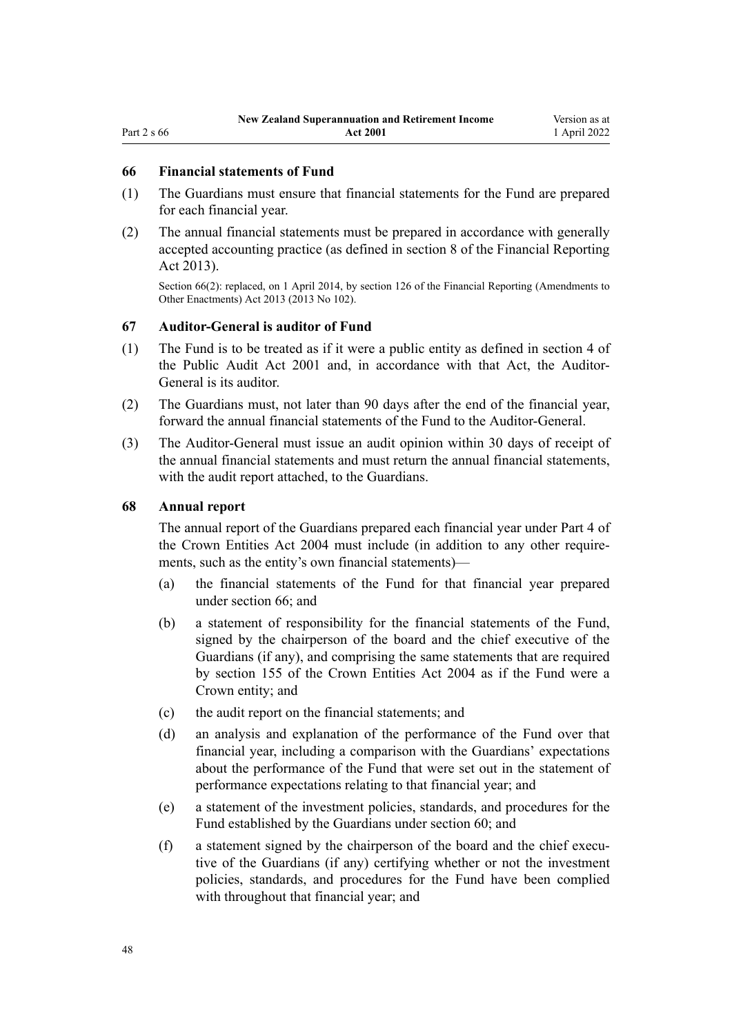# <span id="page-47-0"></span>Part 2 s 66

## **66 Financial statements of Fund**

- (1) The Guardians must ensure that financial statements for the Fund are prepared for each financial year.
- (2) The annual financial statements must be prepared in accordance with generally accepted accounting practice (as defined in [section 8](http://legislation.govt.nz/pdflink.aspx?id=DLM4632894) of the Financial Reporting Act 2013).

Section 66(2): replaced, on 1 April 2014, by [section 126](http://legislation.govt.nz/pdflink.aspx?id=DLM5740665) of the Financial Reporting (Amendments to Other Enactments) Act 2013 (2013 No 102).

### **67 Auditor-General is auditor of Fund**

- (1) The Fund is to be treated as if it were a public entity as defined in [section 4](http://legislation.govt.nz/pdflink.aspx?id=DLM88548) of the Public Audit Act 2001 and, in accordance with that Act, the Auditor-General is its auditor.
- (2) The Guardians must, not later than 90 days after the end of the financial year, forward the annual financial statements of the Fund to the Auditor-General.
- (3) The Auditor-General must issue an audit opinion within 30 days of receipt of the annual financial statements and must return the annual financial statements, with the audit report attached, to the Guardians.

## **68 Annual report**

The annual report of the Guardians prepared each financial year under [Part 4](http://legislation.govt.nz/pdflink.aspx?id=DLM330504) of the Crown Entities Act 2004 must include (in addition to any other require‐ ments, such as the entity's own financial statements)—

- (a) the financial statements of the Fund for that financial year prepared under section 66; and
- (b) a statement of responsibility for the financial statements of the Fund, signed by the chairperson of the board and the chief executive of the Guardians (if any), and comprising the same statements that are required by [section 155](http://legislation.govt.nz/pdflink.aspx?id=DLM330557) of the Crown Entities Act 2004 as if the Fund were a Crown entity; and
- (c) the audit report on the financial statements; and
- (d) an analysis and explanation of the performance of the Fund over that financial year, including a comparison with the Guardians' expectations about the performance of the Fund that were set out in the statement of performance expectations relating to that financial year; and
- (e) a statement of the investment policies, standards, and procedures for the Fund established by the Guardians under [section 60](#page-44-0); and
- (f) a statement signed by the chairperson of the board and the chief execu‐ tive of the Guardians (if any) certifying whether or not the investment policies, standards, and procedures for the Fund have been complied with throughout that financial year; and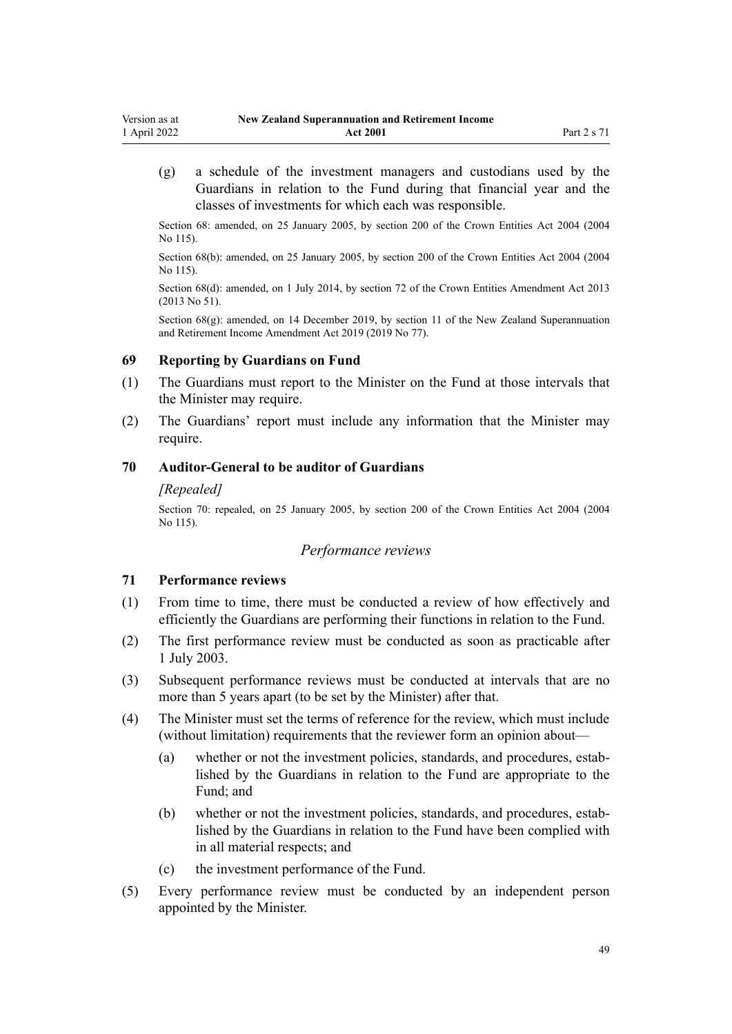(g) a schedule of the investment managers and custodians used by the Guardians in relation to the Fund during that financial year and the classes of investments for which each was responsible.

Section 68: amended, on 25 January 2005, by [section 200](http://legislation.govt.nz/pdflink.aspx?id=DLM331111) of the Crown Entities Act 2004 (2004 No 115).

Section 68(b): amended, on 25 January 2005, by [section 200](http://legislation.govt.nz/pdflink.aspx?id=DLM331111) of the Crown Entities Act 2004 (2004 No 115).

Section 68(d): amended, on 1 July 2014, by [section 72](http://legislation.govt.nz/pdflink.aspx?id=DLM5327162) of the Crown Entities Amendment Act 2013 (2013 No 51).

Section  $68(g)$ : amended, on 14 December 2019, by [section 11](http://legislation.govt.nz/pdflink.aspx?id=LMS294697) of the New Zealand Superannuation and Retirement Income Amendment Act 2019 (2019 No 77).

## **69 Reporting by Guardians on Fund**

- (1) The Guardians must report to the Minister on the Fund at those intervals that the Minister may require.
- (2) The Guardians' report must include any information that the Minister may require.

## **70 Auditor-General to be auditor of Guardians**

### *[Repealed]*

Section 70: repealed, on 25 January 2005, by [section 200](http://legislation.govt.nz/pdflink.aspx?id=DLM331111) of the Crown Entities Act 2004 (2004 No 115).

### *Performance reviews*

### **71 Performance reviews**

- (1) From time to time, there must be conducted a review of how effectively and efficiently the Guardians are performing their functions in relation to the Fund.
- (2) The first performance review must be conducted as soon as practicable after 1 July 2003.
- (3) Subsequent performance reviews must be conducted at intervals that are no more than 5 years apart (to be set by the Minister) after that.
- (4) The Minister must set the terms of reference for the review, which must include (without limitation) requirements that the reviewer form an opinion about—
	- (a) whether or not the investment policies, standards, and procedures, estab‐ lished by the Guardians in relation to the Fund are appropriate to the Fund; and
	- (b) whether or not the investment policies, standards, and procedures, established by the Guardians in relation to the Fund have been complied with in all material respects; and
	- (c) the investment performance of the Fund.
- (5) Every performance review must be conducted by an independent person appointed by the Minister.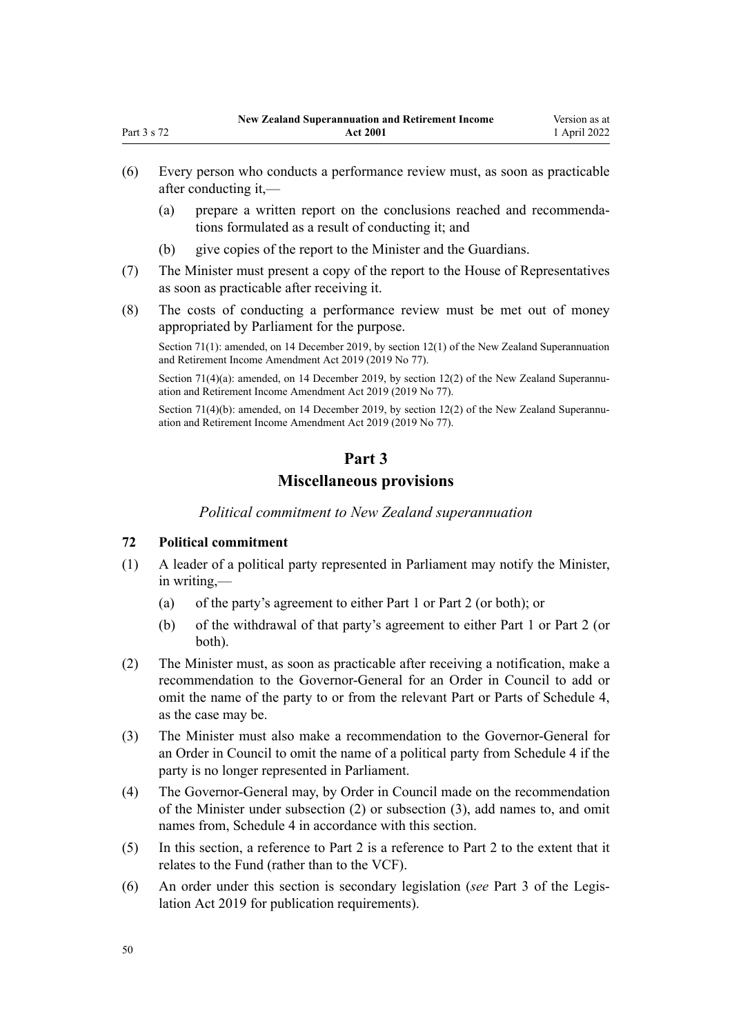- (6) Every person who conducts a performance review must, as soon as practicable after conducting it,—
	- (a) prepare a written report on the conclusions reached and recommenda‐ tions formulated as a result of conducting it; and
	- (b) give copies of the report to the Minister and the Guardians.
- (7) The Minister must present a copy of the report to the House of Representatives as soon as practicable after receiving it.
- (8) The costs of conducting a performance review must be met out of money appropriated by Parliament for the purpose.

Section 71(1): amended, on 14 December 2019, by [section 12\(1\)](http://legislation.govt.nz/pdflink.aspx?id=LMS294698) of the New Zealand Superannuation and Retirement Income Amendment Act 2019 (2019 No 77).

Section 71(4)(a): amended, on 14 December 2019, by [section 12\(2\)](http://legislation.govt.nz/pdflink.aspx?id=LMS294698) of the New Zealand Superannuation and Retirement Income Amendment Act 2019 (2019 No 77).

Section 71(4)(b): amended, on 14 December 2019, by [section 12\(2\)](http://legislation.govt.nz/pdflink.aspx?id=LMS294698) of the New Zealand Superannuation and Retirement Income Amendment Act 2019 (2019 No 77).

## **Part 3**

## **Miscellaneous provisions**

*Political commitment to New Zealand superannuation*

### **72 Political commitment**

- (1) A leader of a political party represented in Parliament may notify the Minister, in writing,—
	- (a) of the party's agreement to either [Part 1](#page-10-0) or [Part 2](#page-34-0) (or both); or
	- (b) of the withdrawal of that party's agreement to either [Part 1](#page-10-0) or [Part 2](#page-34-0) (or both).
- (2) The Minister must, as soon as practicable after receiving a notification, make a recommendation to the Governor-General for an Order in Council to add or omit the name of the party to or from the relevant Part or Parts of [Schedule 4](#page-75-0), as the case may be.
- (3) The Minister must also make a recommendation to the Governor-General for an Order in Council to omit the name of a political party from [Schedule 4](#page-75-0) if the party is no longer represented in Parliament.
- (4) The Governor-General may, by Order in Council made on the recommendation of the Minister under subsection (2) or subsection (3), add names to, and omit names from, [Schedule 4](#page-75-0) in accordance with this section.
- (5) In this section, a reference to [Part 2](#page-34-0) is a reference to Part 2 to the extent that it relates to the Fund (rather than to the VCF).
- (6) An order under this section is secondary legislation (*see* [Part 3](http://legislation.govt.nz/pdflink.aspx?id=DLM7298343) of the Legis‐ lation Act 2019 for publication requirements).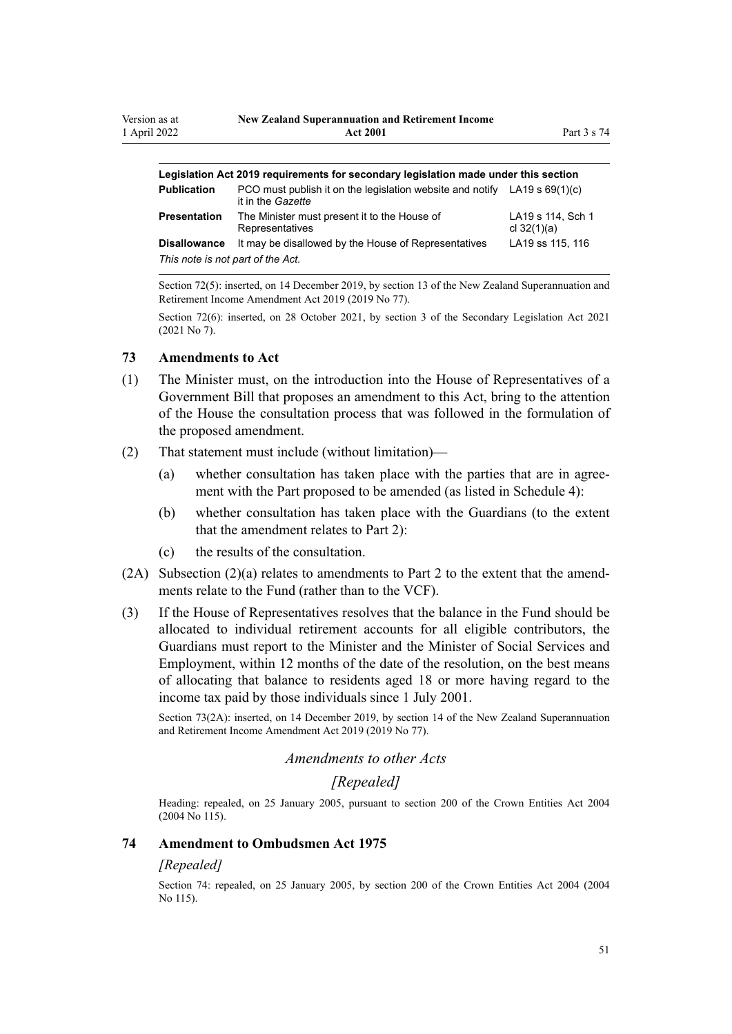| Legislation Act 2019 requirements for secondary legislation made under this section |                                                                                                  |                                    |  |  |
|-------------------------------------------------------------------------------------|--------------------------------------------------------------------------------------------------|------------------------------------|--|--|
| <b>Publication</b>                                                                  | PCO must publish it on the legislation website and notify LA19 s $69(1)(c)$<br>it in the Gazette |                                    |  |  |
| Presentation                                                                        | The Minister must present it to the House of<br>Representatives                                  | LA19 s 114, Sch 1<br>cl $32(1)(a)$ |  |  |
| <b>Disallowance</b>                                                                 | It may be disallowed by the House of Representatives                                             | LA19 ss 115, 116                   |  |  |
| This note is not part of the Act.                                                   |                                                                                                  |                                    |  |  |
|                                                                                     |                                                                                                  |                                    |  |  |

Section 72(5): inserted, on 14 December 2019, by [section 13](http://legislation.govt.nz/pdflink.aspx?id=LMS294699) of the New Zealand Superannuation and Retirement Income Amendment Act 2019 (2019 No 77).

Section 72(6): inserted, on 28 October 2021, by [section 3](http://legislation.govt.nz/pdflink.aspx?id=LMS268932) of the Secondary Legislation Act 2021 (2021 No 7).

## **73 Amendments to Act**

- (1) The Minister must, on the introduction into the House of Representatives of a Government Bill that proposes an amendment to this Act, bring to the attention of the House the consultation process that was followed in the formulation of the proposed amendment.
- (2) That statement must include (without limitation)—
	- (a) whether consultation has taken place with the parties that are in agree‐ ment with the Part proposed to be amended (as listed in [Schedule 4](#page-75-0)):
	- (b) whether consultation has taken place with the Guardians (to the extent that the amendment relates to [Part 2\)](#page-34-0):
	- (c) the results of the consultation.
- $(2A)$  Subsection  $(2)(a)$  relates to amendments to [Part 2](#page-34-0) to the extent that the amendments relate to the Fund (rather than to the VCF).
- (3) If the House of Representatives resolves that the balance in the Fund should be allocated to individual retirement accounts for all eligible contributors, the Guardians must report to the Minister and the Minister of Social Services and Employment, within 12 months of the date of the resolution, on the best means of allocating that balance to residents aged 18 or more having regard to the income tax paid by those individuals since 1 July 2001.

Section 73(2A): inserted, on 14 December 2019, by [section 14](http://legislation.govt.nz/pdflink.aspx?id=LMS294700) of the New Zealand Superannuation and Retirement Income Amendment Act 2019 (2019 No 77).

## *Amendments to other Acts*

## *[Repealed]*

Heading: repealed, on 25 January 2005, pursuant to [section 200](http://legislation.govt.nz/pdflink.aspx?id=DLM331111) of the Crown Entities Act 2004 (2004 No 115).

### **74 Amendment to Ombudsmen Act 1975**

## *[Repealed]*

Section 74: repealed, on 25 January 2005, by [section 200](http://legislation.govt.nz/pdflink.aspx?id=DLM331111) of the Crown Entities Act 2004 (2004 No 115).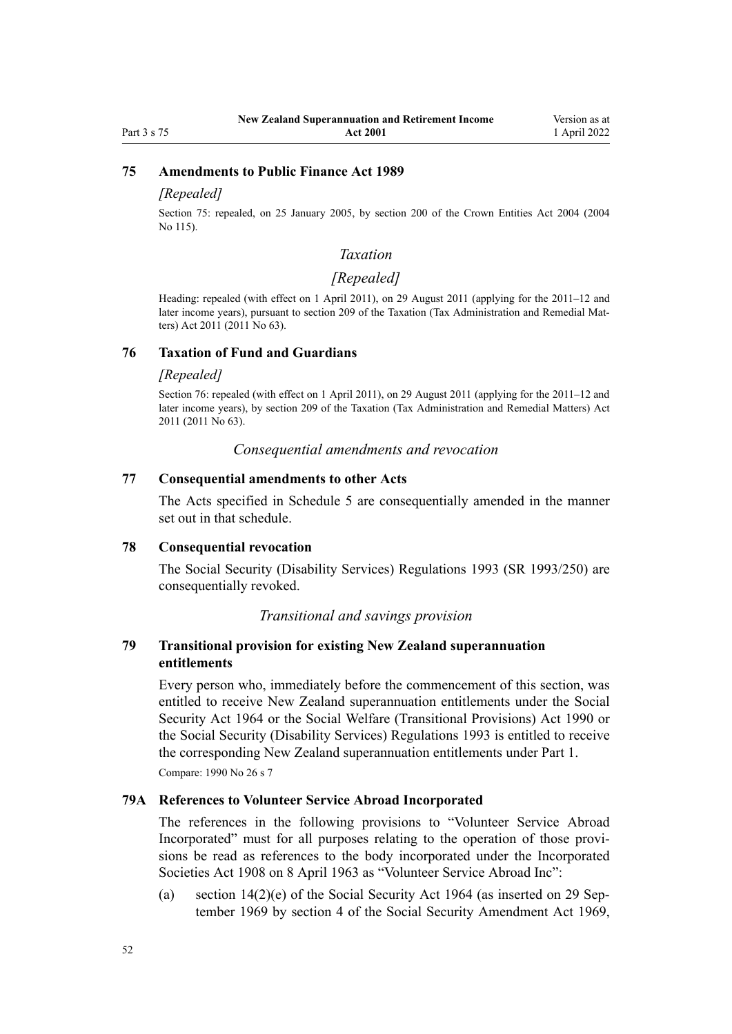## <span id="page-51-0"></span>**75 Amendments to Public Finance Act 1989**

### *[Repealed]*

Section 75: repealed, on 25 January 2005, by [section 200](http://legislation.govt.nz/pdflink.aspx?id=DLM331111) of the Crown Entities Act 2004 (2004 No 115).

## *Taxation*

## *[Repealed]*

Heading: repealed (with effect on 1 April 2011), on 29 August 2011 (applying for the 2011–12 and later income years), pursuant to [section 209](http://legislation.govt.nz/pdflink.aspx?id=DLM3389052) of the Taxation (Tax Administration and Remedial Matters) Act 2011 (2011 No 63).

## **76 Taxation of Fund and Guardians**

### *[Repealed]*

Section 76: repealed (with effect on 1 April 2011), on 29 August 2011 (applying for the 2011–12 and later income years), by [section 209](http://legislation.govt.nz/pdflink.aspx?id=DLM3389052) of the Taxation (Tax Administration and Remedial Matters) Act 2011 (2011 No 63).

*Consequential amendments and revocation*

## **77 Consequential amendments to other Acts**

The Acts specified in [Schedule 5](#page-76-0) are consequentially amended in the manner set out in that schedule.

### **78 Consequential revocation**

The Social Security (Disability Services) Regulations 1993 (SR 1993/250) are consequentially revoked.

### *Transitional and savings provision*

## **79 Transitional provision for existing New Zealand superannuation entitlements**

Every person who, immediately before the commencement of this section, was entitled to receive New Zealand superannuation entitlements under the [Social](http://legislation.govt.nz/pdflink.aspx?id=DLM359106) [Security Act 1964](http://legislation.govt.nz/pdflink.aspx?id=DLM359106) or the [Social Welfare \(Transitional Provisions\) Act 1990](http://legislation.govt.nz/pdflink.aspx?id=DLM203578) or the Social Security (Disability Services) Regulations 1993 is entitled to receive the corresponding New Zealand superannuation entitlements under [Part 1.](#page-10-0)

Compare: 1990 No 26 [s 7](http://legislation.govt.nz/pdflink.aspx?id=DLM204120)

## **79A References to Volunteer Service Abroad Incorporated**

The references in the following provisions to "Volunteer Service Abroad Incorporated" must for all purposes relating to the operation of those provisions be read as references to the body incorporated under the [Incorporated](http://legislation.govt.nz/pdflink.aspx?id=DLM175774) [Societies Act 1908](http://legislation.govt.nz/pdflink.aspx?id=DLM175774) on 8 April 1963 as "Volunteer Service Abroad Inc":

(a) section  $14(2)(e)$  of the Social Security Act 1964 (as inserted on 29 September 1969 by section 4 of the Social Security Amendment Act 1969,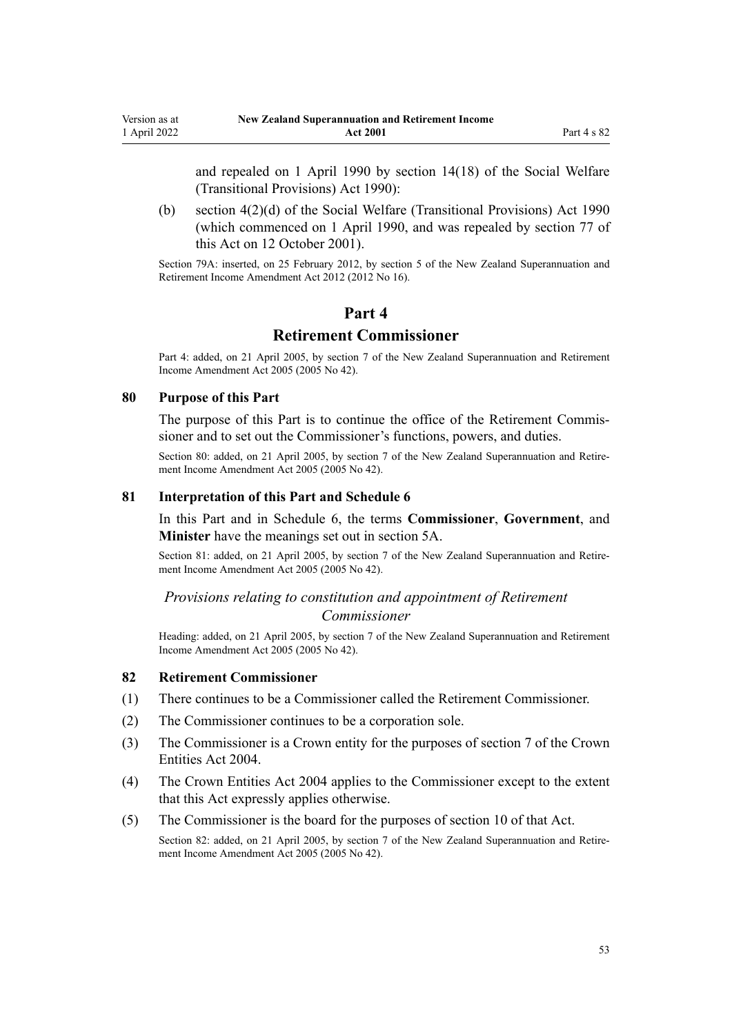<span id="page-52-0"></span>and repealed on 1 April 1990 by [section 14\(18\)](http://legislation.govt.nz/pdflink.aspx?id=DLM204161) of the Social Welfare (Transitional Provisions) Act 1990):

(b) [section 4\(2\)\(d\)](http://legislation.govt.nz/pdflink.aspx?id=DLM204107) of the Social Welfare (Transitional Provisions) Act 1990 (which commenced on 1 April 1990, and was repealed by [section 77](#page-51-0) of this Act on 12 October 2001).

Section 79A: inserted, on 25 February 2012, by [section 5](http://legislation.govt.nz/pdflink.aspx?id=DLM4014808) of the New Zealand Superannuation and Retirement Income Amendment Act 2012 (2012 No 16).

## **Part 4**

## **Retirement Commissioner**

Part 4: added, on 21 April 2005, by [section 7](http://legislation.govt.nz/pdflink.aspx?id=DLM346478) of the New Zealand Superannuation and Retirement Income Amendment Act 2005 (2005 No 42).

## **80 Purpose of this Part**

The purpose of this Part is to continue the office of the Retirement Commissioner and to set out the Commissioner's functions, powers, and duties.

Section 80: added, on 21 April 2005, by [section 7](http://legislation.govt.nz/pdflink.aspx?id=DLM346478) of the New Zealand Superannuation and Retirement Income Amendment Act 2005 (2005 No 42).

### **81 Interpretation of this Part and Schedule 6**

In this Part and in [Schedule 6](#page-78-0), the terms **Commissioner**, **Government**, and **Minister** have the meanings set out in [section 5A](#page-9-0).

Section 81: added, on 21 April 2005, by [section 7](http://legislation.govt.nz/pdflink.aspx?id=DLM346478) of the New Zealand Superannuation and Retirement Income Amendment Act 2005 (2005 No 42).

## *Provisions relating to constitution and appointment of Retirement Commissioner*

Heading: added, on 21 April 2005, by [section 7](http://legislation.govt.nz/pdflink.aspx?id=DLM346478) of the New Zealand Superannuation and Retirement Income Amendment Act 2005 (2005 No 42).

### **82 Retirement Commissioner**

- (1) There continues to be a Commissioner called the Retirement Commissioner.
- (2) The Commissioner continues to be a corporation sole.
- (3) The Commissioner is a Crown entity for the purposes of [section 7](http://legislation.govt.nz/pdflink.aspx?id=DLM329641) of the Crown Entities Act 2004.
- (4) The [Crown Entities Act 2004](http://legislation.govt.nz/pdflink.aspx?id=DLM329630) applies to the Commissioner except to the extent that this Act expressly applies otherwise.
- (5) The Commissioner is the board for the purposes of [section 10](http://legislation.govt.nz/pdflink.aspx?id=DLM329649) of that Act.

Section 82: added, on 21 April 2005, by [section 7](http://legislation.govt.nz/pdflink.aspx?id=DLM346478) of the New Zealand Superannuation and Retirement Income Amendment Act 2005 (2005 No 42).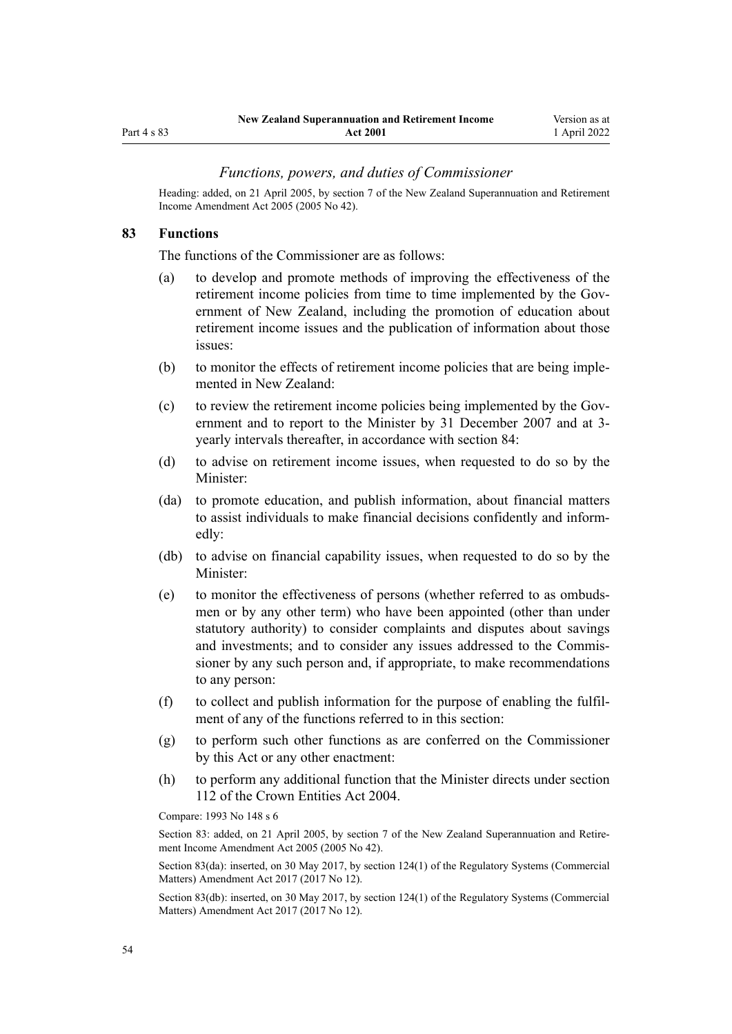## <span id="page-53-0"></span>Part 4 s 83

### *Functions, powers, and duties of Commissioner*

Heading: added, on 21 April 2005, by [section 7](http://legislation.govt.nz/pdflink.aspx?id=DLM346478) of the New Zealand Superannuation and Retirement Income Amendment Act 2005 (2005 No 42).

### **83 Functions**

The functions of the Commissioner are as follows:

- (a) to develop and promote methods of improving the effectiveness of the retirement income policies from time to time implemented by the Government of New Zealand, including the promotion of education about retirement income issues and the publication of information about those issues:
- (b) to monitor the effects of retirement income policies that are being imple‐ mented in New Zealand:
- (c) to review the retirement income policies being implemented by the Government and to report to the Minister by 31 December 2007 and at 3 yearly intervals thereafter, in accordance with [section 84](#page-54-0):
- (d) to advise on retirement income issues, when requested to do so by the Minister:
- (da) to promote education, and publish information, about financial matters to assist individuals to make financial decisions confidently and inform‐ edly:
- (db) to advise on financial capability issues, when requested to do so by the Minister:
- (e) to monitor the effectiveness of persons (whether referred to as ombuds‐ men or by any other term) who have been appointed (other than under statutory authority) to consider complaints and disputes about savings and investments; and to consider any issues addressed to the Commis‐ sioner by any such person and, if appropriate, to make recommendations to any person:
- (f) to collect and publish information for the purpose of enabling the fulfil‐ ment of any of the functions referred to in this section:
- (g) to perform such other functions as are conferred on the Commissioner by this Act or any other enactment:
- (h) to perform any additional function that the Minister directs under [section](http://legislation.govt.nz/pdflink.aspx?id=DLM330360) [112](http://legislation.govt.nz/pdflink.aspx?id=DLM330360) of the Crown Entities Act 2004.

Compare: 1993 No 148 s 6

Section 83: added, on 21 April 2005, by [section 7](http://legislation.govt.nz/pdflink.aspx?id=DLM346478) of the New Zealand Superannuation and Retirement Income Amendment Act 2005 (2005 No 42).

Section 83(da): inserted, on 30 May 2017, by [section 124\(1\)](http://legislation.govt.nz/pdflink.aspx?id=DLM6971839) of the Regulatory Systems (Commercial Matters) Amendment Act 2017 (2017 No 12).

Section 83(db): inserted, on 30 May 2017, by [section 124\(1\)](http://legislation.govt.nz/pdflink.aspx?id=DLM6971839) of the Regulatory Systems (Commercial Matters) Amendment Act 2017 (2017 No 12).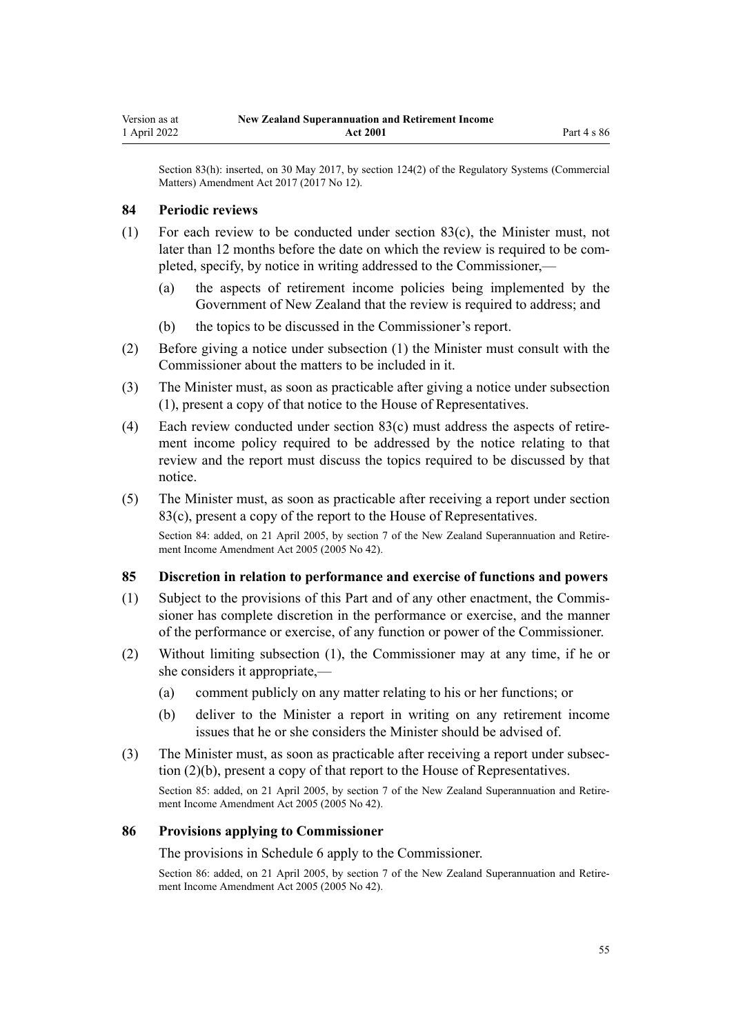<span id="page-54-0"></span>Section 83(h): inserted, on 30 May 2017, by [section 124\(2\)](http://legislation.govt.nz/pdflink.aspx?id=DLM6971839) of the Regulatory Systems (Commercial Matters) Amendment Act 2017 (2017 No 12).

### **84 Periodic reviews**

- (1) For each review to be conducted under [section 83\(c\),](#page-53-0) the Minister must, not later than 12 months before the date on which the review is required to be completed, specify, by notice in writing addressed to the Commissioner,—
	- (a) the aspects of retirement income policies being implemented by the Government of New Zealand that the review is required to address; and
	- (b) the topics to be discussed in the Commissioner's report.
- (2) Before giving a notice under subsection (1) the Minister must consult with the Commissioner about the matters to be included in it.
- (3) The Minister must, as soon as practicable after giving a notice under subsection (1), present a copy of that notice to the House of Representatives.
- (4) Each review conducted under section  $83(c)$  must address the aspects of retirement income policy required to be addressed by the notice relating to that review and the report must discuss the topics required to be discussed by that notice.
- (5) The Minister must, as soon as practicable after receiving a report under [section](#page-53-0) [83\(c\)](#page-53-0), present a copy of the report to the House of Representatives.

Section 84: added, on 21 April 2005, by [section 7](http://legislation.govt.nz/pdflink.aspx?id=DLM346478) of the New Zealand Superannuation and Retirement Income Amendment Act 2005 (2005 No 42).

## **85 Discretion in relation to performance and exercise of functions and powers**

- (1) Subject to the provisions of this Part and of any other enactment, the Commis‐ sioner has complete discretion in the performance or exercise, and the manner of the performance or exercise, of any function or power of the Commissioner.
- (2) Without limiting subsection (1), the Commissioner may at any time, if he or she considers it appropriate,—
	- (a) comment publicly on any matter relating to his or her functions; or
	- (b) deliver to the Minister a report in writing on any retirement income issues that he or she considers the Minister should be advised of.
- (3) The Minister must, as soon as practicable after receiving a report under subsec‐ tion (2)(b), present a copy of that report to the House of Representatives.

Section 85: added, on 21 April 2005, by [section 7](http://legislation.govt.nz/pdflink.aspx?id=DLM346478) of the New Zealand Superannuation and Retire‐ ment Income Amendment Act 2005 (2005 No 42).

### **86 Provisions applying to Commissioner**

The provisions in [Schedule 6](#page-78-0) apply to the Commissioner.

Section 86: added, on 21 April 2005, by [section 7](http://legislation.govt.nz/pdflink.aspx?id=DLM346478) of the New Zealand Superannuation and Retirement Income Amendment Act 2005 (2005 No 42).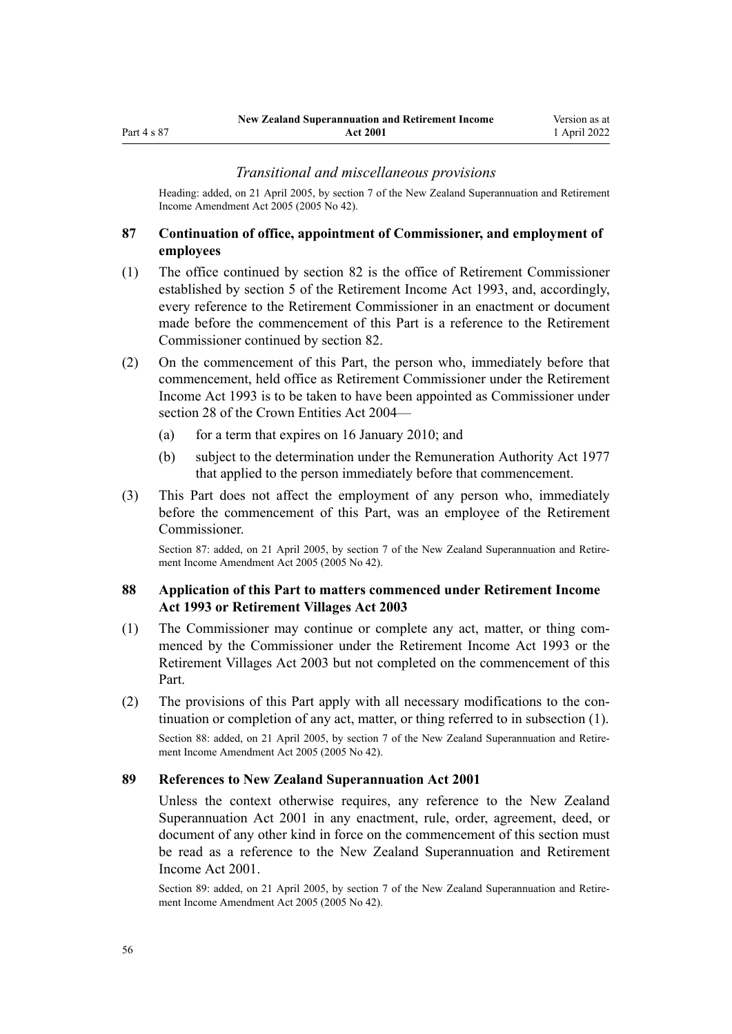### *Transitional and miscellaneous provisions*

Heading: added, on 21 April 2005, by [section 7](http://legislation.govt.nz/pdflink.aspx?id=DLM346478) of the New Zealand Superannuation and Retirement Income Amendment Act 2005 (2005 No 42).

## **87 Continuation of office, appointment of Commissioner, and employment of employees**

- (1) The office continued by [section 82](#page-52-0) is the office of Retirement Commissioner established by section 5 of the Retirement Income Act 1993, and, accordingly, every reference to the Retirement Commissioner in an enactment or document made before the commencement of this Part is a reference to the Retirement Commissioner continued by section 82.
- (2) On the commencement of this Part, the person who, immediately before that commencement, held office as Retirement Commissioner under the Retirement Income Act 1993 is to be taken to have been appointed as Commissioner under [section 28](http://legislation.govt.nz/pdflink.aspx?id=DLM329954) of the Crown Entities Act 2004—
	- (a) for a term that expires on 16 January 2010; and
	- (b) subject to the determination under the [Remuneration Authority Act 1977](http://legislation.govt.nz/pdflink.aspx?id=DLM15636) that applied to the person immediately before that commencement.
- (3) This Part does not affect the employment of any person who, immediately before the commencement of this Part, was an employee of the Retirement Commissioner.

Section 87: added, on 21 April 2005, by [section 7](http://legislation.govt.nz/pdflink.aspx?id=DLM346478) of the New Zealand Superannuation and Retirement Income Amendment Act 2005 (2005 No 42).

## **88 Application of this Part to matters commenced under Retirement Income Act 1993 or Retirement Villages Act 2003**

- (1) The Commissioner may continue or complete any act, matter, or thing com‐ menced by the Commissioner under the Retirement Income Act 1993 or the [Retirement Villages Act 2003](http://legislation.govt.nz/pdflink.aspx?id=DLM220364) but not completed on the commencement of this Part.
- (2) The provisions of this Part apply with all necessary modifications to the con‐ tinuation or completion of any act, matter, or thing referred to in subsection (1). Section 88: added, on 21 April 2005, by [section 7](http://legislation.govt.nz/pdflink.aspx?id=DLM346478) of the New Zealand Superannuation and Retirement Income Amendment Act 2005 (2005 No 42).

### **89 References to New Zealand Superannuation Act 2001**

Unless the context otherwise requires, any reference to the New Zealand Superannuation Act 2001 in any enactment, rule, order, agreement, deed, or document of any other kind in force on the commencement of this section must be read as a reference to the New Zealand Superannuation and Retirement Income Act 2001.

Section 89: added, on 21 April 2005, by [section 7](http://legislation.govt.nz/pdflink.aspx?id=DLM346478) of the New Zealand Superannuation and Retirement Income Amendment Act 2005 (2005 No 42).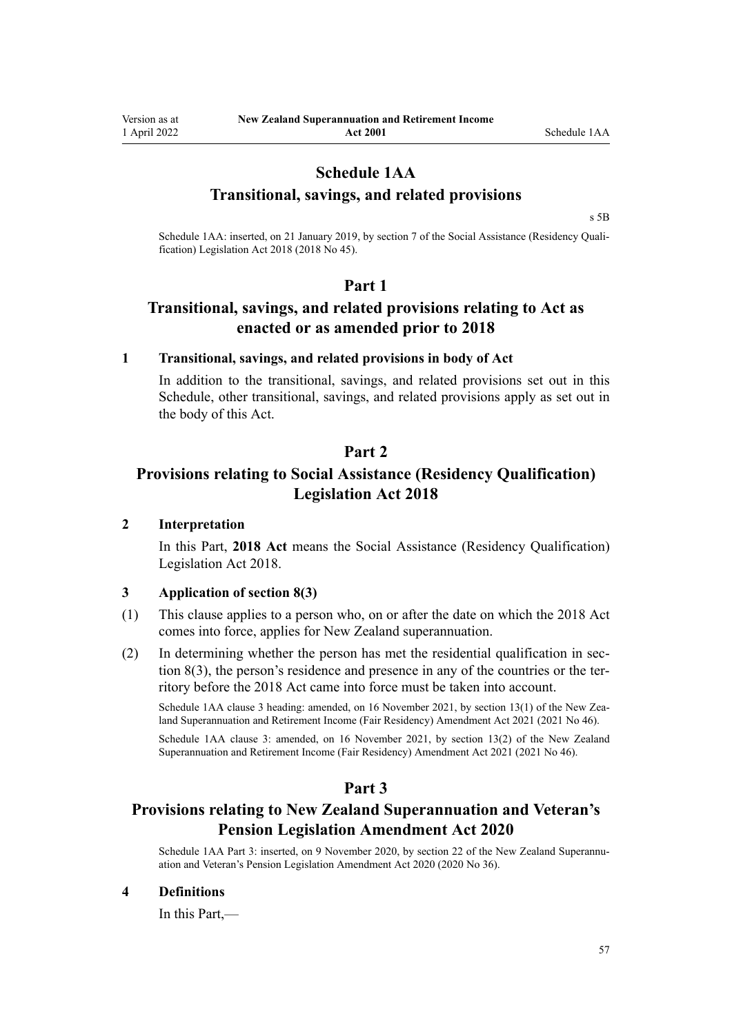# **Schedule 1AA**

## **Transitional, savings, and related provisions**

[s 5B](#page-9-0)

Schedule 1AA: inserted, on 21 January 2019, by [section 7](http://legislation.govt.nz/pdflink.aspx?id=LMS26071) of the Social Assistance (Residency Qualification) Legislation Act 2018 (2018 No 45).

## **Part 1**

# **Transitional, savings, and related provisions relating to Act as enacted or as amended prior to 2018**

## **1 Transitional, savings, and related provisions in body of Act**

In addition to the transitional, savings, and related provisions set out in this Schedule, other transitional, savings, and related provisions apply as set out in the body of this Act.

# **Part 2**

# **Provisions relating to Social Assistance (Residency Qualification) Legislation Act 2018**

## **2 Interpretation**

In this Part, **2018 Act** means the [Social Assistance \(Residency Qualification\)](http://legislation.govt.nz/pdflink.aspx?id=LMS26056) [Legislation Act 2018](http://legislation.govt.nz/pdflink.aspx?id=LMS26056).

### **3 Application of section 8(3)**

- (1) This clause applies to a person who, on or after the date on which the 2018 Act comes into force, applies for New Zealand superannuation.
- $(2)$  In determining whether the person has met the residential qualification in section  $8(3)$ , the person's residence and presence in any of the countries or the territory before the 2018 Act came into force must be taken into account.

Schedule 1AA clause 3 heading: amended, on 16 November 2021, by [section 13\(1\)](http://legislation.govt.nz/pdflink.aspx?id=LMS483607) of the New Zealand Superannuation and Retirement Income (Fair Residency) Amendment Act 2021 (2021 No 46). Schedule 1AA clause 3: amended, on 16 November 2021, by [section 13\(2\)](http://legislation.govt.nz/pdflink.aspx?id=LMS483607) of the New Zealand Superannuation and Retirement Income (Fair Residency) Amendment Act 2021 (2021 No 46).

## **Part 3**

# **Provisions relating to New Zealand Superannuation and Veteran's Pension Legislation Amendment Act 2020**

Schedule 1AA Part 3: inserted, on 9 November 2020, by [section 22](http://legislation.govt.nz/pdflink.aspx?id=LMS258314) of the New Zealand Superannuation and Veteran's Pension Legislation Amendment Act 2020 (2020 No 36).

### **4 Definitions**

In this Part,—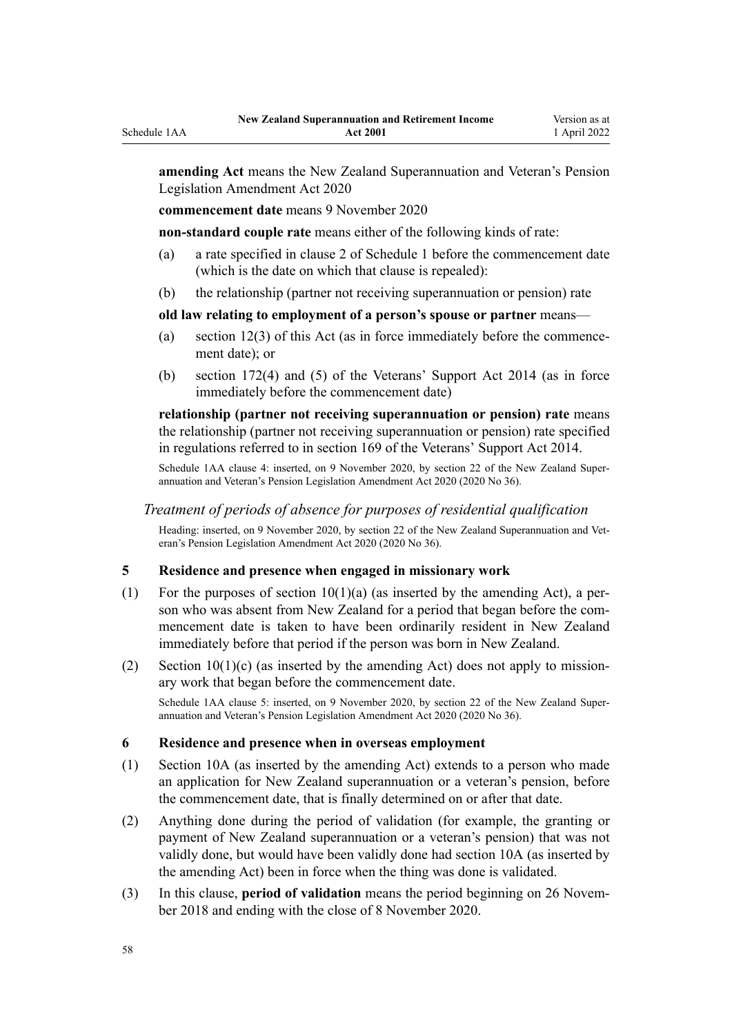**amending Act** means the [New Zealand Superannuation and Veteran's Pension](http://legislation.govt.nz/pdflink.aspx?id=LMS242765) [Legislation Amendment Act 2020](http://legislation.govt.nz/pdflink.aspx?id=LMS242765)

**commencement date** means 9 November 2020

Schedule 1AA

**non-standard couple rate** means either of the following kinds of rate:

- (a) a rate specified in clause 2 of [Schedule 1](#page-62-0) before the commencement date (which is the date on which that clause is repealed):
- (b) the relationship (partner not receiving superannuation or pension) rate

## **old law relating to employment of a person's spouse or partner** means—

- (a) section  $12(3)$  of this Act (as in force immediately before the commencement date); or
- (b) [section 172\(4\) and \(5\)](http://legislation.govt.nz/pdflink.aspx?id=DLM5640914) of the Veterans' Support Act 2014 (as in force immediately before the commencement date)

**relationship (partner not receiving superannuation or pension) rate** means the relationship (partner not receiving superannuation or pension) rate specified in regulations referred to in [section 169](http://legislation.govt.nz/pdflink.aspx?id=DLM5538031) of the Veterans' Support Act 2014.

Schedule 1AA clause 4: inserted, on 9 November 2020, by [section 22](http://legislation.govt.nz/pdflink.aspx?id=LMS258314) of the New Zealand Superannuation and Veteran's Pension Legislation Amendment Act 2020 (2020 No 36).

## *Treatment of periods of absence for purposes of residential qualification*

Heading: inserted, on 9 November 2020, by [section 22](http://legislation.govt.nz/pdflink.aspx?id=LMS258314) of the New Zealand Superannuation and Veteran's Pension Legislation Amendment Act 2020 (2020 No 36).

## **5 Residence and presence when engaged in missionary work**

- (1) For the purposes of section  $10(1)(a)$  (as inserted by the amending Act), a person who was absent from New Zealand for a period that began before the commencement date is taken to have been ordinarily resident in New Zealand immediately before that period if the person was born in New Zealand.
- (2) Section  $10(1)(c)$  (as inserted by the amending Act) does not apply to missionary work that began before the commencement date.

Schedule 1AA clause 5: inserted, on 9 November 2020, by [section 22](http://legislation.govt.nz/pdflink.aspx?id=LMS258314) of the New Zealand Superannuation and Veteran's Pension Legislation Amendment Act 2020 (2020 No 36).

### **6 Residence and presence when in overseas employment**

- (1) [Section 10A](#page-14-0) (as inserted by the amending Act) extends to a person who made an application for New Zealand superannuation or a veteran's pension, before the commencement date, that is finally determined on or after that date.
- (2) Anything done during the period of validation (for example, the granting or payment of New Zealand superannuation or a veteran's pension) that was not validly done, but would have been validly done had [section 10A](#page-14-0) (as inserted by the amending Act) been in force when the thing was done is validated.
- (3) In this clause, **period of validation** means the period beginning on 26 Novem‐ ber 2018 and ending with the close of 8 November 2020.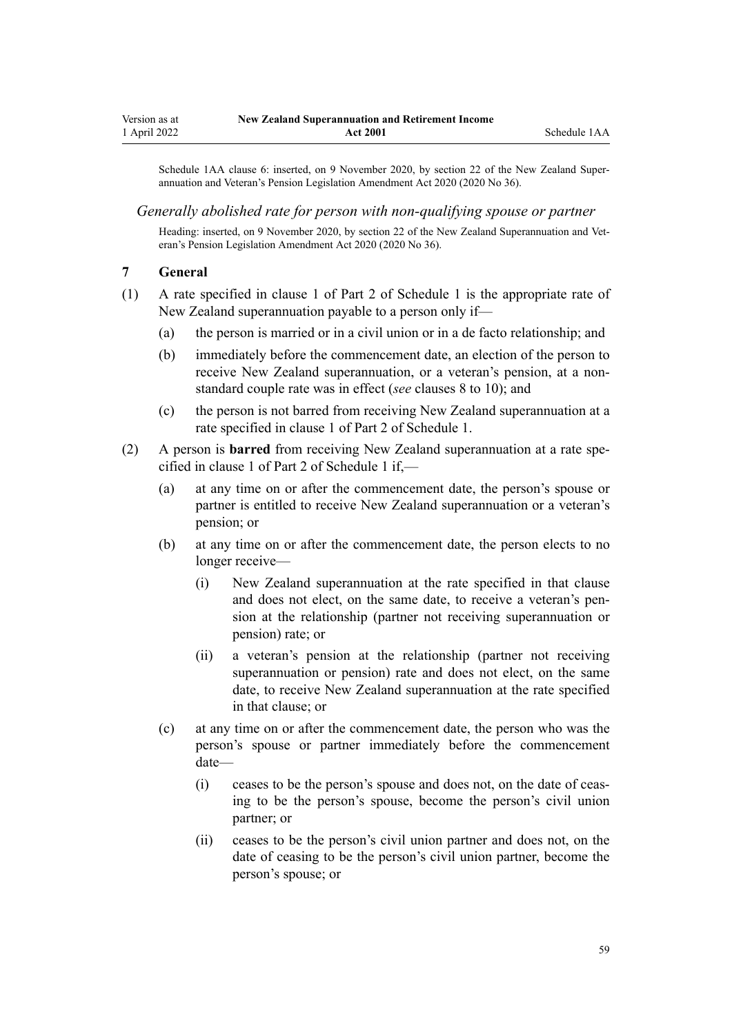<span id="page-58-0"></span>Schedule 1AA clause 6: inserted, on 9 November 2020, by [section 22](http://legislation.govt.nz/pdflink.aspx?id=LMS258314) of the New Zealand Superannuation and Veteran's Pension Legislation Amendment Act 2020 (2020 No 36).

### *Generally abolished rate for person with non-qualifying spouse or partner*

Heading: inserted, on 9 November 2020, by [section 22](http://legislation.govt.nz/pdflink.aspx?id=LMS258314) of the New Zealand Superannuation and Veteran's Pension Legislation Amendment Act 2020 (2020 No 36).

### **7 General**

- (1) A rate specified in clause 1 of [Part 2](#page-63-0) of Schedule 1 is the appropriate rate of New Zealand superannuation payable to a person only if—
	- (a) the person is married or in a civil union or in a de facto relationship; and
	- (b) immediately before the commencement date, an election of the person to receive New Zealand superannuation, or a veteran's pension, at a nonstandard couple rate was in effect (*see* [clauses 8 to 10\)](#page-59-0); and
	- (c) the person is not barred from receiving New Zealand superannuation at a rate specified in clause 1 of [Part 2](#page-63-0) of Schedule 1.
- (2) A person is **barred** from receiving New Zealand superannuation at a rate spe‐ cified in clause 1 of [Part 2](#page-63-0) of Schedule 1 if,—
	- (a) at any time on or after the commencement date, the person's spouse or partner is entitled to receive New Zealand superannuation or a veteran's pension; or
	- (b) at any time on or after the commencement date, the person elects to no longer receive—
		- (i) New Zealand superannuation at the rate specified in that clause and does not elect, on the same date, to receive a veteran's pension at the relationship (partner not receiving superannuation or pension) rate; or
		- (ii) a veteran's pension at the relationship (partner not receiving superannuation or pension) rate and does not elect, on the same date, to receive New Zealand superannuation at the rate specified in that clause; or
	- (c) at any time on or after the commencement date, the person who was the person's spouse or partner immediately before the commencement date—
		- (i) ceases to be the person's spouse and does not, on the date of ceas‐ ing to be the person's spouse, become the person's civil union partner; or
		- (ii) ceases to be the person's civil union partner and does not, on the date of ceasing to be the person's civil union partner, become the person's spouse; or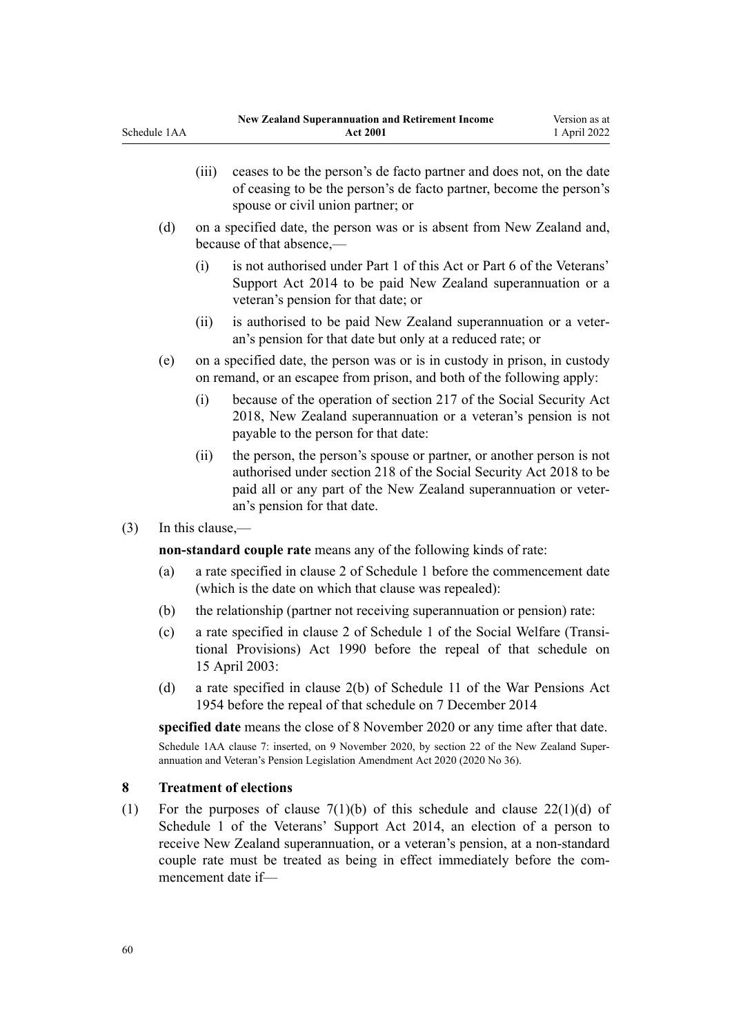- <span id="page-59-0"></span>(iii) ceases to be the person's de facto partner and does not, on the date of ceasing to be the person's de facto partner, become the person's spouse or civil union partner; or
- (d) on a specified date, the person was or is absent from New Zealand and, because of that absence,—
	- (i) is not authorised under [Part 1](#page-10-0) of this Act or [Part 6](http://legislation.govt.nz/pdflink.aspx?id=DLM5537987) of the Veterans' Support Act 2014 to be paid New Zealand superannuation or a veteran's pension for that date; or
	- (ii) is authorised to be paid New Zealand superannuation or a veter‐ an's pension for that date but only at a reduced rate; or
- (e) on a specified date, the person was or is in custody in prison, in custody on remand, or an escapee from prison, and both of the following apply:
	- (i) because of the operation of [section 217](http://legislation.govt.nz/pdflink.aspx?id=DLM6783577) of the Social Security Act 2018, New Zealand superannuation or a veteran's pension is not payable to the person for that date:
	- (ii) the person, the person's spouse or partner, or another person is not authorised under [section 218](http://legislation.govt.nz/pdflink.aspx?id=DLM6783583) of the Social Security Act 2018 to be paid all or any part of the New Zealand superannuation or veter‐ an's pension for that date.
- (3) In this clause,—

**non-standard couple rate** means any of the following kinds of rate:

- (a) a rate specified in clause 2 of [Schedule 1](#page-62-0) before the commencement date (which is the date on which that clause was repealed):
- (b) the relationship (partner not receiving superannuation or pension) rate:
- (c) a rate specified in clause 2 of [Schedule 1](http://legislation.govt.nz/pdflink.aspx?id=DLM204572) of the Social Welfare (Transi‐ tional Provisions) Act 1990 before the repeal of that schedule on 15 April 2003:
- (d) a rate specified in clause 2(b) of [Schedule 11](http://legislation.govt.nz/pdflink.aspx?id=DLM286347) of the War Pensions Act 1954 before the repeal of that schedule on 7 December 2014

**specified date** means the close of 8 November 2020 or any time after that date.

Schedule 1AA clause 7: inserted, on 9 November 2020, by [section 22](http://legislation.govt.nz/pdflink.aspx?id=LMS258314) of the New Zealand Superannuation and Veteran's Pension Legislation Amendment Act 2020 (2020 No 36).

## **8 Treatment of elections**

(1) For the purposes of clause  $7(1)(b)$  of this schedule and clause  $22(1)(d)$  of Schedule 1 of the Veterans' Support Act 2014, an election of a person to receive New Zealand superannuation, or a veteran's pension, at a non-standard couple rate must be treated as being in effect immediately before the commencement date if—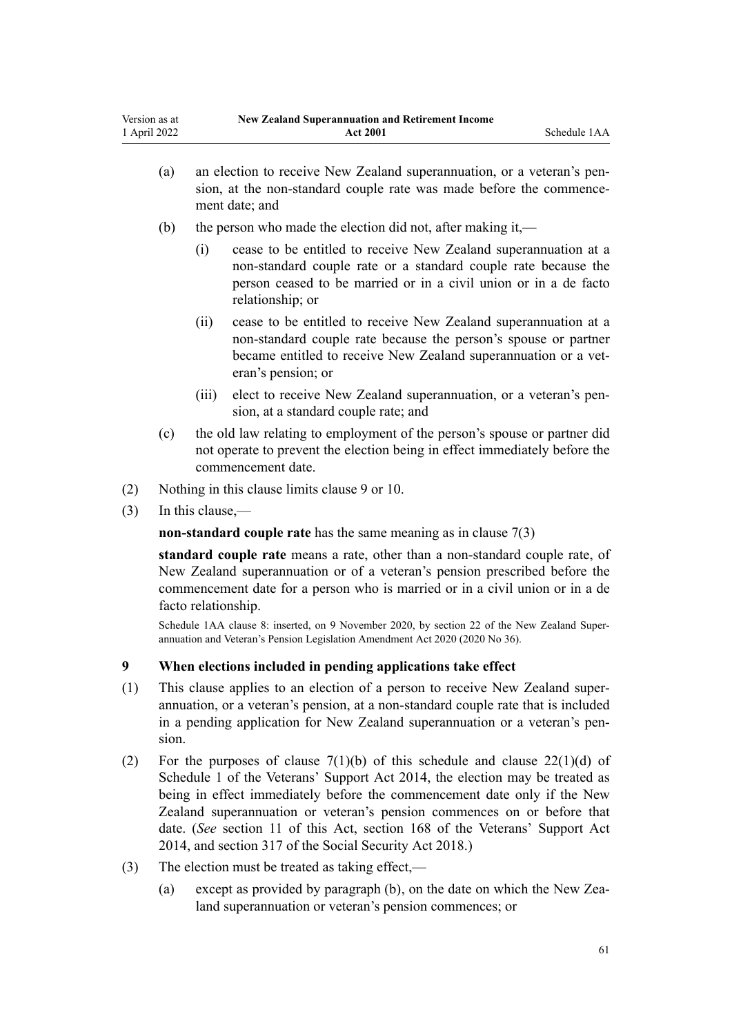<span id="page-60-0"></span>

| Version as at | <b>New Zealand Superannuation and Retirement Income</b> |              |  |
|---------------|---------------------------------------------------------|--------------|--|
| 1 April 2022  | <b>Act 2001</b>                                         | Schedule 1AA |  |

- (a) an election to receive New Zealand superannuation, or a veteran's pension, at the non-standard couple rate was made before the commencement date; and
- (b) the person who made the election did not, after making it,—
	- (i) cease to be entitled to receive New Zealand superannuation at a non-standard couple rate or a standard couple rate because the person ceased to be married or in a civil union or in a de facto relationship; or
	- (ii) cease to be entitled to receive New Zealand superannuation at a non-standard couple rate because the person's spouse or partner became entitled to receive New Zealand superannuation or a veteran's pension; or
	- (iii) elect to receive New Zealand superannuation, or a veteran's pen‐ sion, at a standard couple rate; and
- (c) the old law relating to employment of the person's spouse or partner did not operate to prevent the election being in effect immediately before the commencement date.
- (2) Nothing in this clause limits clause 9 or [10.](#page-61-0)
- (3) In this clause,—

**non-standard couple rate** has the same meaning as in [clause 7\(3\)](#page-58-0)

**standard couple rate** means a rate, other than a non-standard couple rate, of New Zealand superannuation or of a veteran's pension prescribed before the commencement date for a person who is married or in a civil union or in a de facto relationship.

Schedule 1AA clause 8: inserted, on 9 November 2020, by [section 22](http://legislation.govt.nz/pdflink.aspx?id=LMS258314) of the New Zealand Superannuation and Veteran's Pension Legislation Amendment Act 2020 (2020 No 36).

## **9 When elections included in pending applications take effect**

- (1) This clause applies to an election of a person to receive New Zealand super‐ annuation, or a veteran's pension, at a non-standard couple rate that is included in a pending application for New Zealand superannuation or a veteran's pension.
- (2) For the purposes of clause  $7(1)(b)$  of this schedule and clause  $22(1)(d)$  of Schedule 1 of the Veterans' Support Act 2014, the election may be treated as being in effect immediately before the commencement date only if the New Zealand superannuation or veteran's pension commences on or before that date. (*See* [section 11](#page-15-0) of this Act, [section 168](http://legislation.govt.nz/pdflink.aspx?id=DLM5538030) of the Veterans' Support Act 2014, and [section 317](http://legislation.govt.nz/pdflink.aspx?id=DLM6783789) of the Social Security Act 2018.)
- (3) The election must be treated as taking effect,—
	- (a) except as provided by paragraph (b), on the date on which the New Zealand superannuation or veteran's pension commences; or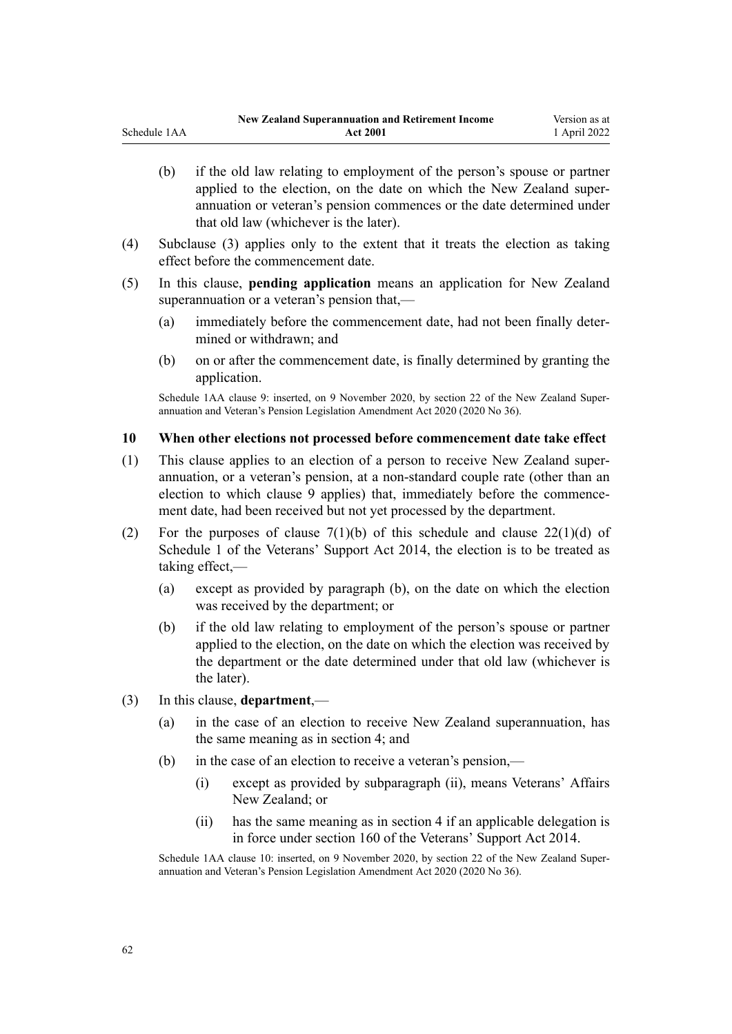- <span id="page-61-0"></span>(b) if the old law relating to employment of the person's spouse or partner applied to the election, on the date on which the New Zealand superannuation or veteran's pension commences or the date determined under that old law (whichever is the later).
- (4) Subclause (3) applies only to the extent that it treats the election as taking effect before the commencement date.
- (5) In this clause, **pending application** means an application for New Zealand superannuation or a veteran's pension that,—
	- (a) immediately before the commencement date, had not been finally deter‐ mined or withdrawn; and
	- (b) on or after the commencement date, is finally determined by granting the application.

Schedule 1AA clause 9: inserted, on 9 November 2020, by [section 22](http://legislation.govt.nz/pdflink.aspx?id=LMS258314) of the New Zealand Superannuation and Veteran's Pension Legislation Amendment Act 2020 (2020 No 36).

## **10 When other elections not processed before commencement date take effect**

- (1) This clause applies to an election of a person to receive New Zealand super‐ annuation, or a veteran's pension, at a non-standard couple rate (other than an election to which [clause 9](#page-60-0) applies) that, immediately before the commencement date, had been received but not yet processed by the department.
- (2) For the purposes of clause  $7(1)(b)$  of this schedule and clause  $22(1)(d)$  of Schedule 1 of the Veterans' Support Act 2014, the election is to be treated as taking effect,—
	- (a) except as provided by paragraph (b), on the date on which the election was received by the department; or
	- (b) if the old law relating to employment of the person's spouse or partner applied to the election, on the date on which the election was received by the department or the date determined under that old law (whichever is the later).
- (3) In this clause, **department**,—
	- (a) in the case of an election to receive New Zealand superannuation, has the same meaning as in section 4; and
	- (b) in the case of an election to receive a veteran's pension,—
		- (i) except as provided by subparagraph (ii), means Veterans' Affairs New Zealand; or
		- (ii) has the same meaning as in [section 4](#page-5-0) if an applicable delegation is in force under [section 160](http://legislation.govt.nz/pdflink.aspx?id=DLM5538022) of the Veterans' Support Act 2014.

Schedule 1AA clause 10: inserted, on 9 November 2020, by [section 22](http://legislation.govt.nz/pdflink.aspx?id=LMS258314) of the New Zealand Super– annuation and Veteran's Pension Legislation Amendment Act 2020 (2020 No 36).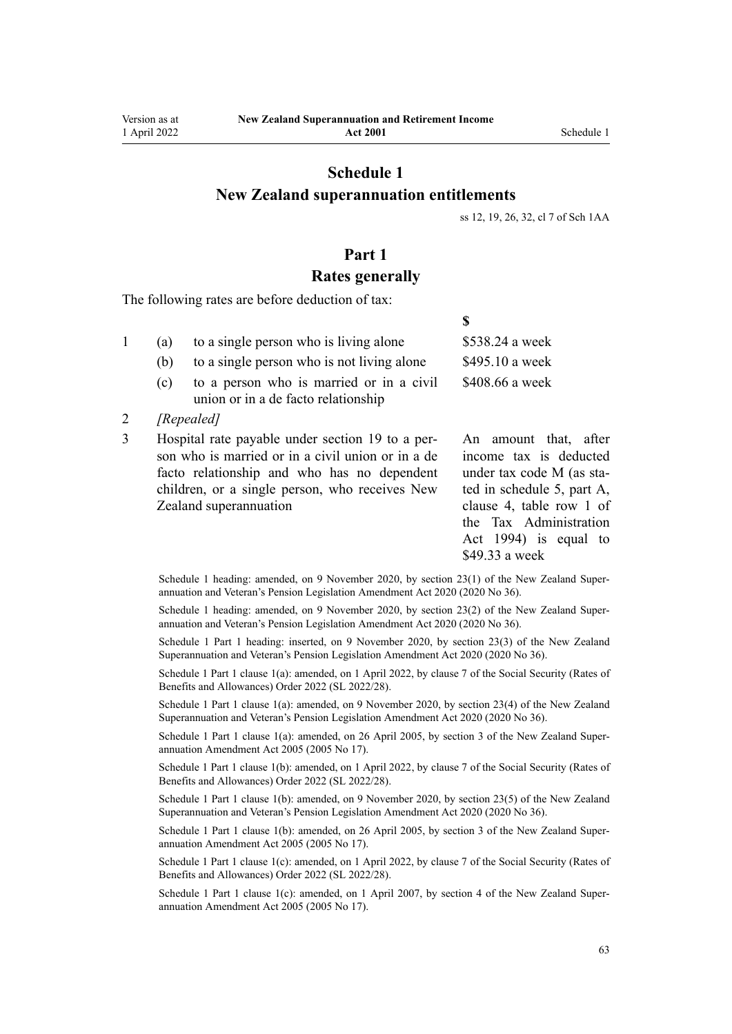# <span id="page-62-0"></span>**Schedule 1 New Zealand superannuation entitlements**

[ss 12,](#page-15-0) [19](#page-21-0), [26,](#page-25-0) [32](#page-32-0), [cl 7](#page-58-0) of Sch 1AA

**\$**

## **Part 1**

## **Rates generally**

The following rates are before deduction of tax:

| (a) | to a single person who is living alone     | \$538.24 a week |
|-----|--------------------------------------------|-----------------|
| (b) | to a single person who is not living alone | \$495.10 a week |
| (c) | to a person who is married or in a civil   | \$408.66 a week |
|     | union or in a de facto relationship        |                 |

- 2 *[Repealed]*
- 3 Hospital rate payable under [section 19](#page-21-0) to a per‐ son who is married or in a civil union or in a de facto relationship and who has no dependent children, or a single person, who receives New Zealand superannuation

An amount that, after income tax is deducted under tax code M (as sta‐ ted in schedule 5, part A, [clause 4](http://legislation.govt.nz/pdflink.aspx?id=LMS195594), table row 1 of the Tax Administration Act 1994) is equal to \$49.33 a week

Schedule 1 heading: amended, on 9 November 2020, by [section 23\(1\)](http://legislation.govt.nz/pdflink.aspx?id=LMS242822) of the New Zealand Super– annuation and Veteran's Pension Legislation Amendment Act 2020 (2020 No 36).

Schedule 1 heading: amended, on 9 November 2020, by [section 23\(2\)](http://legislation.govt.nz/pdflink.aspx?id=LMS242822) of the New Zealand Superannuation and Veteran's Pension Legislation Amendment Act 2020 (2020 No 36).

Schedule 1 Part 1 heading: inserted, on 9 November 2020, by [section 23\(3\)](http://legislation.govt.nz/pdflink.aspx?id=LMS242822) of the New Zealand Superannuation and Veteran's Pension Legislation Amendment Act 2020 (2020 No 36).

Schedule 1 Part 1 clause 1(a): amended, on 1 April 2022, by [clause 7](http://legislation.govt.nz/pdflink.aspx?id=LMS645826) of the Social Security (Rates of Benefits and Allowances) Order 2022 (SL 2022/28).

Schedule 1 Part 1 clause 1(a): amended, on 9 November 2020, by [section 23\(4\)](http://legislation.govt.nz/pdflink.aspx?id=LMS242822) of the New Zealand Superannuation and Veteran's Pension Legislation Amendment Act 2020 (2020 No 36).

Schedule 1 Part 1 clause 1(a): amended, on 26 April 2005, by [section 3](http://legislation.govt.nz/pdflink.aspx?id=DLM336342) of the New Zealand Superannuation Amendment Act 2005 (2005 No 17).

Schedule 1 Part 1 clause 1(b): amended, on 1 April 2022, by [clause 7](http://legislation.govt.nz/pdflink.aspx?id=LMS645826) of the Social Security (Rates of Benefits and Allowances) Order 2022 (SL 2022/28).

Schedule 1 Part 1 clause 1(b): amended, on 9 November 2020, by [section 23\(5\)](http://legislation.govt.nz/pdflink.aspx?id=LMS242822) of the New Zealand Superannuation and Veteran's Pension Legislation Amendment Act 2020 (2020 No 36).

Schedule 1 Part 1 clause 1(b): amended, on 26 April 2005, by [section 3](http://legislation.govt.nz/pdflink.aspx?id=DLM336342) of the New Zealand Superannuation Amendment Act 2005 (2005 No 17).

Schedule 1 Part 1 clause 1(c): amended, on 1 April 2022, by [clause 7](http://legislation.govt.nz/pdflink.aspx?id=LMS645826) of the Social Security (Rates of Benefits and Allowances) Order 2022 (SL 2022/28).

Schedule 1 Part 1 clause 1(c): amended, on 1 April 2007, by [section 4](http://legislation.govt.nz/pdflink.aspx?id=DLM336343) of the New Zealand Superannuation Amendment Act 2005 (2005 No 17).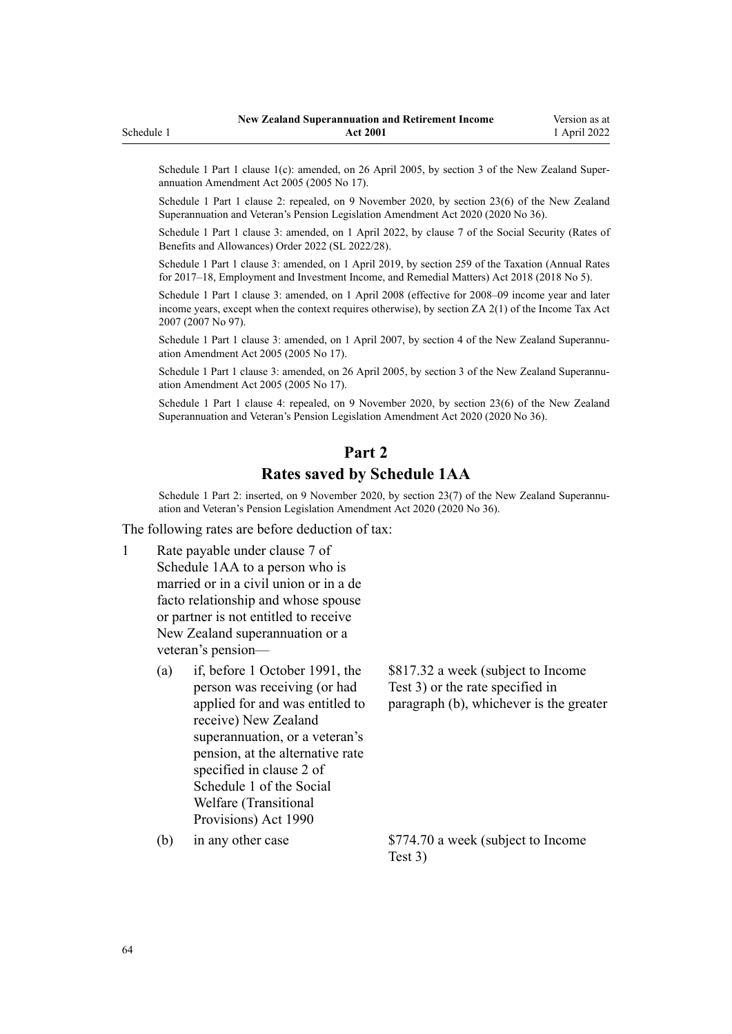Schedule 1 Part 1 clause 1(c): amended, on 26 April 2005, by [section 3](http://legislation.govt.nz/pdflink.aspx?id=DLM336342) of the New Zealand Superannuation Amendment Act 2005 (2005 No 17).

Schedule 1 Part 1 clause 2: repealed, on 9 November 2020, by [section 23\(6\)](http://legislation.govt.nz/pdflink.aspx?id=LMS242822) of the New Zealand Superannuation and Veteran's Pension Legislation Amendment Act 2020 (2020 No 36).

Schedule 1 Part 1 clause 3: amended, on 1 April 2022, by [clause 7](http://legislation.govt.nz/pdflink.aspx?id=LMS645826) of the Social Security (Rates of Benefits and Allowances) Order 2022 (SL 2022/28).

Schedule 1 Part 1 clause 3: amended, on 1 April 2019, by [section 259](http://legislation.govt.nz/pdflink.aspx?id=LMS12363) of the Taxation (Annual Rates for 2017–18, Employment and Investment Income, and Remedial Matters) Act 2018 (2018 No 5).

Schedule 1 Part 1 clause 3: amended, on 1 April 2008 (effective for 2008–09 income year and later income years, except when the context requires otherwise), by [section ZA 2\(1\)](http://legislation.govt.nz/pdflink.aspx?id=DLM1523176) of the Income Tax Act 2007 (2007 No 97).

Schedule 1 Part 1 clause 3: amended, on 1 April 2007, by [section 4](http://legislation.govt.nz/pdflink.aspx?id=DLM336343) of the New Zealand Superannuation Amendment Act 2005 (2005 No 17).

Schedule 1 Part 1 clause 3: amended, on 26 April 2005, by [section 3](http://legislation.govt.nz/pdflink.aspx?id=DLM336342) of the New Zealand Superannuation Amendment Act 2005 (2005 No 17).

Schedule 1 Part 1 clause 4: repealed, on 9 November 2020, by [section 23\(6\)](http://legislation.govt.nz/pdflink.aspx?id=LMS242822) of the New Zealand Superannuation and Veteran's Pension Legislation Amendment Act 2020 (2020 No 36).

# **Part 2 Rates saved by Schedule 1AA**

Schedule 1 Part 2: inserted, on 9 November 2020, by [section 23\(7\)](http://legislation.govt.nz/pdflink.aspx?id=LMS242822) of the New Zealand Superannuation and Veteran's Pension Legislation Amendment Act 2020 (2020 No 36).

The following rates are before deduction of tax:

- 1 Rate payable under [clause 7](#page-58-0) of Schedule 1AA to a person who is married or in a civil union or in a de facto relationship and whose spouse or partner is not entitled to receive New Zealand superannuation or a veteran's pension—
	- (a) if, before 1 October 1991, the person was receiving (or had applied for and was entitled to receive) New Zealand superannuation, or a veteran's pension, at the alternative rate specified in clause 2 of [Schedule 1](http://legislation.govt.nz/pdflink.aspx?id=DLM204572) of the Social Welfare (Transitional Provisions) Act 1990

\$817.32 a week (subject to Income Test 3) or the rate specified in paragraph (b), whichever is the greater

(b) in any other case  $$774.70$  a week (subject to Income Test 3)

<span id="page-63-0"></span>Schedule 1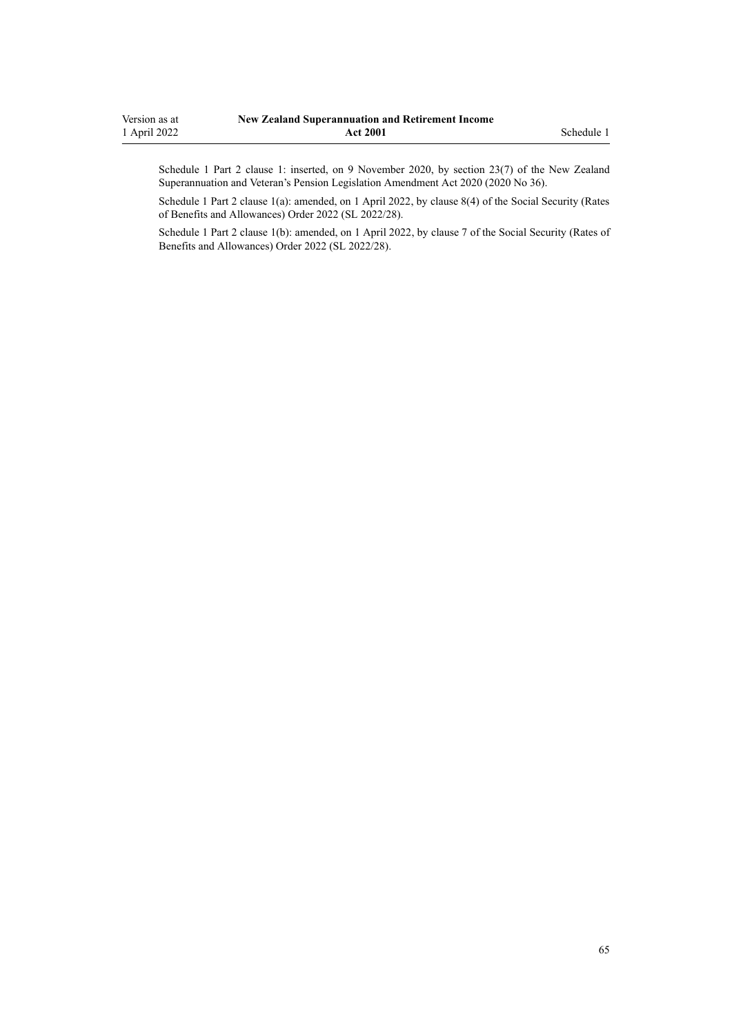Schedule 1 Part 2 clause 1: inserted, on 9 November 2020, by [section 23\(7\)](http://legislation.govt.nz/pdflink.aspx?id=LMS242822) of the New Zealand Superannuation and Veteran's Pension Legislation Amendment Act 2020 (2020 No 36).

Schedule 1 Part 2 clause 1(a): amended, on 1 April 2022, by [clause 8\(4\)](http://legislation.govt.nz/pdflink.aspx?id=LMS645827) of the Social Security (Rates of Benefits and Allowances) Order 2022 (SL 2022/28).

Schedule 1 Part 2 clause 1(b): amended, on 1 April 2022, by [clause 7](http://legislation.govt.nz/pdflink.aspx?id=LMS645826) of the Social Security (Rates of Benefits and Allowances) Order 2022 (SL 2022/28).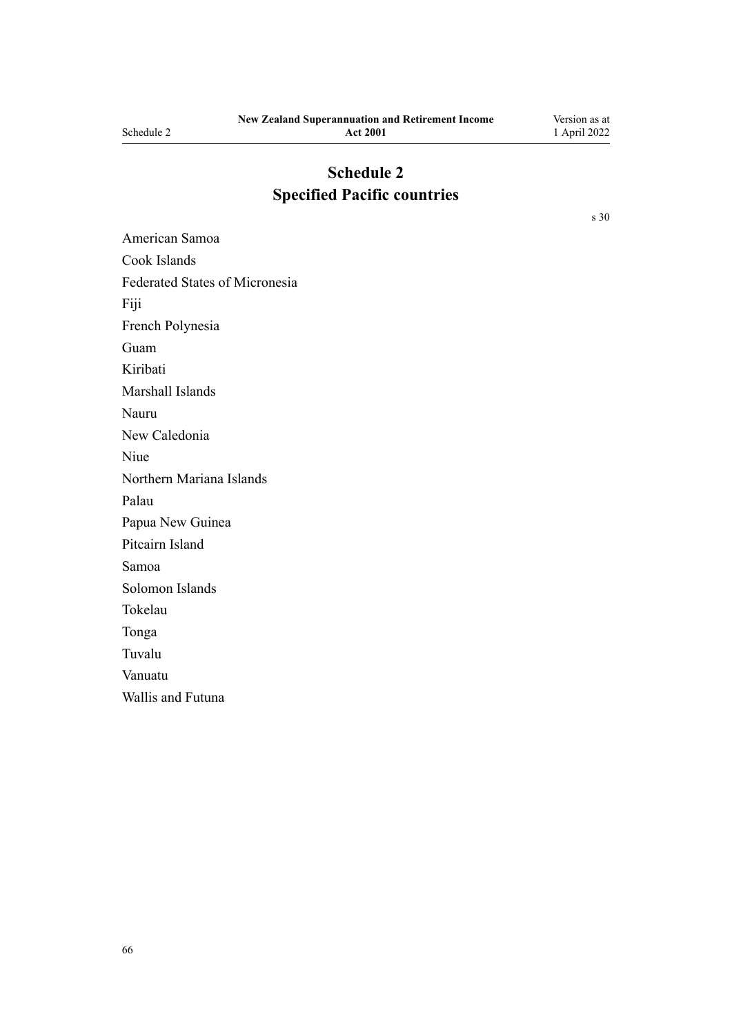# **Schedule 2 Specified Pacific countries**

[s 30](#page-29-0)

American Samoa Cook Islands Federated States of Micronesia Fiji French Polynesia Guam Kiribati Marshall Islands Nauru New Caledonia Niue Northern Mariana Islands Palau Papua New Guinea Pitcairn Island Samoa Solomon Islands Tokelau Tonga Tuvalu Vanuatu Wallis and Futuna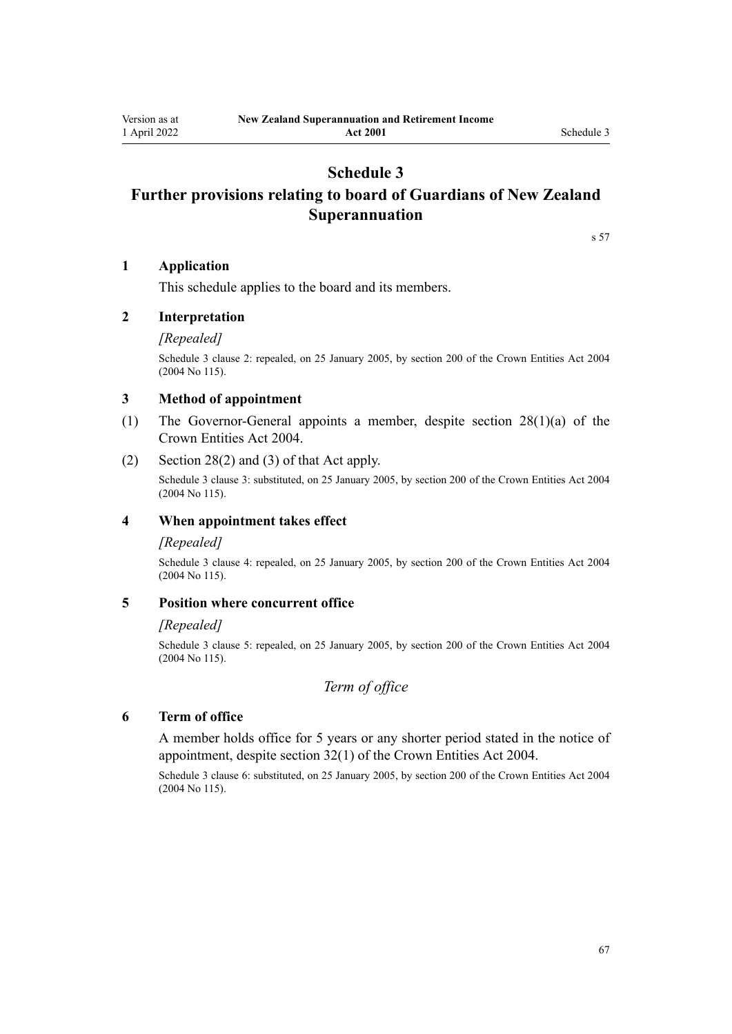# **Schedule 3**

# <span id="page-66-0"></span>**Further provisions relating to board of Guardians of New Zealand Superannuation**

[s 57](#page-42-0)

## **1 Application**

This schedule applies to the board and its members.

## **2 Interpretation**

### *[Repealed]*

Schedule 3 clause 2: repealed, on 25 January 2005, by [section 200](http://legislation.govt.nz/pdflink.aspx?id=DLM331111) of the Crown Entities Act 2004 (2004 No 115).

### **3 Method of appointment**

- (1) The Governor-General appoints a member, despite [section 28\(1\)\(a\)](http://legislation.govt.nz/pdflink.aspx?id=DLM329954) of the Crown Entities Act 2004.
- (2) [Section 28\(2\) and \(3\)](http://legislation.govt.nz/pdflink.aspx?id=DLM329954) of that Act apply.

Schedule 3 clause 3: substituted, on 25 January 2005, by [section 200](http://legislation.govt.nz/pdflink.aspx?id=DLM331111) of the Crown Entities Act 2004 (2004 No 115).

## **4 When appointment takes effect**

### *[Repealed]*

Schedule 3 clause 4: repealed, on 25 January 2005, by [section 200](http://legislation.govt.nz/pdflink.aspx?id=DLM331111) of the Crown Entities Act 2004 (2004 No 115).

### **5 Position where concurrent office**

### *[Repealed]*

Schedule 3 clause 5: repealed, on 25 January 2005, by [section 200](http://legislation.govt.nz/pdflink.aspx?id=DLM331111) of the Crown Entities Act 2004 (2004 No 115).

## *Term of office*

## **6 Term of office**

A member holds office for 5 years or any shorter period stated in the notice of appointment, despite [section 32\(1\)](http://legislation.govt.nz/pdflink.aspx?id=DLM329959) of the Crown Entities Act 2004.

Schedule 3 clause 6: substituted, on 25 January 2005, by [section 200](http://legislation.govt.nz/pdflink.aspx?id=DLM331111) of the Crown Entities Act 2004 (2004 No 115).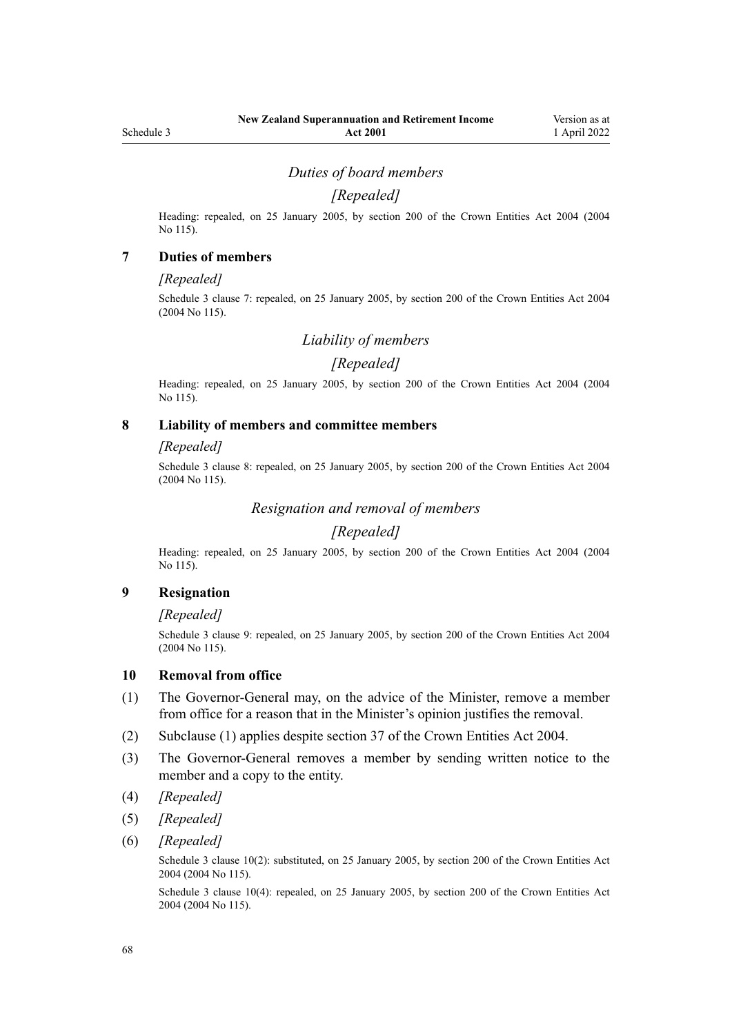## *Duties of board members*

## *[Repealed]*

Heading: repealed, on 25 January 2005, by [section 200](http://legislation.govt.nz/pdflink.aspx?id=DLM331111) of the Crown Entities Act 2004 (2004 No 115).

### **7 Duties of members**

### *[Repealed]*

Schedule 3 clause 7: repealed, on 25 January 2005, by [section 200](http://legislation.govt.nz/pdflink.aspx?id=DLM331111) of the Crown Entities Act 2004 (2004 No 115).

## *Liability of members*

### *[Repealed]*

Heading: repealed, on 25 January 2005, by [section 200](http://legislation.govt.nz/pdflink.aspx?id=DLM331111) of the Crown Entities Act 2004 (2004 No 115).

## **8 Liability of members and committee members**

### *[Repealed]*

Schedule 3 clause 8: repealed, on 25 January 2005, by [section 200](http://legislation.govt.nz/pdflink.aspx?id=DLM331111) of the Crown Entities Act 2004 (2004 No 115).

## *Resignation and removal of members*

# *[Repealed]*

Heading: repealed, on 25 January 2005, by [section 200](http://legislation.govt.nz/pdflink.aspx?id=DLM331111) of the Crown Entities Act 2004 (2004 No 115).

### **9 Resignation**

### *[Repealed]*

Schedule 3 clause 9: repealed, on 25 January 2005, by [section 200](http://legislation.govt.nz/pdflink.aspx?id=DLM331111) of the Crown Entities Act 2004 (2004 No 115).

### **10 Removal from office**

- (1) The Governor-General may, on the advice of the Minister, remove a member from office for a reason that in the Minister's opinion justifies the removal.
- (2) Subclause (1) applies despite [section 37](http://legislation.govt.nz/pdflink.aspx?id=DLM329964) of the Crown Entities Act 2004.
- (3) The Governor-General removes a member by sending written notice to the member and a copy to the entity.
- (4) *[Repealed]*
- (5) *[Repealed]*
- (6) *[Repealed]*

Schedule 3 clause 10(2): substituted, on 25 January 2005, by [section 200](http://legislation.govt.nz/pdflink.aspx?id=DLM331111) of the Crown Entities Act 2004 (2004 No 115).

Schedule 3 clause 10(4): repealed, on 25 January 2005, by [section 200](http://legislation.govt.nz/pdflink.aspx?id=DLM331111) of the Crown Entities Act 2004 (2004 No 115).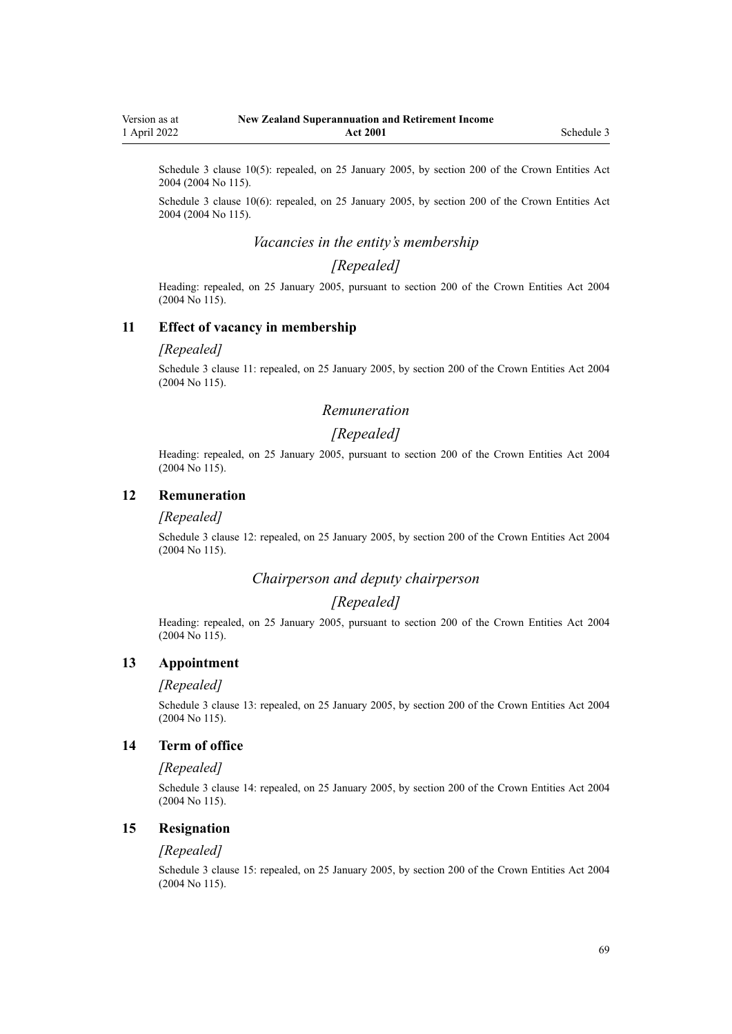Schedule 3 clause 10(5): repealed, on 25 January 2005, by [section 200](http://legislation.govt.nz/pdflink.aspx?id=DLM331111) of the Crown Entities Act 2004 (2004 No 115).

Schedule 3 clause 10(6): repealed, on 25 January 2005, by [section 200](http://legislation.govt.nz/pdflink.aspx?id=DLM331111) of the Crown Entities Act 2004 (2004 No 115).

## *Vacancies in the entity's membership*

# *[Repealed]*

Heading: repealed, on 25 January 2005, pursuant to [section 200](http://legislation.govt.nz/pdflink.aspx?id=DLM331111) of the Crown Entities Act 2004 (2004 No 115).

### **11 Effect of vacancy in membership**

### *[Repealed]*

Schedule 3 clause 11: repealed, on 25 January 2005, by [section 200](http://legislation.govt.nz/pdflink.aspx?id=DLM331111) of the Crown Entities Act 2004 (2004 No 115).

### *Remuneration*

## *[Repealed]*

Heading: repealed, on 25 January 2005, pursuant to [section 200](http://legislation.govt.nz/pdflink.aspx?id=DLM331111) of the Crown Entities Act 2004 (2004 No 115).

## **12 Remuneration**

### *[Repealed]*

Schedule 3 clause 12: repealed, on 25 January 2005, by [section 200](http://legislation.govt.nz/pdflink.aspx?id=DLM331111) of the Crown Entities Act 2004 (2004 No 115).

### *Chairperson and deputy chairperson*

## *[Repealed]*

Heading: repealed, on 25 January 2005, pursuant to [section 200](http://legislation.govt.nz/pdflink.aspx?id=DLM331111) of the Crown Entities Act 2004 (2004 No 115).

### **13 Appointment**

### *[Repealed]*

Schedule 3 clause 13: repealed, on 25 January 2005, by [section 200](http://legislation.govt.nz/pdflink.aspx?id=DLM331111) of the Crown Entities Act 2004 (2004 No 115).

## **14 Term of office**

## *[Repealed]*

Schedule 3 clause 14: repealed, on 25 January 2005, by [section 200](http://legislation.govt.nz/pdflink.aspx?id=DLM331111) of the Crown Entities Act 2004 (2004 No 115).

## **15 Resignation**

#### *[Repealed]*

Schedule 3 clause 15: repealed, on 25 January 2005, by [section 200](http://legislation.govt.nz/pdflink.aspx?id=DLM331111) of the Crown Entities Act 2004 (2004 No 115).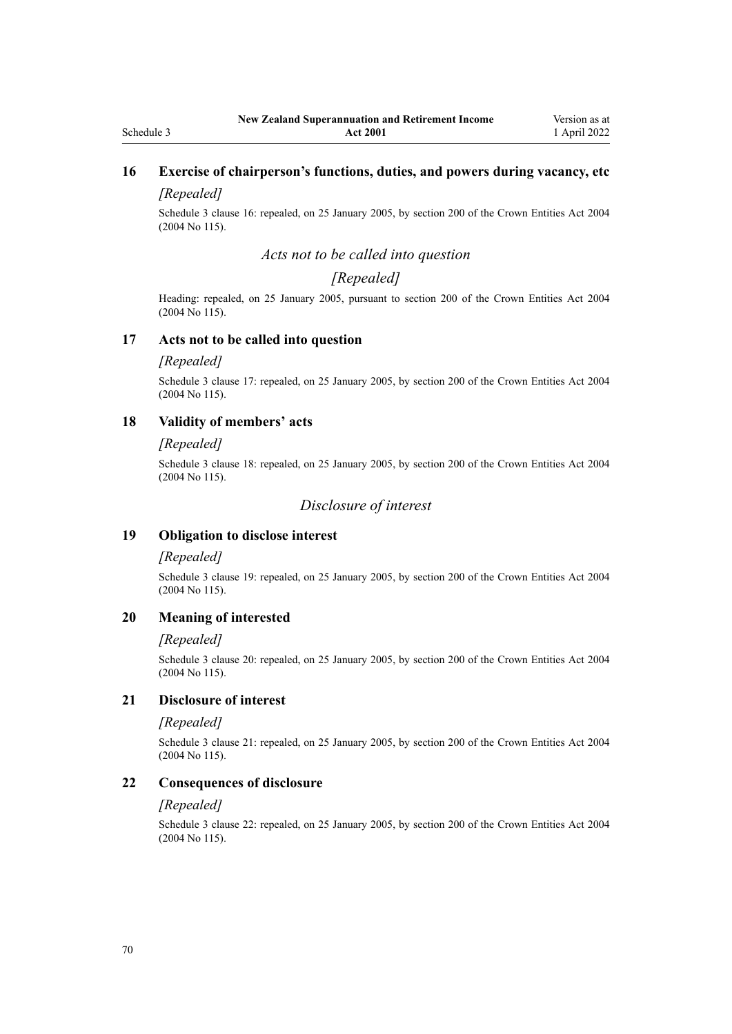# **16 Exercise of chairperson's functions, duties, and powers during vacancy, etc**

# *[Repealed]*

Schedule 3 clause 16: repealed, on 25 January 2005, by [section 200](http://legislation.govt.nz/pdflink.aspx?id=DLM331111) of the Crown Entities Act 2004 (2004 No 115).

## *Acts not to be called into question*

## *[Repealed]*

Heading: repealed, on 25 January 2005, pursuant to [section 200](http://legislation.govt.nz/pdflink.aspx?id=DLM331111) of the Crown Entities Act 2004 (2004 No 115).

### **17 Acts not to be called into question**

### *[Repealed]*

Schedule 3 clause 17: repealed, on 25 January 2005, by [section 200](http://legislation.govt.nz/pdflink.aspx?id=DLM331111) of the Crown Entities Act 2004 (2004 No 115).

## **18 Validity of members' acts**

### *[Repealed]*

Schedule 3 clause 18: repealed, on 25 January 2005, by [section 200](http://legislation.govt.nz/pdflink.aspx?id=DLM331111) of the Crown Entities Act 2004 (2004 No 115).

## *Disclosure of interest*

## **19 Obligation to disclose interest**

## *[Repealed]*

Schedule 3 clause 19: repealed, on 25 January 2005, by [section 200](http://legislation.govt.nz/pdflink.aspx?id=DLM331111) of the Crown Entities Act 2004 (2004 No 115).

### **20 Meaning of interested**

### *[Repealed]*

Schedule 3 clause 20: repealed, on 25 January 2005, by [section 200](http://legislation.govt.nz/pdflink.aspx?id=DLM331111) of the Crown Entities Act 2004 (2004 No 115).

## **21 Disclosure of interest**

### *[Repealed]*

Schedule 3 clause 21: repealed, on 25 January 2005, by [section 200](http://legislation.govt.nz/pdflink.aspx?id=DLM331111) of the Crown Entities Act 2004 (2004 No 115).

### **22 Consequences of disclosure**

### *[Repealed]*

Schedule 3 clause 22: repealed, on 25 January 2005, by [section 200](http://legislation.govt.nz/pdflink.aspx?id=DLM331111) of the Crown Entities Act 2004 (2004 No 115).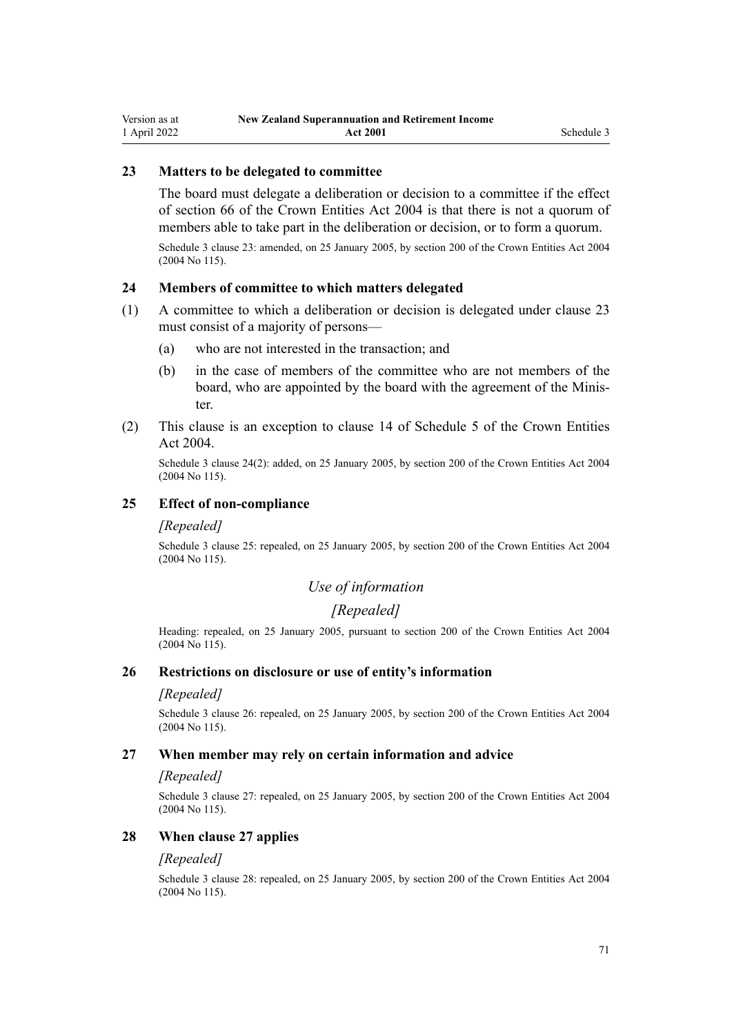## **23 Matters to be delegated to committee**

The board must delegate a deliberation or decision to a committee if the effect of [section 66](http://legislation.govt.nz/pdflink.aspx?id=DLM330300) of the Crown Entities Act 2004 is that there is not a quorum of members able to take part in the deliberation or decision, or to form a quorum.

Schedule 3 clause 23: amended, on 25 January 2005, by [section 200](http://legislation.govt.nz/pdflink.aspx?id=DLM331111) of the Crown Entities Act 2004 (2004 No 115).

## **24 Members of committee to which matters delegated**

- (1) A committee to which a deliberation or decision is delegated under clause 23 must consist of a majority of persons—
	- (a) who are not interested in the transaction; and
	- (b) in the case of members of the committee who are not members of the board, who are appointed by the board with the agreement of the Minis‐ ter.
- (2) This clause is an exception to [clause 14](http://legislation.govt.nz/pdflink.aspx?id=DLM331147) of Schedule 5 of the Crown Entities Act 2004.

Schedule 3 clause 24(2): added, on 25 January 2005, by [section 200](http://legislation.govt.nz/pdflink.aspx?id=DLM331111) of the Crown Entities Act 2004 (2004 No 115).

## **25 Effect of non-compliance**

### *[Repealed]*

Schedule 3 clause 25: repealed, on 25 January 2005, by [section 200](http://legislation.govt.nz/pdflink.aspx?id=DLM331111) of the Crown Entities Act 2004 (2004 No 115).

## *Use of information*

## *[Repealed]*

Heading: repealed, on 25 January 2005, pursuant to [section 200](http://legislation.govt.nz/pdflink.aspx?id=DLM331111) of the Crown Entities Act 2004 (2004 No 115).

### **26 Restrictions on disclosure or use of entity's information**

### *[Repealed]*

Schedule 3 clause 26: repealed, on 25 January 2005, by [section 200](http://legislation.govt.nz/pdflink.aspx?id=DLM331111) of the Crown Entities Act 2004 (2004 No 115).

### **27 When member may rely on certain information and advice**

### *[Repealed]*

Schedule 3 clause 27: repealed, on 25 January 2005, by [section 200](http://legislation.govt.nz/pdflink.aspx?id=DLM331111) of the Crown Entities Act 2004 (2004 No 115).

### **28 When clause 27 applies**

### *[Repealed]*

Schedule 3 clause 28: repealed, on 25 January 2005, by [section 200](http://legislation.govt.nz/pdflink.aspx?id=DLM331111) of the Crown Entities Act 2004 (2004 No 115).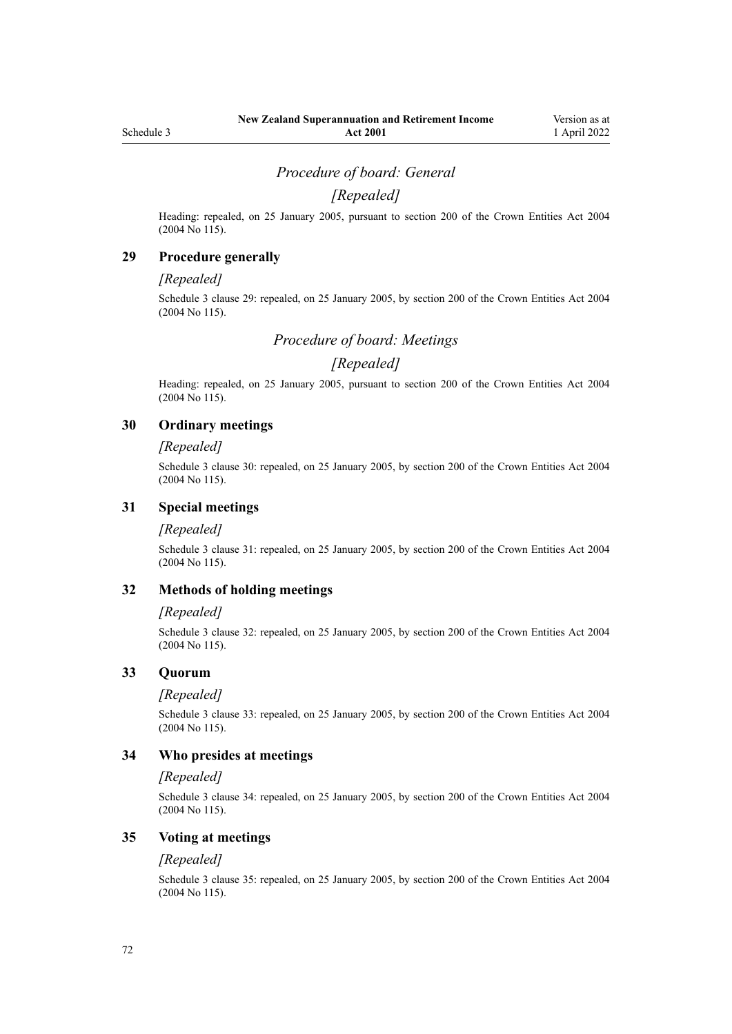## *Procedure of board: General*

## *[Repealed]*

Heading: repealed, on 25 January 2005, pursuant to [section 200](http://legislation.govt.nz/pdflink.aspx?id=DLM331111) of the Crown Entities Act 2004 (2004 No 115).

## **29 Procedure generally**

### *[Repealed]*

Schedule 3 clause 29: repealed, on 25 January 2005, by [section 200](http://legislation.govt.nz/pdflink.aspx?id=DLM331111) of the Crown Entities Act 2004 (2004 No 115).

*Procedure of board: Meetings*

## *[Repealed]*

Heading: repealed, on 25 January 2005, pursuant to [section 200](http://legislation.govt.nz/pdflink.aspx?id=DLM331111) of the Crown Entities Act 2004 (2004 No 115).

## **30 Ordinary meetings**

#### *[Repealed]*

Schedule 3 clause 30: repealed, on 25 January 2005, by [section 200](http://legislation.govt.nz/pdflink.aspx?id=DLM331111) of the Crown Entities Act 2004 (2004 No 115).

## **31 Special meetings**

### *[Repealed]*

Schedule 3 clause 31: repealed, on 25 January 2005, by [section 200](http://legislation.govt.nz/pdflink.aspx?id=DLM331111) of the Crown Entities Act 2004 (2004 No 115).

## **32 Methods of holding meetings**

### *[Repealed]*

Schedule 3 clause 32: repealed, on 25 January 2005, by [section 200](http://legislation.govt.nz/pdflink.aspx?id=DLM331111) of the Crown Entities Act 2004 (2004 No 115).

### **33 Quorum**

#### *[Repealed]*

Schedule 3 clause 33: repealed, on 25 January 2005, by [section 200](http://legislation.govt.nz/pdflink.aspx?id=DLM331111) of the Crown Entities Act 2004 (2004 No 115).

### **34 Who presides at meetings**

### *[Repealed]*

Schedule 3 clause 34: repealed, on 25 January 2005, by [section 200](http://legislation.govt.nz/pdflink.aspx?id=DLM331111) of the Crown Entities Act 2004 (2004 No 115).

### **35 Voting at meetings**

### *[Repealed]*

Schedule 3 clause 35: repealed, on 25 January 2005, by [section 200](http://legislation.govt.nz/pdflink.aspx?id=DLM331111) of the Crown Entities Act 2004 (2004 No 115).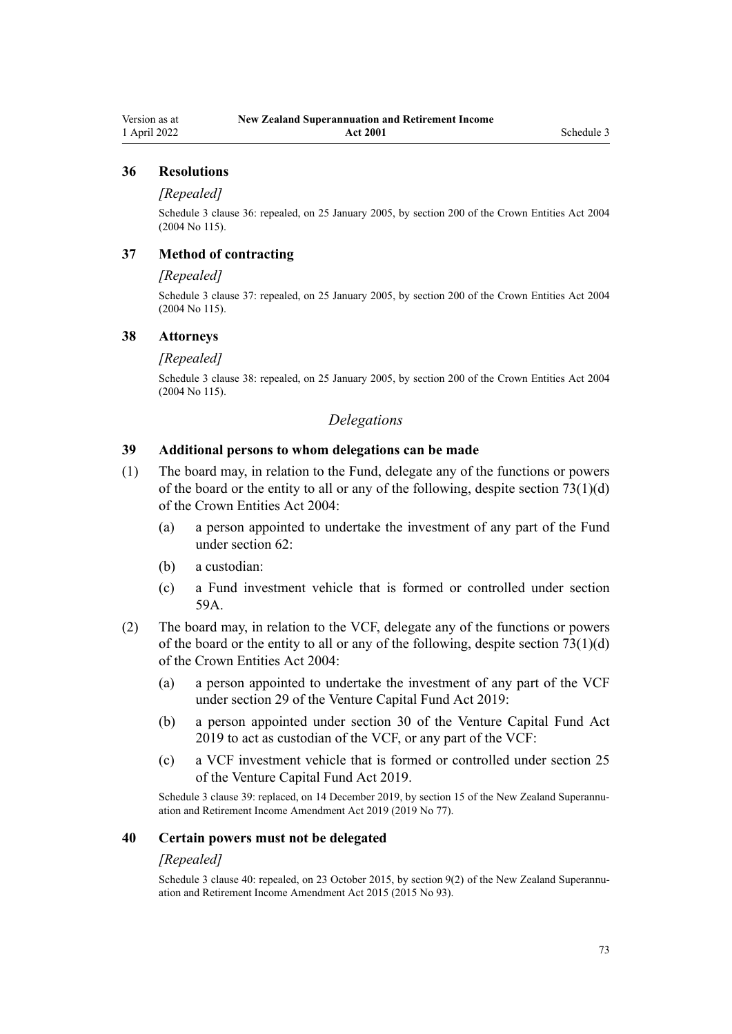### **36 Resolutions**

#### *[Repealed]*

Schedule 3 clause 36: repealed, on 25 January 2005, by [section 200](http://legislation.govt.nz/pdflink.aspx?id=DLM331111) of the Crown Entities Act 2004 (2004 No 115).

# **37 Method of contracting**

#### *[Repealed]*

Schedule 3 clause 37: repealed, on 25 January 2005, by [section 200](http://legislation.govt.nz/pdflink.aspx?id=DLM331111) of the Crown Entities Act 2004 (2004 No 115).

#### **38 Attorneys**

#### *[Repealed]*

Schedule 3 clause 38: repealed, on 25 January 2005, by [section 200](http://legislation.govt.nz/pdflink.aspx?id=DLM331111) of the Crown Entities Act 2004 (2004 No 115).

#### *Delegations*

### **39 Additional persons to whom delegations can be made**

- (1) The board may, in relation to the Fund, delegate any of the functions or powers of the board or the entity to all or any of the following, despite section  $73(1)(d)$ of the Crown Entities Act 2004:
	- (a) a person appointed to undertake the investment of any part of the Fund under [section 62](#page-45-0):
	- (b) a custodian:
	- (c) a Fund investment vehicle that is formed or controlled under [section](#page-43-0) [59A](#page-43-0).
- (2) The board may, in relation to the VCF, delegate any of the functions or powers of the board or the entity to all or any of the following, despite section  $73(1)(d)$ of the Crown Entities Act 2004:
	- (a) a person appointed to undertake the investment of any part of the VCF under [section 29](http://legislation.govt.nz/pdflink.aspx?id=LMS210820) of the Venture Capital Fund Act 2019:
	- (b) a person appointed under [section 30](http://legislation.govt.nz/pdflink.aspx?id=LMS210821) of the Venture Capital Fund Act 2019 to act as custodian of the VCF, or any part of the VCF:
	- (c) a VCF investment vehicle that is formed or controlled under [section 25](http://legislation.govt.nz/pdflink.aspx?id=LMS227094) of the Venture Capital Fund Act 2019.

Schedule 3 clause 39: replaced, on 14 December 2019, by [section 15](http://legislation.govt.nz/pdflink.aspx?id=LMS294702) of the New Zealand Superannuation and Retirement Income Amendment Act 2019 (2019 No 77).

#### **40 Certain powers must not be delegated**

#### *[Repealed]*

Schedule 3 clause 40: repealed, on 23 October 2015, by [section 9\(2\)](http://legislation.govt.nz/pdflink.aspx?id=DLM5708819) of the New Zealand Superannuation and Retirement Income Amendment Act 2015 (2015 No 93).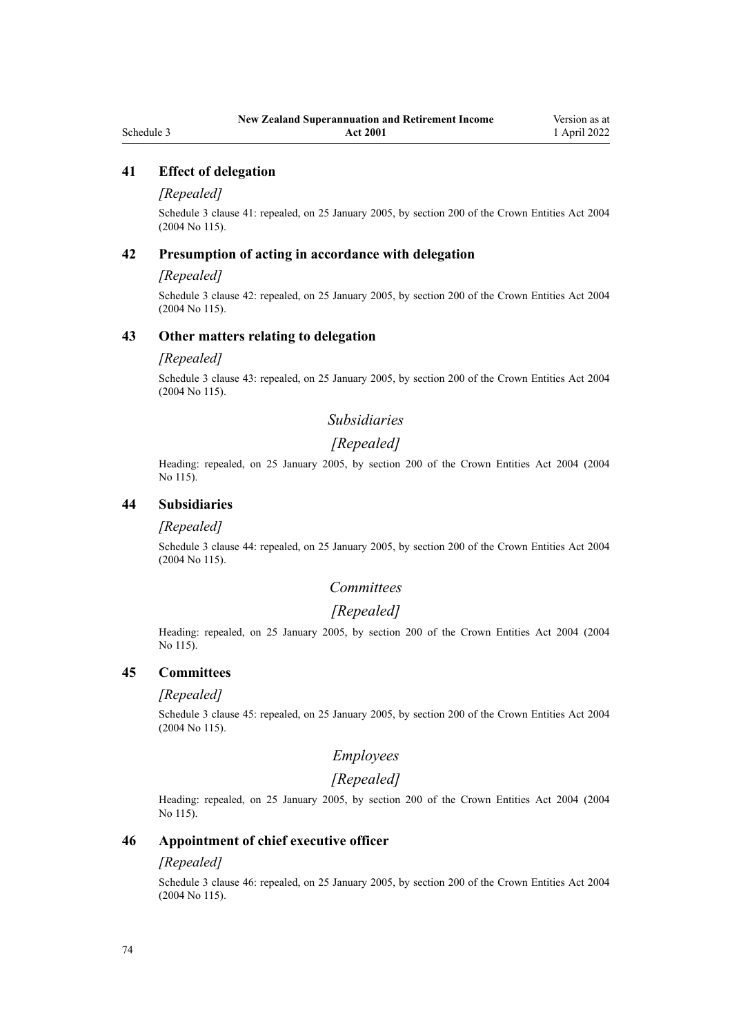# **41 Effect of delegation**

## *[Repealed]*

Schedule 3 clause 41: repealed, on 25 January 2005, by [section 200](http://legislation.govt.nz/pdflink.aspx?id=DLM331111) of the Crown Entities Act 2004 (2004 No 115).

#### **42 Presumption of acting in accordance with delegation**

## *[Repealed]*

Schedule 3 clause 42: repealed, on 25 January 2005, by [section 200](http://legislation.govt.nz/pdflink.aspx?id=DLM331111) of the Crown Entities Act 2004 (2004 No 115).

#### **43 Other matters relating to delegation**

#### *[Repealed]*

Schedule 3 clause 43: repealed, on 25 January 2005, by [section 200](http://legislation.govt.nz/pdflink.aspx?id=DLM331111) of the Crown Entities Act 2004 (2004 No 115).

# *Subsidiaries*

# *[Repealed]*

Heading: repealed, on 25 January 2005, by [section 200](http://legislation.govt.nz/pdflink.aspx?id=DLM331111) of the Crown Entities Act 2004 (2004 No 115).

## **44 Subsidiaries**

#### *[Repealed]*

Schedule 3 clause 44: repealed, on 25 January 2005, by [section 200](http://legislation.govt.nz/pdflink.aspx?id=DLM331111) of the Crown Entities Act 2004 (2004 No 115).

# *Committees*

# *[Repealed]*

Heading: repealed, on 25 January 2005, by [section 200](http://legislation.govt.nz/pdflink.aspx?id=DLM331111) of the Crown Entities Act 2004 (2004 No 115).

#### **45 Committees**

#### *[Repealed]*

Schedule 3 clause 45: repealed, on 25 January 2005, by [section 200](http://legislation.govt.nz/pdflink.aspx?id=DLM331111) of the Crown Entities Act 2004 (2004 No 115).

# *Employees*

# *[Repealed]*

Heading: repealed, on 25 January 2005, by [section 200](http://legislation.govt.nz/pdflink.aspx?id=DLM331111) of the Crown Entities Act 2004 (2004 No 115).

# **46 Appointment of chief executive officer**

#### *[Repealed]*

Schedule 3 clause 46: repealed, on 25 January 2005, by [section 200](http://legislation.govt.nz/pdflink.aspx?id=DLM331111) of the Crown Entities Act 2004 (2004 No 115).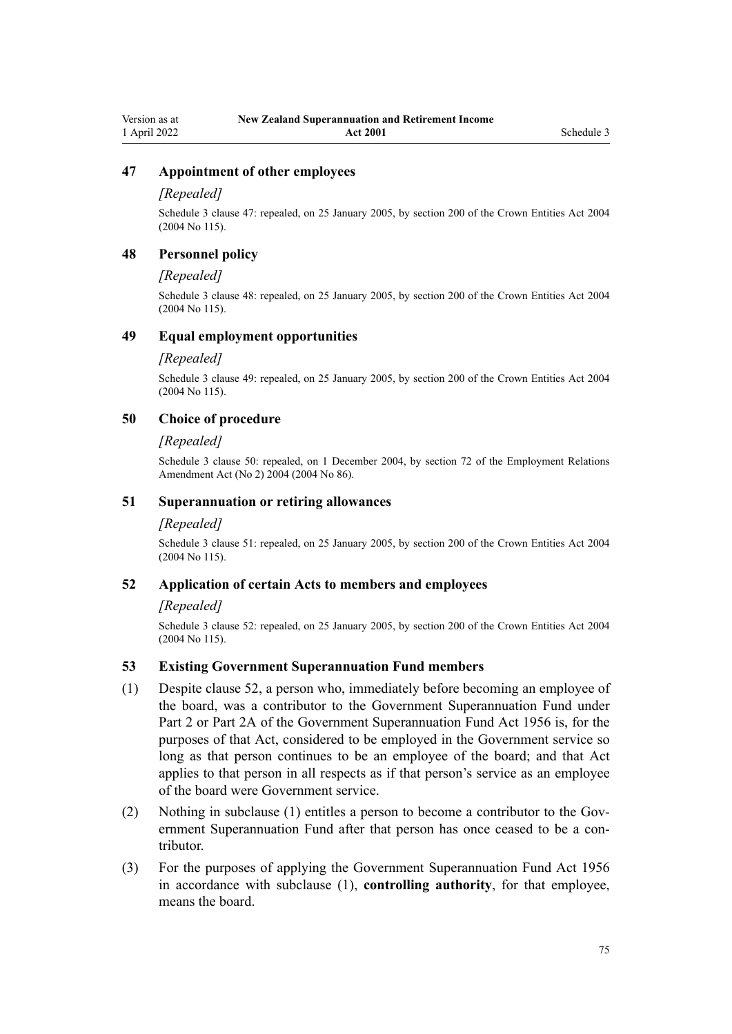#### **47 Appointment of other employees**

#### *[Repealed]*

Schedule 3 clause 47: repealed, on 25 January 2005, by [section 200](http://legislation.govt.nz/pdflink.aspx?id=DLM331111) of the Crown Entities Act 2004 (2004 No 115).

### **48 Personnel policy**

#### *[Repealed]*

Schedule 3 clause 48: repealed, on 25 January 2005, by [section 200](http://legislation.govt.nz/pdflink.aspx?id=DLM331111) of the Crown Entities Act 2004 (2004 No 115).

#### **49 Equal employment opportunities**

#### *[Repealed]*

Schedule 3 clause 49: repealed, on 25 January 2005, by [section 200](http://legislation.govt.nz/pdflink.aspx?id=DLM331111) of the Crown Entities Act 2004 (2004 No 115).

## **50 Choice of procedure**

#### *[Repealed]*

Schedule 3 clause 50: repealed, on 1 December 2004, by [section 72](http://legislation.govt.nz/pdflink.aspx?id=DLM316477) of the Employment Relations Amendment Act (No 2) 2004 (2004 No 86).

#### **51 Superannuation or retiring allowances**

#### *[Repealed]*

Schedule 3 clause 51: repealed, on 25 January 2005, by [section 200](http://legislation.govt.nz/pdflink.aspx?id=DLM331111) of the Crown Entities Act 2004 (2004 No 115).

#### **52 Application of certain Acts to members and employees**

#### *[Repealed]*

Schedule 3 clause 52: repealed, on 25 January 2005, by [section 200](http://legislation.govt.nz/pdflink.aspx?id=DLM331111) of the Crown Entities Act 2004 (2004 No 115).

### **53 Existing Government Superannuation Fund members**

- (1) Despite clause 52, a person who, immediately before becoming an employee of the board, was a contributor to the Government Superannuation Fund under [Part 2](http://legislation.govt.nz/pdflink.aspx?id=DLM446395) or [Part 2A](http://legislation.govt.nz/pdflink.aspx?id=DLM446842) of the Government Superannuation Fund Act 1956 is, for the purposes of that Act, considered to be employed in the Government service so long as that person continues to be an employee of the board; and that Act applies to that person in all respects as if that person's service as an employee of the board were Government service.
- (2) Nothing in subclause (1) entitles a person to become a contributor to the Gov‐ ernment Superannuation Fund after that person has once ceased to be a contributor.
- (3) For the purposes of applying the [Government Superannuation Fund Act 1956](http://legislation.govt.nz/pdflink.aspx?id=DLM446000) in accordance with subclause (1), **controlling authority**, for that employee, means the board.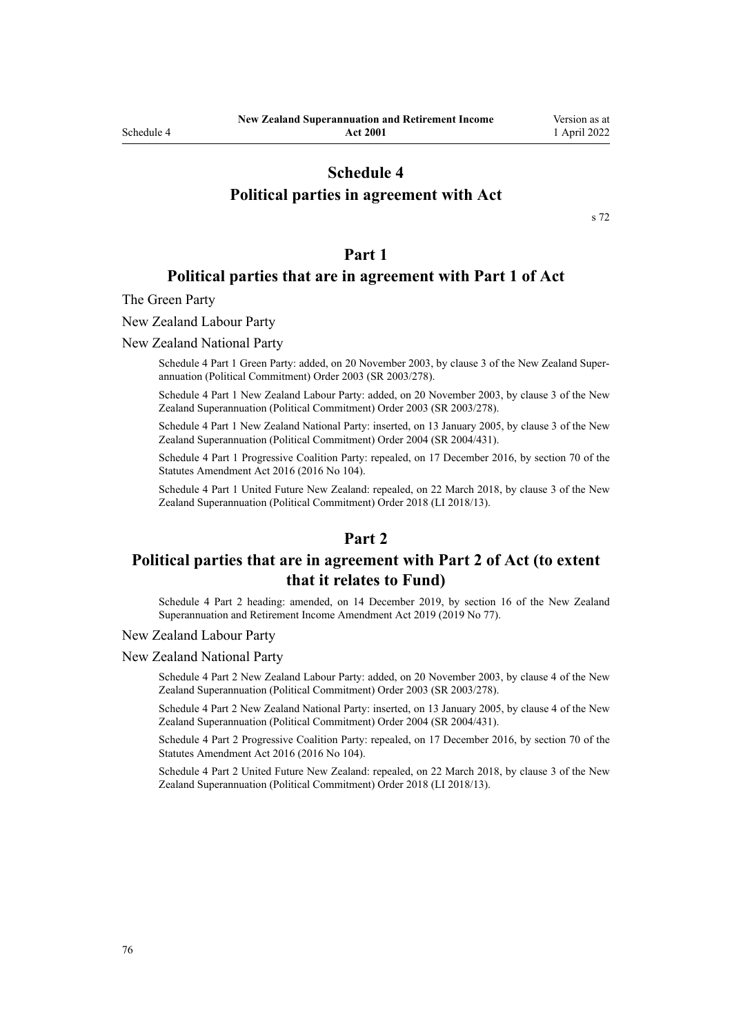# **Schedule 4**

# **Political parties in agreement with Act**

[s 72](#page-49-0)

### **Part 1**

# **Political parties that are in agreement with Part 1 of Act**

The Green Party

New Zealand Labour Party

New Zealand National Party

Schedule 4 Part 1 Green Party: added, on 20 November 2003, by [clause 3](http://legislation.govt.nz/pdflink.aspx?id=DLM216849) of the New Zealand Superannuation (Political Commitment) Order 2003 (SR 2003/278).

Schedule 4 Part 1 New Zealand Labour Party: added, on 20 November 2003, by [clause 3](http://legislation.govt.nz/pdflink.aspx?id=DLM216849) of the New Zealand Superannuation (Political Commitment) Order 2003 (SR 2003/278).

Schedule 4 Part 1 New Zealand National Party: inserted, on 13 January 2005, by [clause 3](http://legislation.govt.nz/pdflink.aspx?id=DLM304133) of the New Zealand Superannuation (Political Commitment) Order 2004 (SR 2004/431).

Schedule 4 Part 1 Progressive Coalition Party: repealed, on 17 December 2016, by [section 70](http://legislation.govt.nz/pdflink.aspx?id=DLM6623847) of the Statutes Amendment Act 2016 (2016 No 104).

Schedule 4 Part 1 United Future New Zealand: repealed, on 22 March 2018, by [clause 3](http://legislation.govt.nz/pdflink.aspx?id=LMS10889) of the New Zealand Superannuation (Political Commitment) Order 2018 (LI 2018/13).

#### **Part 2**

# **Political parties that are in agreement with Part 2 of Act (to extent that it relates to Fund)**

Schedule 4 Part 2 heading: amended, on 14 December 2019, by [section 16](http://legislation.govt.nz/pdflink.aspx?id=LMS294703) of the New Zealand Superannuation and Retirement Income Amendment Act 2019 (2019 No 77).

New Zealand Labour Party

New Zealand National Party

Schedule 4 Part 2 New Zealand Labour Party: added, on 20 November 2003, by [clause 4](http://legislation.govt.nz/pdflink.aspx?id=DLM216852) of the New Zealand Superannuation (Political Commitment) Order 2003 (SR 2003/278).

Schedule 4 Part 2 New Zealand National Party: inserted, on 13 January 2005, by [clause 4](http://legislation.govt.nz/pdflink.aspx?id=DLM304134) of the New Zealand Superannuation (Political Commitment) Order 2004 (SR 2004/431).

Schedule 4 Part 2 Progressive Coalition Party: repealed, on 17 December 2016, by [section 70](http://legislation.govt.nz/pdflink.aspx?id=DLM6623847) of the Statutes Amendment Act 2016 (2016 No 104).

Schedule 4 Part 2 United Future New Zealand: repealed, on 22 March 2018, by [clause 3](http://legislation.govt.nz/pdflink.aspx?id=LMS10889) of the New Zealand Superannuation (Political Commitment) Order 2018 (LI 2018/13).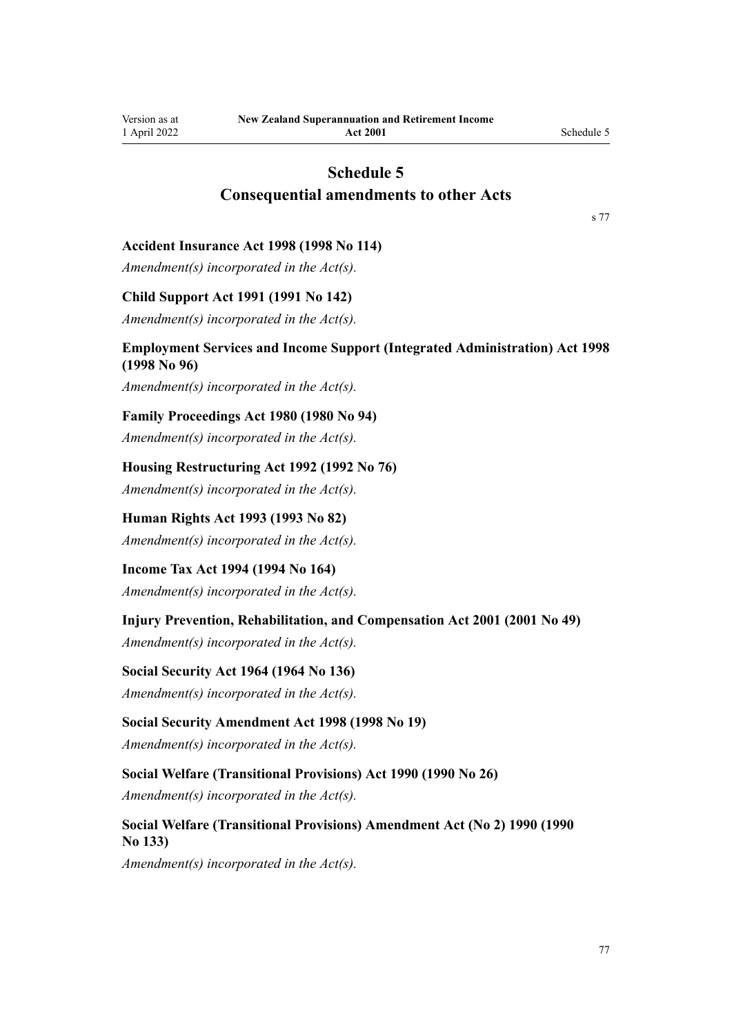# **Schedule 5 Consequential amendments to other Acts**

[s 77](#page-51-0)

#### **Accident Insurance Act 1998 (1998 No 114)**

*Amendment(s) incorporated in the Act(s).*

#### **Child Support Act 1991 (1991 No 142)**

*Amendment(s) incorporated in the [Act\(s\).](http://legislation.govt.nz/pdflink.aspx?id=DLM256015)*

# **Employment Services and Income Support (Integrated Administration) Act 1998 (1998 No 96)**

*Amendment(s) incorporated in the [Act\(s\).](http://legislation.govt.nz/pdflink.aspx?id=DLM429015)*

#### **Family Proceedings Act 1980 (1980 No 94)**

*Amendment(s) incorporated in the [Act\(s\).](http://legislation.govt.nz/pdflink.aspx?id=DLM41238)*

### **Housing Restructuring Act 1992 (1992 No 76)**

*Amendment(s) incorporated in the [Act\(s\).](http://legislation.govt.nz/pdflink.aspx?id=DLM269812)*

# **Human Rights Act 1993 (1993 No 82)**

*Amendment(s) incorporated in the [Act\(s\).](http://legislation.govt.nz/pdflink.aspx?id=DLM304475)*

#### **Income Tax Act 1994 (1994 No 164)**

*Amendment(s) incorporated in the Act(s).*

# **Injury Prevention, Rehabilitation, and Compensation Act 2001 (2001 No 49)**

*Amendment(s) incorporated in the [Act\(s\).](http://legislation.govt.nz/pdflink.aspx?id=DLM100103)*

#### **Social Security Act 1964 (1964 No 136)**

*Amendment(s) incorporated in the [Act\(s\).](http://legislation.govt.nz/pdflink.aspx?id=DLM359146)*

#### **Social Security Amendment Act 1998 (1998 No 19)**

*Amendment(s) incorporated in the [Act\(s\).](http://legislation.govt.nz/pdflink.aspx?id=DLM426027)*

## **Social Welfare (Transitional Provisions) Act 1990 (1990 No 26)**

*Amendment(s) incorporated in the [Act\(s\).](http://legislation.govt.nz/pdflink.aspx?id=DLM204101)*

## **Social Welfare (Transitional Provisions) Amendment Act (No 2) 1990 (1990 No 133)**

*Amendment(s) incorporated in the Act(s).*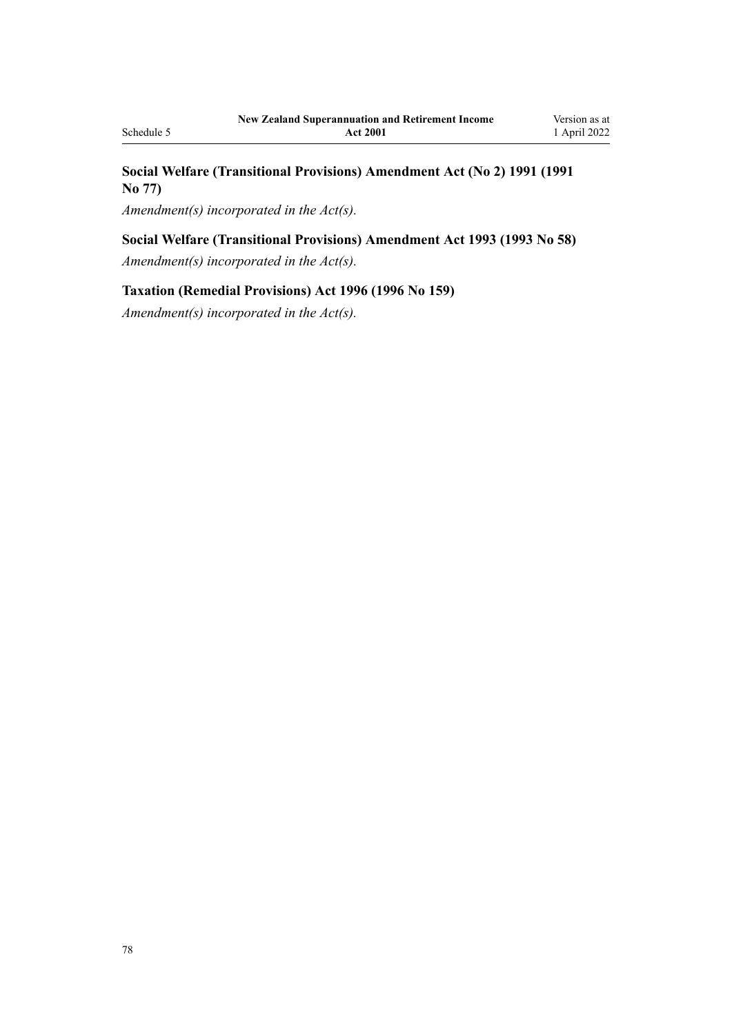# **Social Welfare (Transitional Provisions) Amendment Act (No 2) 1991 (1991 No 77)**

*Amendment(s) incorporated in the Act(s).*

# **Social Welfare (Transitional Provisions) Amendment Act 1993 (1993 No 58)**

*Amendment(s) incorporated in the Act(s).*

# **Taxation (Remedial Provisions) Act 1996 (1996 No 159)**

*Amendment(s) incorporated in the [Act\(s\).](http://legislation.govt.nz/pdflink.aspx?id=DLM407400)*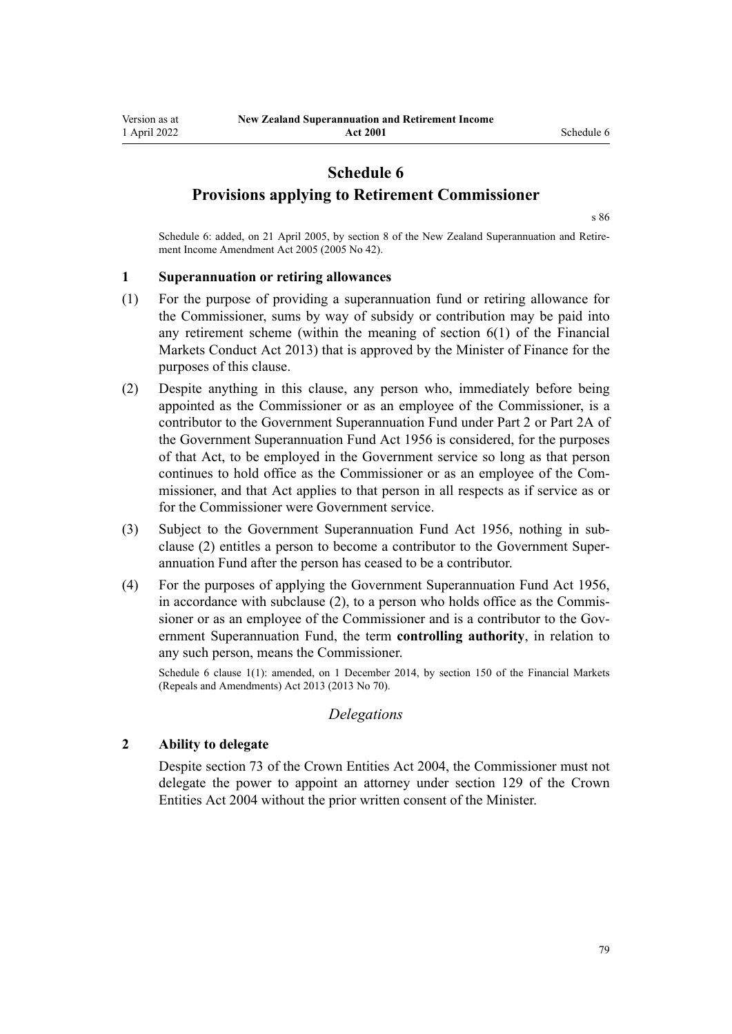# **Schedule 6**

**Provisions applying to Retirement Commissioner**

[s 86](#page-54-0)

Schedule 6: added, on 21 April 2005, by [section 8](http://legislation.govt.nz/pdflink.aspx?id=DLM346493) of the New Zealand Superannuation and Retirement Income Amendment Act 2005 (2005 No 42).

#### **1 Superannuation or retiring allowances**

- (1) For the purpose of providing a superannuation fund or retiring allowance for the Commissioner, sums by way of subsidy or contribution may be paid into any retirement scheme (within the meaning of [section 6\(1\)](http://legislation.govt.nz/pdflink.aspx?id=DLM4090590) of the Financial Markets Conduct Act 2013) that is approved by the Minister of Finance for the purposes of this clause.
- (2) Despite anything in this clause, any person who, immediately before being appointed as the Commissioner or as an employee of the Commissioner, is a contributor to the Government Superannuation Fund under [Part 2](http://legislation.govt.nz/pdflink.aspx?id=DLM446395) or [Part 2A](http://legislation.govt.nz/pdflink.aspx?id=DLM446842) of the Government Superannuation Fund Act 1956 is considered, for the purposes of that Act, to be employed in the Government service so long as that person continues to hold office as the Commissioner or as an employee of the Commissioner, and that Act applies to that person in all respects as if service as or for the Commissioner were Government service.
- (3) Subject to the [Government Superannuation Fund Act 1956](http://legislation.govt.nz/pdflink.aspx?id=DLM446000), nothing in sub‐ clause (2) entitles a person to become a contributor to the Government Super‐ annuation Fund after the person has ceased to be a contributor.
- (4) For the purposes of applying the [Government Superannuation Fund Act 1956](http://legislation.govt.nz/pdflink.aspx?id=DLM446000), in accordance with subclause (2), to a person who holds office as the Commissioner or as an employee of the Commissioner and is a contributor to the Government Superannuation Fund, the term **controlling authority**, in relation to any such person, means the Commissioner.

Schedule 6 clause 1(1): amended, on 1 December 2014, by [section 150](http://legislation.govt.nz/pdflink.aspx?id=DLM5561603) of the Financial Markets (Repeals and Amendments) Act 2013 (2013 No 70).

#### *Delegations*

#### **2 Ability to delegate**

Despite [section 73](http://legislation.govt.nz/pdflink.aspx?id=DLM330308) of the Crown Entities Act 2004, the Commissioner must not delegate the power to appoint an attorney under [section 129](http://legislation.govt.nz/pdflink.aspx?id=DLM330396) of the Crown Entities Act 2004 without the prior written consent of the Minister.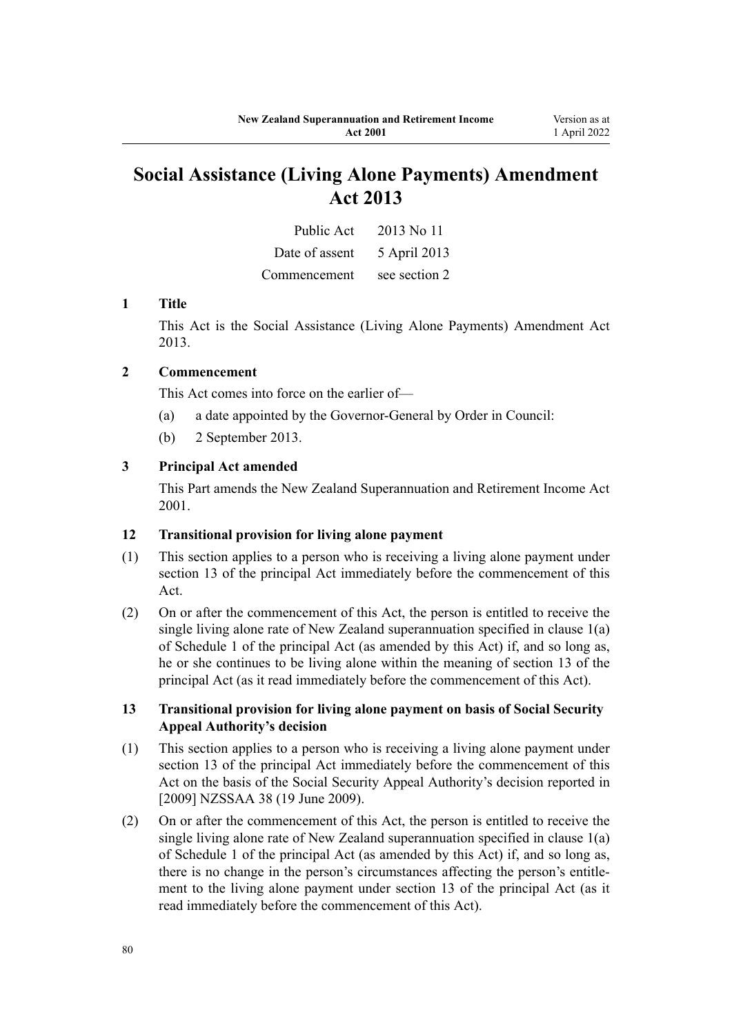# **Social Assistance (Living Alone Payments) Amendment Act 2013**

| Public Act     | 2013 No 11    |
|----------------|---------------|
| Date of assent | 5 April 2013  |
| Commencement   | see section 2 |

## **1 Title**

This Act is the [Social Assistance \(Living Alone Payments\) Amendment Act](http://legislation.govt.nz/pdflink.aspx?id=DLM3365202) [2013](http://legislation.govt.nz/pdflink.aspx?id=DLM3365202).

# **2 Commencement**

This Act comes into force on the earlier of—

- (a) a date appointed by the Governor-General by Order in Council:
- (b) 2 September 2013.

## **3 Principal Act amended**

This Part amends the New Zealand Superannuation and Retirement Income Act 2001.

#### **12 Transitional provision for living alone payment**

- (1) This section applies to a person who is receiving a living alone payment under section 13 of the principal Act immediately before the commencement of this Act.
- (2) On or after the commencement of this Act, the person is entitled to receive the single living alone rate of New Zealand superannuation specified in clause 1(a) of Schedule 1 of the principal Act (as amended by this Act) if, and so long as, he or she continues to be living alone within the meaning of section 13 of the principal Act (as it read immediately before the commencement of this Act).

## **13 Transitional provision for living alone payment on basis of Social Security Appeal Authority's decision**

- (1) This section applies to a person who is receiving a living alone payment under section 13 of the principal Act immediately before the commencement of this Act on the basis of the Social Security Appeal Authority's decision reported in [2009] NZSSAA 38 (19 June 2009).
- (2) On or after the commencement of this Act, the person is entitled to receive the single living alone rate of New Zealand superannuation specified in clause 1(a) of Schedule 1 of the principal Act (as amended by this Act) if, and so long as, there is no change in the person's circumstances affecting the person's entitlement to the living alone payment under section 13 of the principal Act (as it read immediately before the commencement of this Act).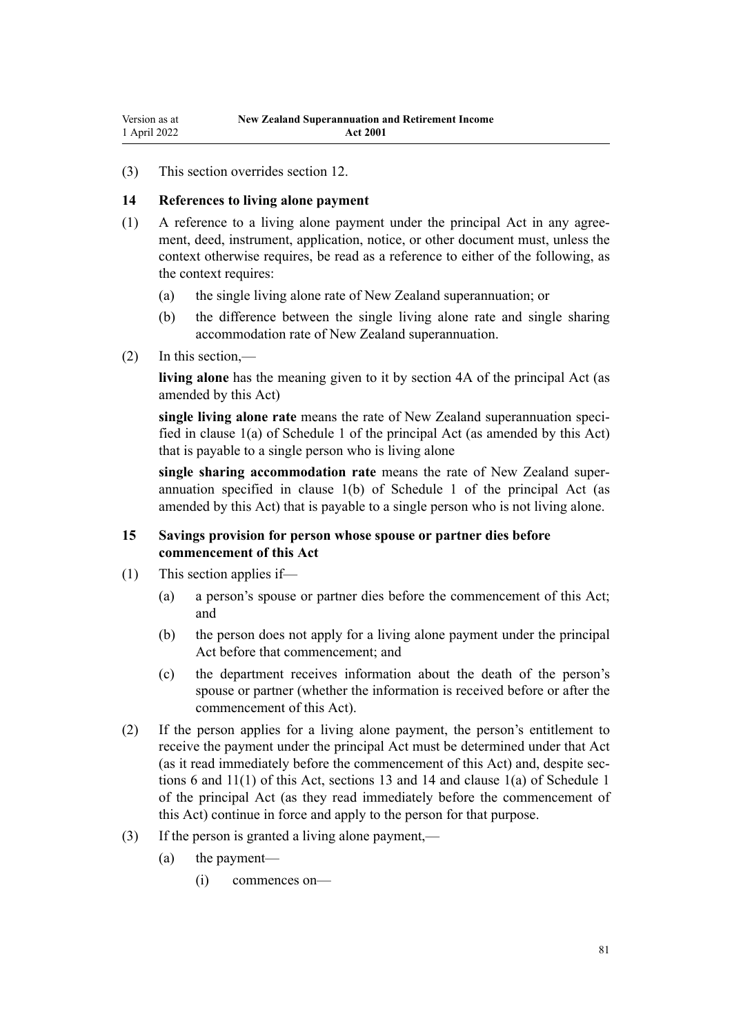(3) This section overrides section 12.

# **14 References to living alone payment**

- (1) A reference to a living alone payment under the principal Act in any agree‐ ment, deed, instrument, application, notice, or other document must, unless the context otherwise requires, be read as a reference to either of the following, as the context requires:
	- (a) the single living alone rate of New Zealand superannuation; or
	- (b) the difference between the single living alone rate and single sharing accommodation rate of New Zealand superannuation.
- (2) In this section,—

**living alone** has the meaning given to it by section 4A of the principal Act (as amended by this Act)

**single living alone rate** means the rate of New Zealand superannuation speci‐ fied in clause 1(a) of Schedule 1 of the principal Act (as amended by this Act) that is payable to a single person who is living alone

**single sharing accommodation rate** means the rate of New Zealand super‐ annuation specified in clause 1(b) of Schedule 1 of the principal Act (as amended by this Act) that is payable to a single person who is not living alone.

# **15 Savings provision for person whose spouse or partner dies before commencement of this Act**

- (1) This section applies if—
	- (a) a person's spouse or partner dies before the commencement of this Act; and
	- (b) the person does not apply for a living alone payment under the principal Act before that commencement; and
	- (c) the department receives information about the death of the person's spouse or partner (whether the information is received before or after the commencement of this Act).
- (2) If the person applies for a living alone payment, the person's entitlement to receive the payment under the principal Act must be determined under that Act (as it read immediately before the commencement of this Act) and, despite sec‐ tions 6 and 11(1) of this Act, sections 13 and 14 and clause 1(a) of Schedule 1 of the principal Act (as they read immediately before the commencement of this Act) continue in force and apply to the person for that purpose.
- (3) If the person is granted a living alone payment,—
	- (a) the payment—
		- (i) commences on—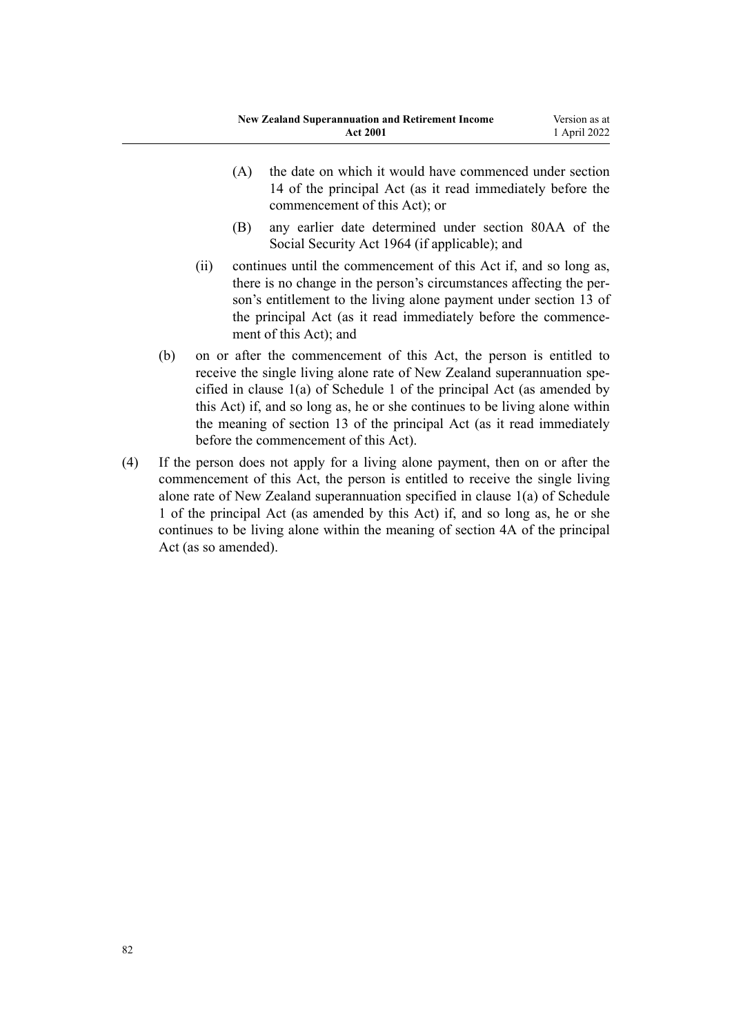- (A) the date on which it would have commenced under section 14 of the principal Act (as it read immediately before the commencement of this Act); or
- (B) any earlier date determined under section 80AA of the Social Security Act 1964 (if applicable); and
- (ii) continues until the commencement of this Act if, and so long as, there is no change in the person's circumstances affecting the per‐ son's entitlement to the living alone payment under section 13 of the principal Act (as it read immediately before the commencement of this Act); and
- (b) on or after the commencement of this Act, the person is entitled to receive the single living alone rate of New Zealand superannuation specified in clause 1(a) of Schedule 1 of the principal Act (as amended by this Act) if, and so long as, he or she continues to be living alone within the meaning of section 13 of the principal Act (as it read immediately before the commencement of this Act).
- (4) If the person does not apply for a living alone payment, then on or after the commencement of this Act, the person is entitled to receive the single living alone rate of New Zealand superannuation specified in clause 1(a) of Schedule 1 of the principal Act (as amended by this Act) if, and so long as, he or she continues to be living alone within the meaning of section 4A of the principal Act (as so amended).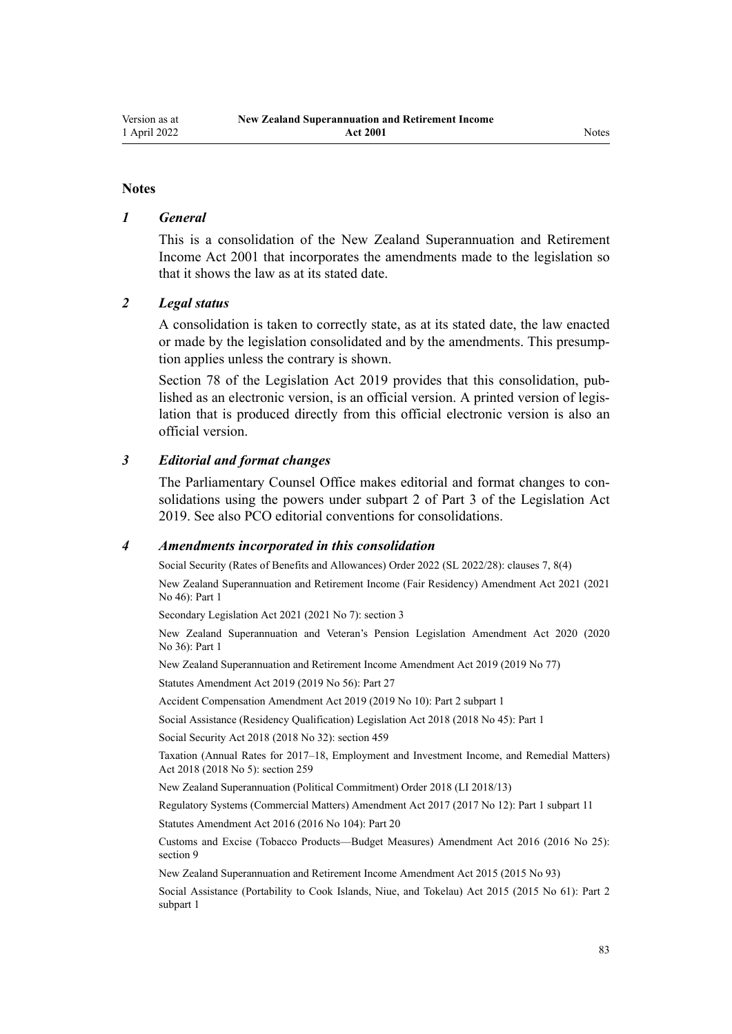# *1 General*

This is a consolidation of the New Zealand Superannuation and Retirement Income Act 2001 that incorporates the amendments made to the legislation so that it shows the law as at its stated date.

# *2 Legal status*

A consolidation is taken to correctly state, as at its stated date, the law enacted or made by the legislation consolidated and by the amendments. This presump‐ tion applies unless the contrary is shown.

[Section 78](http://legislation.govt.nz/pdflink.aspx?id=DLM7298365) of the Legislation Act 2019 provides that this consolidation, published as an electronic version, is an official version. A printed version of legis‐ lation that is produced directly from this official electronic version is also an official version.

# *3 Editorial and format changes*

The Parliamentary Counsel Office makes editorial and format changes to consolidations using the powers under [subpart 2](http://legislation.govt.nz/pdflink.aspx?id=DLM7298371) of Part 3 of the Legislation Act 2019. See also [PCO editorial conventions for consolidations](http://www.pco.govt.nz/editorial-conventions/).

# *4 Amendments incorporated in this consolidation*

Social Security (Rates of Benefits and Allowances) Order 2022 (SL 2022/28): [clauses 7,](http://legislation.govt.nz/pdflink.aspx?id=LMS645826) [8\(4\)](http://legislation.govt.nz/pdflink.aspx?id=LMS645827)

New Zealand Superannuation and Retirement Income (Fair Residency) Amendment Act 2021 (2021 No 46): [Part 1](http://legislation.govt.nz/pdflink.aspx?id=LMS475364)

Secondary Legislation Act 2021 (2021 No 7): [section 3](http://legislation.govt.nz/pdflink.aspx?id=LMS268932)

New Zealand Superannuation and Veteran's Pension Legislation Amendment Act 2020 (2020 No 36): [Part 1](http://legislation.govt.nz/pdflink.aspx?id=LMS242823)

[New Zealand Superannuation and Retirement Income Amendment Act 2019](http://legislation.govt.nz/pdflink.aspx?id=LMS294679) (2019 No 77)

Statutes Amendment Act 2019 (2019 No 56): [Part 27](http://legislation.govt.nz/pdflink.aspx?id=LMS59029)

Accident Compensation Amendment Act 2019 (2019 No 10): Part 2 [subpart 1](http://legislation.govt.nz/pdflink.aspx?id=LMS31112)

Social Assistance (Residency Qualification) Legislation Act 2018 (2018 No 45): [Part 1](http://legislation.govt.nz/pdflink.aspx?id=LMS26072)

Social Security Act 2018 (2018 No 32): [section 459](http://legislation.govt.nz/pdflink.aspx?id=DLM6784038)

Taxation (Annual Rates for 2017–18, Employment and Investment Income, and Remedial Matters) Act 2018 (2018 No 5): [section 259](http://legislation.govt.nz/pdflink.aspx?id=LMS12363)

[New Zealand Superannuation \(Political Commitment\) Order 2018](http://legislation.govt.nz/pdflink.aspx?id=LMS10884) (LI 2018/13)

Regulatory Systems (Commercial Matters) Amendment Act 2017 (2017 No 12): Part 1 [subpart 11](http://legislation.govt.nz/pdflink.aspx?id=DLM6971836)

Statutes Amendment Act 2016 (2016 No 104): [Part 20](http://legislation.govt.nz/pdflink.aspx?id=DLM6623844)

Customs and Excise (Tobacco Products—Budget Measures) Amendment Act 2016 (2016 No 25): [section 9](http://legislation.govt.nz/pdflink.aspx?id=DLM6851124)

[New Zealand Superannuation and Retirement Income Amendment Act 2015](http://legislation.govt.nz/pdflink.aspx?id=DLM5708801) (2015 No 93)

Social Assistance (Portability to Cook Islands, Niue, and Tokelau) Act 2015 (2015 No 61): Part 2 [subpart 1](http://legislation.govt.nz/pdflink.aspx?id=DLM6222917)